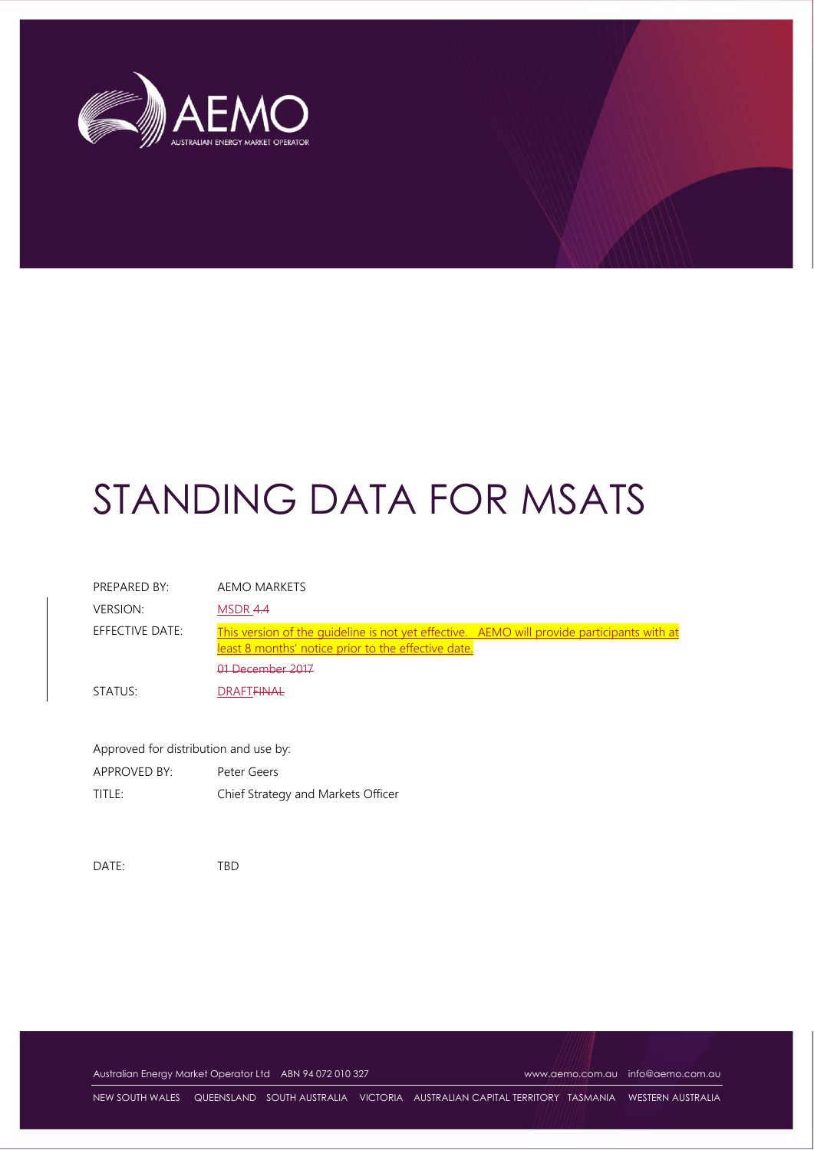

| PREPARED BY:    | AEMO MARKETS                                                                                                                                                          |
|-----------------|-----------------------------------------------------------------------------------------------------------------------------------------------------------------------|
| VERSION:        | MSDR 4.4                                                                                                                                                              |
| EFFECTIVE DATE: | This version of the quideline is not yet effective. AEMO will provide participants with at<br>least 8 months' notice prior to the effective date.<br>01 December 2017 |
| STATUS:         | DRAFT <del>EINAL</del>                                                                                                                                                |

| Approved for distribution and use by: |                                    |
|---------------------------------------|------------------------------------|
| APPROVED BY:                          | Peter Geers                        |
| TITLE:                                | Chief Strategy and Markets Officer |

DATE: TBD

Australian Energy Market Operator Ltd ABN 94 072 010 327 [www.aemo.com.au](http://www.aemo.com.au/) [info@aemo.com.au](mailto:info@aemo.com.au)

NEW SOUTH WALES QUEENSLAND SOUTH AUSTRALIA VICTORIA AUSTRALIAN CAPITAL TERRITORY TASMANIA WESTERN AUSTRALIA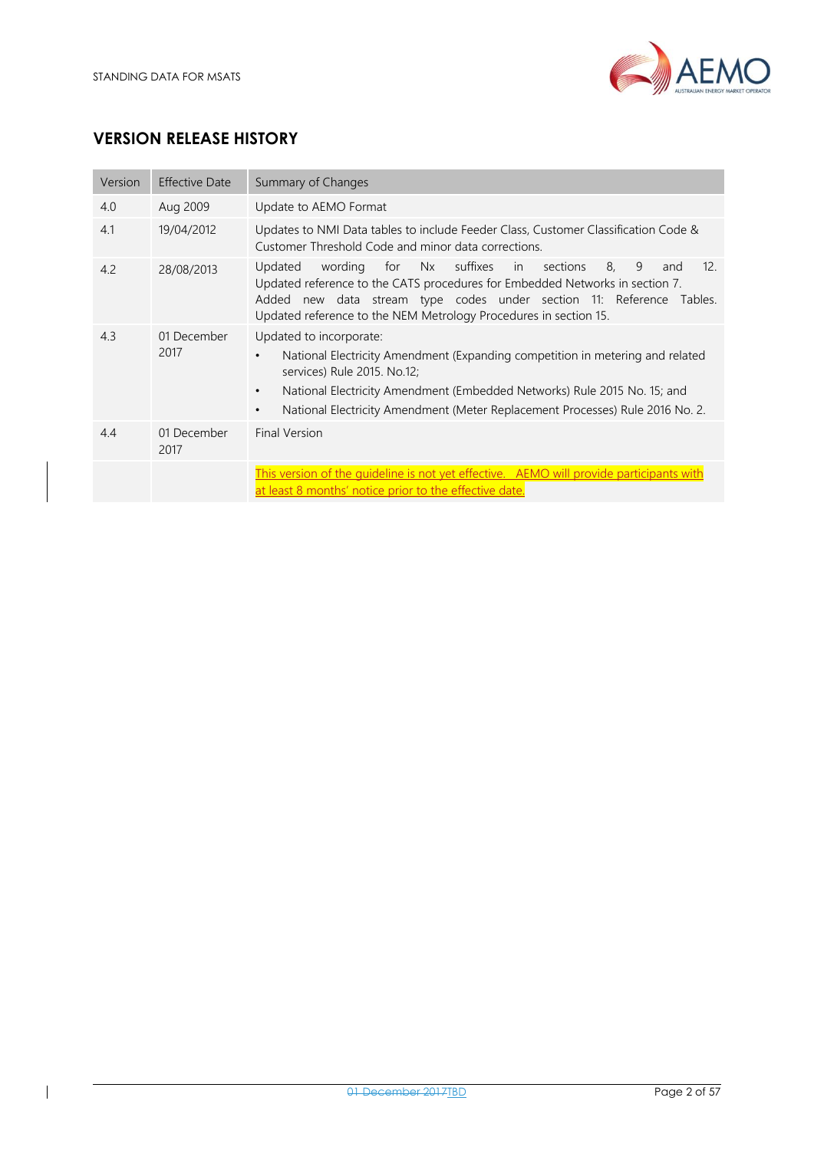

### **VERSION RELEASE HISTORY**

| Version | <b>Effective Date</b> | Summary of Changes                                                                                                                                                                                                                                                                                                                          |
|---------|-----------------------|---------------------------------------------------------------------------------------------------------------------------------------------------------------------------------------------------------------------------------------------------------------------------------------------------------------------------------------------|
| 4.0     | Aug 2009              | Update to AEMO Format                                                                                                                                                                                                                                                                                                                       |
| 4.1     | 19/04/2012            | Updates to NMI Data tables to include Feeder Class, Customer Classification Code &<br>Customer Threshold Code and minor data corrections.                                                                                                                                                                                                   |
| 4.2     | 28/08/2013            | for Nx suffixes<br>8.<br>9<br>wording<br>in<br>12.<br>Updated<br>sections<br>and<br>Updated reference to the CATS procedures for Embedded Networks in section 7.<br>Added new data stream type codes under section 11: Reference Tables.<br>Updated reference to the NEM Metrology Procedures in section 15.                                |
| 4.3     | 01 December<br>2017   | Updated to incorporate:<br>National Electricity Amendment (Expanding competition in metering and related<br>$\bullet$<br>services) Rule 2015. No.12;<br>National Electricity Amendment (Embedded Networks) Rule 2015 No. 15; and<br>$\bullet$<br>National Electricity Amendment (Meter Replacement Processes) Rule 2016 No. 2.<br>$\bullet$ |
| 4.4     | 01 December<br>2017   | Final Version                                                                                                                                                                                                                                                                                                                               |
|         |                       | This version of the quideline is not yet effective. AEMO will provide participants with<br>at least 8 months' notice prior to the effective date.                                                                                                                                                                                           |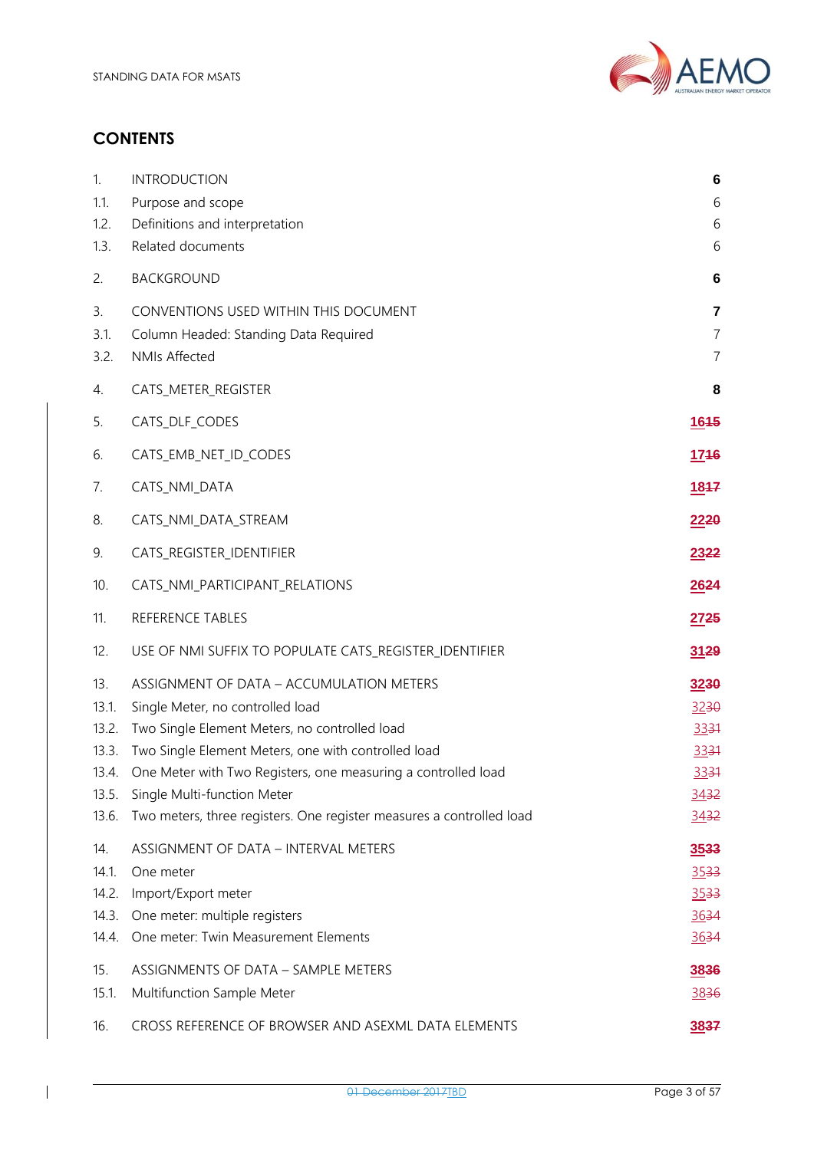

# **CONTENTS**

 $\overline{\phantom{a}}$ 

| 1.<br>1.1.<br>1.2.                      | <b>INTRODUCTION</b><br>Purpose and scope<br>Definitions and interpretation                                                                                                                                                                                                   | 6<br>6<br>6                                        |
|-----------------------------------------|------------------------------------------------------------------------------------------------------------------------------------------------------------------------------------------------------------------------------------------------------------------------------|----------------------------------------------------|
| 1.3.                                    | Related documents                                                                                                                                                                                                                                                            | 6                                                  |
| 2.                                      | <b>BACKGROUND</b>                                                                                                                                                                                                                                                            | 6                                                  |
| 3.<br>3.1.<br>3.2.                      | CONVENTIONS USED WITHIN THIS DOCUMENT<br>Column Headed: Standing Data Required<br><b>NMIs Affected</b>                                                                                                                                                                       | $\overline{7}$<br>$\overline{7}$<br>$\overline{7}$ |
| 4.                                      | CATS_METER_REGISTER                                                                                                                                                                                                                                                          | 8                                                  |
| 5.                                      | CATS_DLF_CODES                                                                                                                                                                                                                                                               | <u>1645</u>                                        |
| 6.                                      | CATS_EMB_NET_ID_CODES                                                                                                                                                                                                                                                        | <u>1746</u>                                        |
| 7.                                      | CATS_NMI_DATA                                                                                                                                                                                                                                                                | 1847                                               |
| 8.                                      | CATS_NMI_DATA_STREAM                                                                                                                                                                                                                                                         | 2220                                               |
| 9.                                      | CATS_REGISTER_IDENTIFIER                                                                                                                                                                                                                                                     | 2322                                               |
| 10.                                     | CATS_NMI_PARTICIPANT_RELATIONS                                                                                                                                                                                                                                               | 2624                                               |
| 11.                                     | REFERENCE TABLES                                                                                                                                                                                                                                                             | 2725                                               |
| 12.                                     | USE OF NMI SUFFIX TO POPULATE CATS_REGISTER_IDENTIFIER                                                                                                                                                                                                                       | 3129                                               |
| 13.<br>13.1.<br>13.2.                   | ASSIGNMENT OF DATA - ACCUMULATION METERS<br>Single Meter, no controlled load                                                                                                                                                                                                 | 3230                                               |
| 13.3.<br>13.4.<br>13.5.<br>13.6.        | Two Single Element Meters, no controlled load<br>Two Single Element Meters, one with controlled load<br>One Meter with Two Registers, one measuring a controlled load<br>Single Multi-function Meter<br>Two meters, three registers. One register measures a controlled load | 3230<br>3331<br>3331<br>3331<br>3432<br>3432       |
| 14.<br>14.1.<br>14.2.<br>14.3.<br>14.4. | ASSIGNMENT OF DATA - INTERVAL METERS<br>One meter<br>Import/Export meter<br>One meter: multiple registers<br>One meter: Twin Measurement Elements                                                                                                                            | 3533<br>$3533 -$<br>3533<br>3634<br>3634           |
| 15.<br>15.1.                            | ASSIGNMENTS OF DATA - SAMPLE METERS<br>Multifunction Sample Meter                                                                                                                                                                                                            | 3836<br>3836                                       |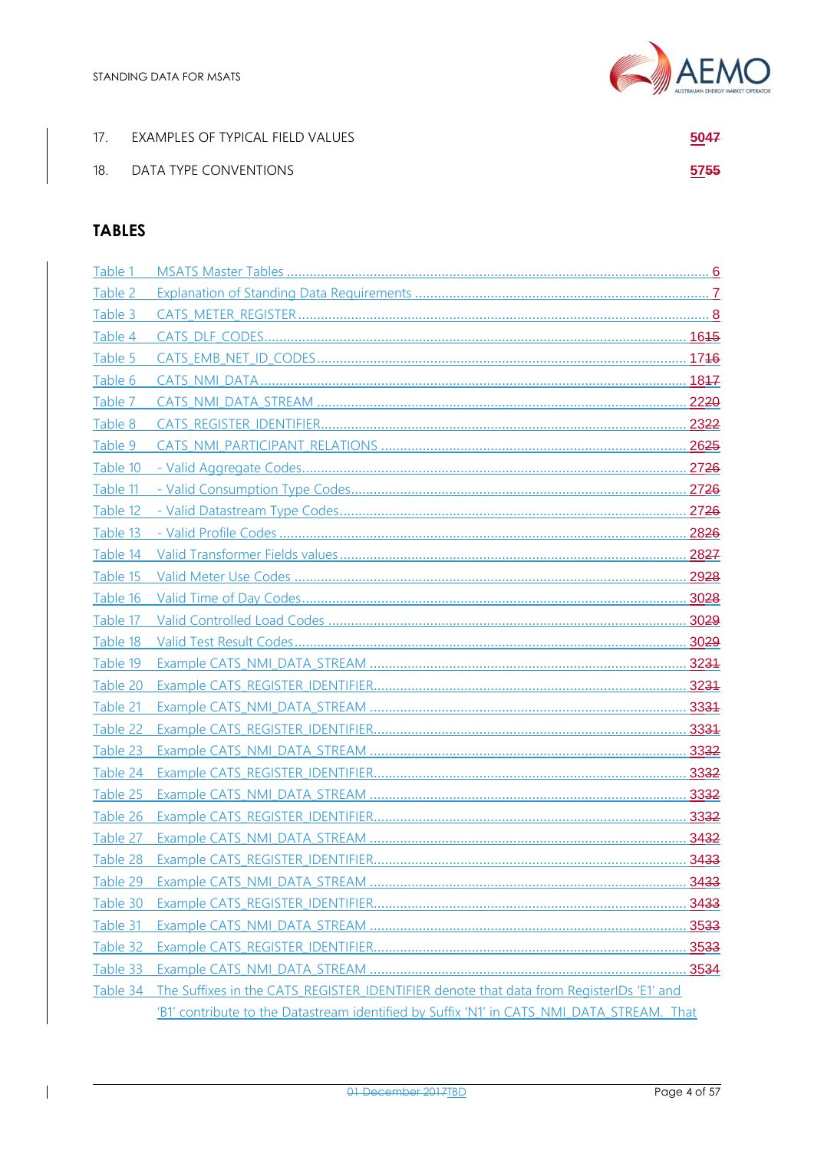| 17. | EXAMPLES OF TYPICAL FIELD VALUES | 5047 |
|-----|----------------------------------|------|
| 18. | DATA TYPE CONVENTIONS            | 5755 |

## **TABLES**

 $\overline{\phantom{a}}$ 

| Table 1  |                                                                                           |  |
|----------|-------------------------------------------------------------------------------------------|--|
| Table 2  |                                                                                           |  |
| Table 3  |                                                                                           |  |
| Table 4  |                                                                                           |  |
| Table 5  |                                                                                           |  |
| Table 6  |                                                                                           |  |
| Table 7  |                                                                                           |  |
| Table 8  |                                                                                           |  |
| Table 9  |                                                                                           |  |
| Table 10 |                                                                                           |  |
| Table 11 |                                                                                           |  |
| Table 12 |                                                                                           |  |
| Table 13 |                                                                                           |  |
| Table 14 |                                                                                           |  |
| Table 15 |                                                                                           |  |
| Table 16 |                                                                                           |  |
| Table 17 |                                                                                           |  |
| Table 18 |                                                                                           |  |
| Table 19 |                                                                                           |  |
| Table 20 |                                                                                           |  |
| Table 21 |                                                                                           |  |
| Table 22 |                                                                                           |  |
| Table 23 |                                                                                           |  |
| Table 24 |                                                                                           |  |
| Table 25 |                                                                                           |  |
| Table 26 |                                                                                           |  |
| Table 27 |                                                                                           |  |
|          |                                                                                           |  |
| Table 29 |                                                                                           |  |
| Table 30 |                                                                                           |  |
| Table 31 |                                                                                           |  |
| Table 32 |                                                                                           |  |
| Table 33 |                                                                                           |  |
| Table 34 | The Suffixes in the CATS REGISTER IDENTIFIER denote that data from RegisterIDs 'E1' and   |  |
|          | 'B1' contribute to the Datastream identified by Suffix 'N1' in CATS NMI DATA STREAM. That |  |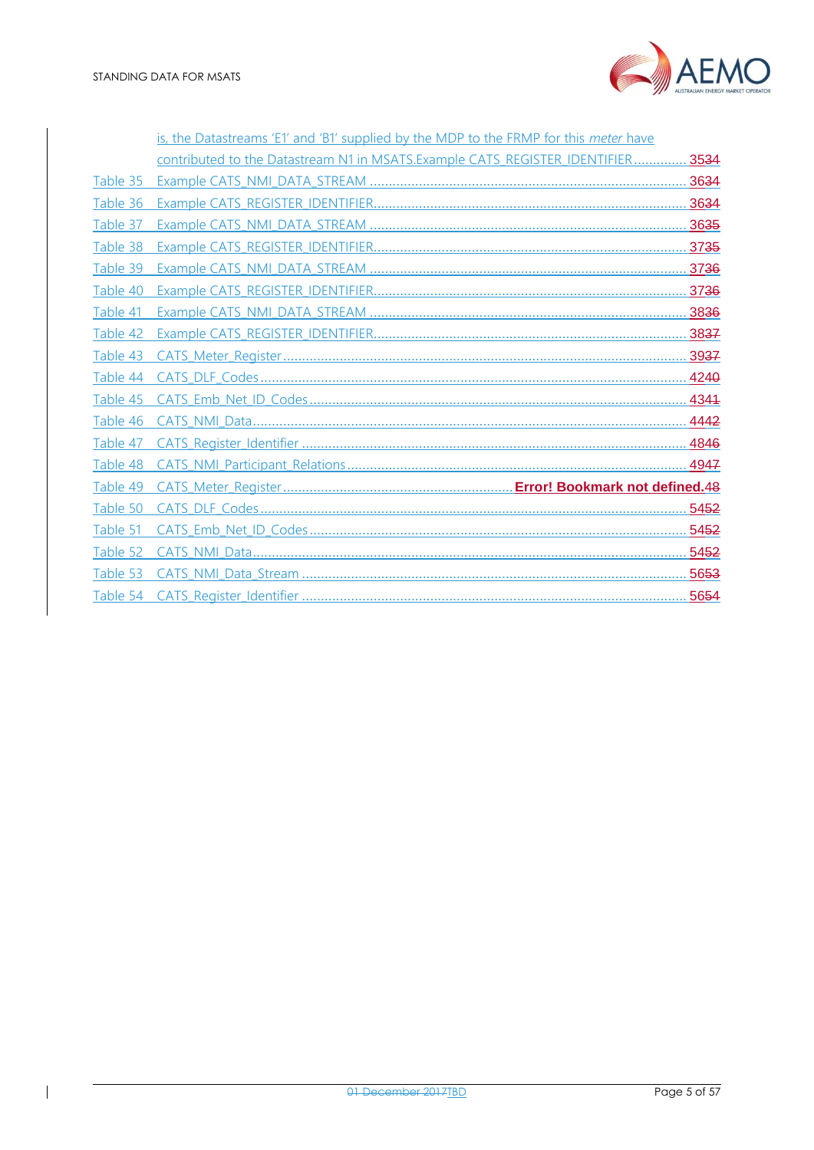

|          | is, the Datastreams 'E1' and 'B1' supplied by the MDP to the FRMP for this meter have |  |
|----------|---------------------------------------------------------------------------------------|--|
|          | contributed to the Datastream N1 in MSATS.Example CATS REGISTER IDENTIFIER 3534       |  |
| Table 35 |                                                                                       |  |
| Table 36 |                                                                                       |  |
| Table 37 |                                                                                       |  |
| Table 38 |                                                                                       |  |
| Table 39 |                                                                                       |  |
| Table 40 |                                                                                       |  |
| Table 41 |                                                                                       |  |
| Table 42 |                                                                                       |  |
| Table 43 |                                                                                       |  |
| Table 44 |                                                                                       |  |
| Table 45 |                                                                                       |  |
| Table 46 |                                                                                       |  |
| Table 47 |                                                                                       |  |
| Table 48 |                                                                                       |  |
| Table 49 |                                                                                       |  |
| Table 50 |                                                                                       |  |
| Table 51 |                                                                                       |  |
| Table 52 |                                                                                       |  |
| Table 53 |                                                                                       |  |
|          |                                                                                       |  |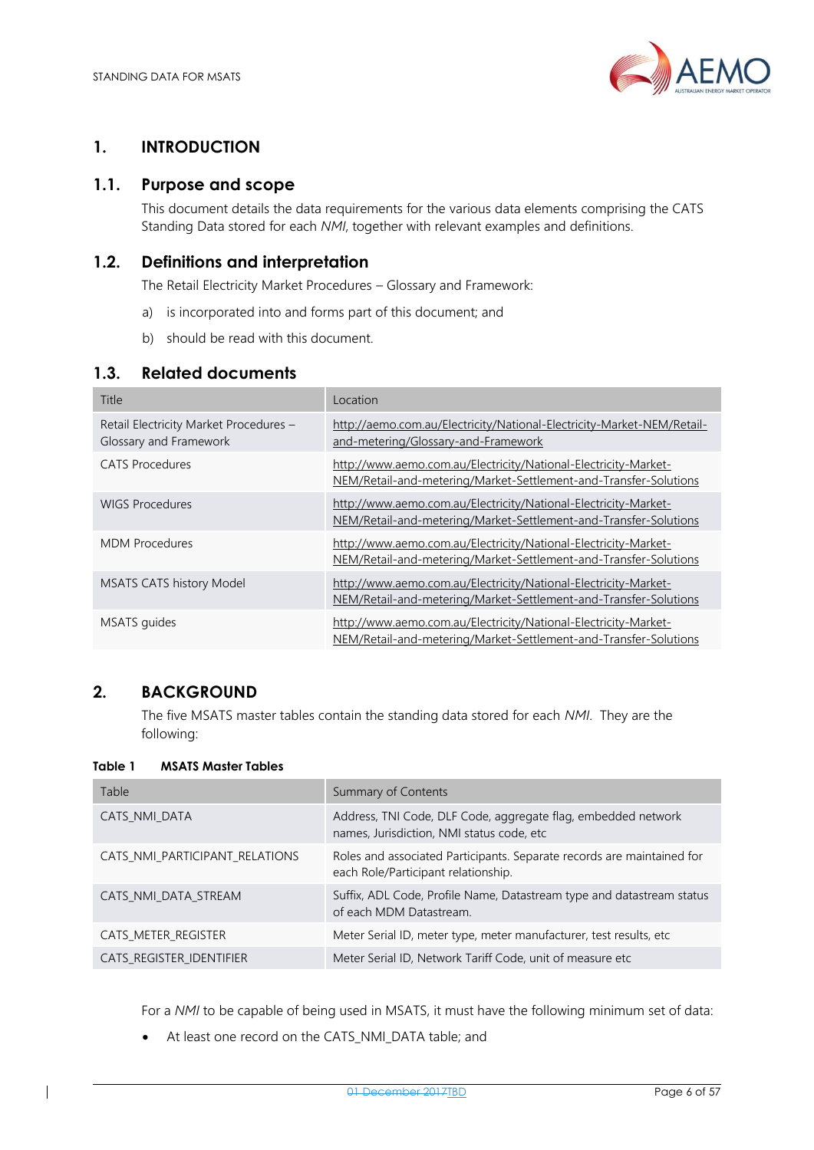

### <span id="page-5-0"></span>**1. INTRODUCTION**

### <span id="page-5-1"></span>**1.1. Purpose and scope**

This document details the data requirements for the various data elements comprising the CATS Standing Data stored for each *NMI*, together with relevant examples and definitions.

### <span id="page-5-2"></span>**1.2. Definitions and interpretation**

The Retail Electricity Market Procedures – Glossary and Framework:

- a) is incorporated into and forms part of this document; and
- b) should be read with this document.

### <span id="page-5-3"></span>**1.3. Related documents**

| Title                                                            | Location                                                                                                                            |
|------------------------------------------------------------------|-------------------------------------------------------------------------------------------------------------------------------------|
| Retail Electricity Market Procedures -<br>Glossary and Framework | http://aemo.com.au/Electricity/National-Electricity-Market-NEM/Retail-<br>and-metering/Glossary-and-Framework                       |
| CATS Procedures                                                  | http://www.aemo.com.au/Electricity/National-Electricity-Market-<br>NEM/Retail-and-metering/Market-Settlement-and-Transfer-Solutions |
| <b>WIGS Procedures</b>                                           | http://www.aemo.com.au/Electricity/National-Electricity-Market-<br>NEM/Retail-and-metering/Market-Settlement-and-Transfer-Solutions |
| <b>MDM Procedures</b>                                            | http://www.aemo.com.au/Electricity/National-Electricity-Market-<br>NEM/Retail-and-metering/Market-Settlement-and-Transfer-Solutions |
| <b>MSATS CATS history Model</b>                                  | http://www.aemo.com.au/Electricity/National-Electricity-Market-<br>NEM/Retail-and-metering/Market-Settlement-and-Transfer-Solutions |
| MSATS quides                                                     | http://www.aemo.com.au/Electricity/National-Electricity-Market-<br>NEM/Retail-and-metering/Market-Settlement-and-Transfer-Solutions |

### <span id="page-5-4"></span>**2. BACKGROUND**

The five MSATS master tables contain the standing data stored for each *NMI*. They are the following:

#### <span id="page-5-5"></span>**Table 1 MSATS Master Tables**

| Table                          | Summary of Contents                                                                                           |
|--------------------------------|---------------------------------------------------------------------------------------------------------------|
| CATS NMI DATA                  | Address, TNI Code, DLF Code, aggregate flag, embedded network<br>names, Jurisdiction, NMI status code, etc    |
| CATS_NMI_PARTICIPANT_RELATIONS | Roles and associated Participants. Separate records are maintained for<br>each Role/Participant relationship. |
| CATS NMI DATA STREAM           | Suffix, ADL Code, Profile Name, Datastream type and datastream status<br>of each MDM Datastream.              |
| CATS_METER_REGISTER            | Meter Serial ID, meter type, meter manufacturer, test results, etc                                            |
| CATS_REGISTER_IDENTIFIER       | Meter Serial ID, Network Tariff Code, unit of measure etc.                                                    |

For a *NMI* to be capable of being used in MSATS, it must have the following minimum set of data:

• At least one record on the CATS\_NMI\_DATA table; and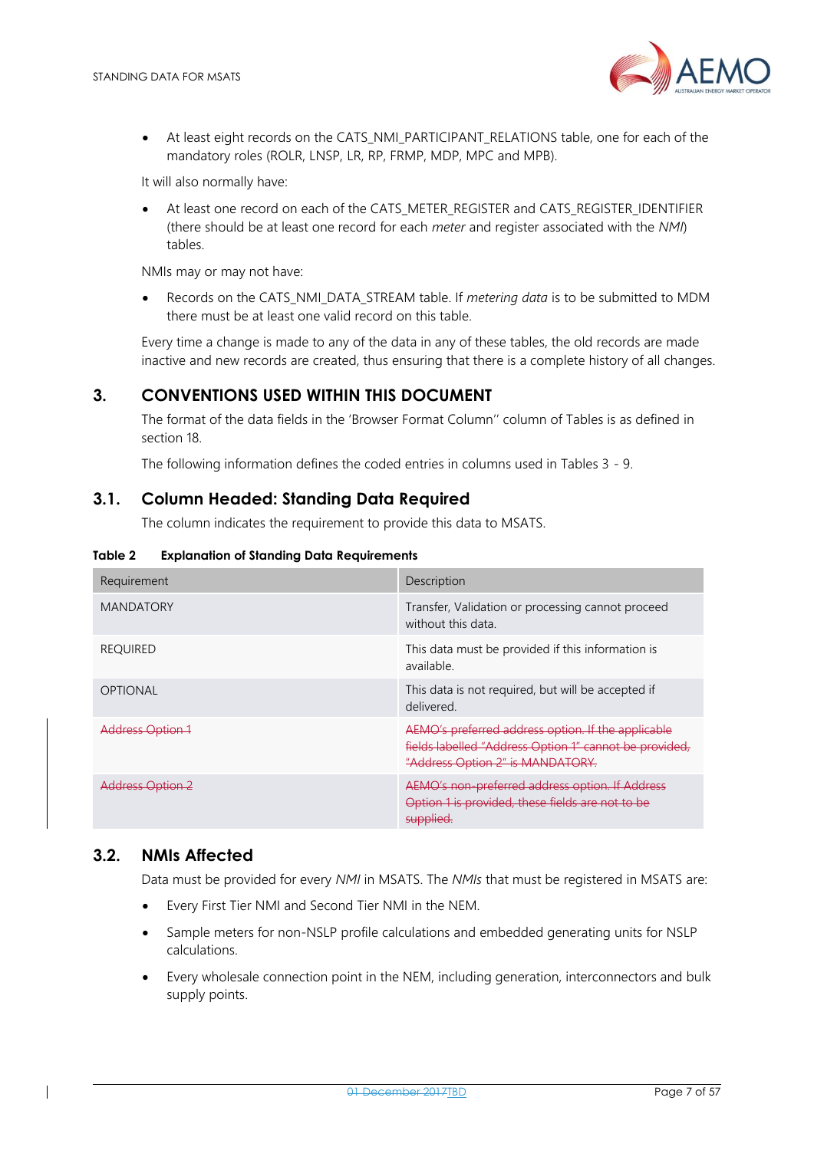

• At least eight records on the CATS\_NMI\_PARTICIPANT\_RELATIONS table, one for each of the mandatory roles (ROLR, LNSP, LR, RP, FRMP, MDP, MPC and MPB).

It will also normally have:

At least one record on each of the CATS\_METER\_REGISTER and CATS\_REGISTER\_IDENTIFIER (there should be at least one record for each *meter* and register associated with the *NMI*) tables.

NMIs may or may not have:

• Records on the CATS\_NMI\_DATA\_STREAM table. If *metering data* is to be submitted to MDM there must be at least one valid record on this table.

Every time a change is made to any of the data in any of these tables, the old records are made inactive and new records are created, thus ensuring that there is a complete history of all changes.

### <span id="page-6-0"></span>**3. CONVENTIONS USED WITHIN THIS DOCUMENT**

The format of the data fields in the 'Browser Format Column'' column of Tables is as defined in section 18.

The following information defines the coded entries in columns used in Tables 3 - 9.

### <span id="page-6-1"></span>**3.1. Column Headed: Standing Data Required**

The column indicates the requirement to provide this data to MSATS.

<span id="page-6-3"></span>

| <b>Explanation of Standing Data Requirements</b> | Table 2 |  |  |  |  |
|--------------------------------------------------|---------|--|--|--|--|
|--------------------------------------------------|---------|--|--|--|--|

| Requirement      | Description                                                                                                                                      |
|------------------|--------------------------------------------------------------------------------------------------------------------------------------------------|
| <b>MANDATORY</b> | Transfer, Validation or processing cannot proceed<br>without this data.                                                                          |
| <b>REOUIRED</b>  | This data must be provided if this information is<br>available.                                                                                  |
| <b>OPTIONAL</b>  | This data is not required, but will be accepted if<br>delivered.                                                                                 |
| Address Option 1 | AEMO's preferred address option. If the applicable<br>fields labelled "Address Option 1" cannot be provided,<br>"Address Option 2" is MANDATORY. |
| Address Option 2 | AEMO's non-preferred address option. If Address<br>Option 1 is provided, these fields are not to be<br>supplied.                                 |

### <span id="page-6-2"></span>**3.2. NMIs Affected**

Data must be provided for every *NMI* in MSATS. The *NMIs* that must be registered in MSATS are:

- Every First Tier NMI and Second Tier NMI in the NEM.
- Sample meters for non-NSLP profile calculations and embedded generating units for NSLP calculations.
- Every wholesale connection point in the NEM, including generation, interconnectors and bulk supply points.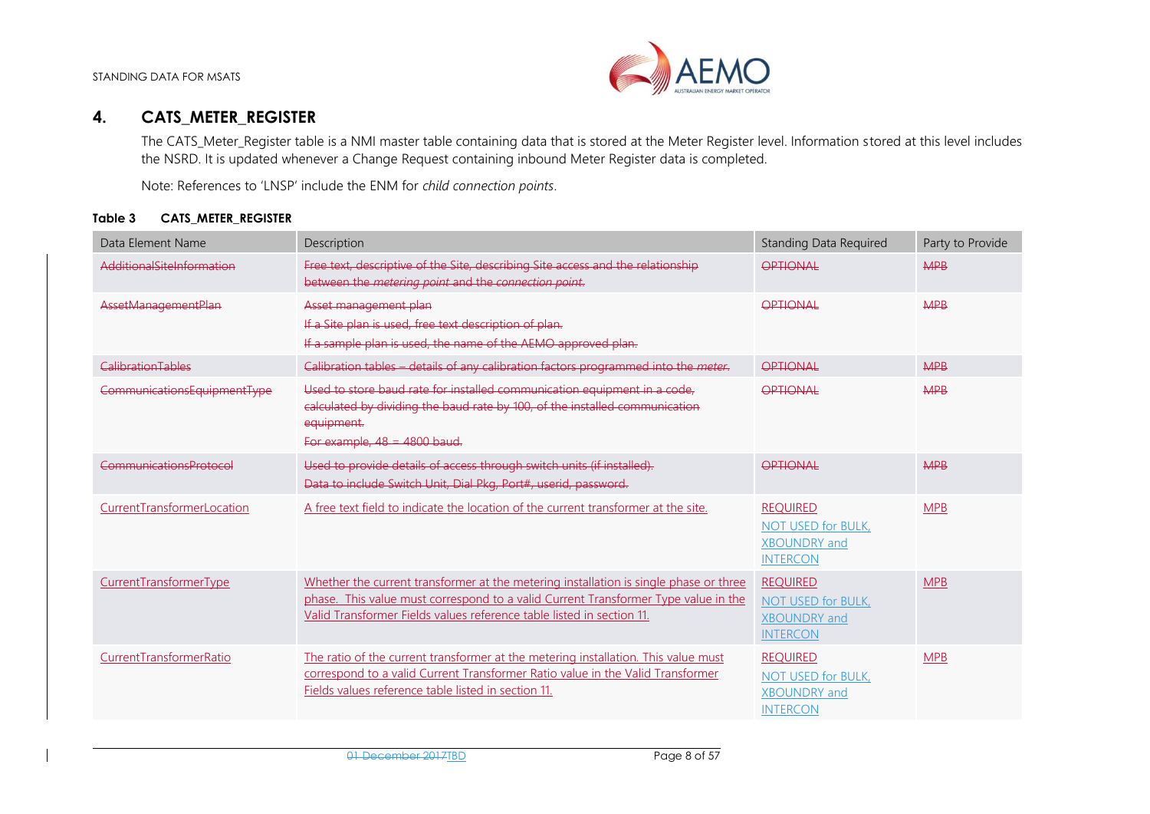

### **4. CATS\_METER\_REGISTER**

The CATS Meter Register table is a NMI master table containing data that is stored at the Meter Register level. Information stored at this level includes the NSRD. It is updated whenever a Change Request containing inbound Meter Register data is completed.

Note: References to 'LNSP' include the ENM for *child connection points*.

#### **Table 3 CATS\_METER\_REGISTER**

<span id="page-7-1"></span><span id="page-7-0"></span>

| Data Element Name           | Description                                                                                                                                                                                                                                          | <b>Standing Data Required</b>                                                          | Party to Provide |
|-----------------------------|------------------------------------------------------------------------------------------------------------------------------------------------------------------------------------------------------------------------------------------------------|----------------------------------------------------------------------------------------|------------------|
| AdditionalSiteInformation   | Free text, descriptive of the Site, describing Site access and the relationship<br>between the metering point and the connection point.                                                                                                              | OPTIONAL                                                                               | <b>MPB</b>       |
| AssetManagementPlan         | Asset management plan<br>If a Site plan is used, free text description of plan.<br>If a sample plan is used, the name of the AEMO approved plan.                                                                                                     | OPTIONAL                                                                               | <b>MPB</b>       |
| CalibrationTables           | Calibration tables - details of any calibration factors programmed into the meter.                                                                                                                                                                   | OPTIONAL                                                                               | <b>MPB</b>       |
| CommunicationsEquipmentType | Used to store baud rate for installed communication equipment in a code,<br>calculated by dividing the baud rate by 100, of the installed communication<br>equipment.<br>For example, $48 = 4800$ baud.                                              | OPTIONAL                                                                               | <b>MPB</b>       |
| CommunicationsProtocol      | Used to provide details of access through switch units (if installed).<br>Data to include Switch Unit, Dial Pkg, Port#, userid, password.                                                                                                            | OPTIONAL                                                                               | <b>MPB</b>       |
| CurrentTransformerLocation  | A free text field to indicate the location of the current transformer at the site.                                                                                                                                                                   | <b>REQUIRED</b><br><b>NOT USED for BULK,</b><br><b>XBOUNDRY</b> and<br><b>INTERCON</b> | <b>MPB</b>       |
| CurrentTransformerType      | Whether the current transformer at the metering installation is single phase or three<br>phase. This value must correspond to a valid Current Transformer Type value in the<br>Valid Transformer Fields values reference table listed in section 11. | <b>REQUIRED</b><br>NOT USED for BULK,<br><b>XBOUNDRY</b> and<br><b>INTERCON</b>        | <b>MPB</b>       |
| CurrentTransformerRatio     | The ratio of the current transformer at the metering installation. This value must<br>correspond to a valid Current Transformer Ratio value in the Valid Transformer<br>Fields values reference table listed in section 11.                          | <b>REQUIRED</b><br>NOT USED for BULK,<br><b>XBOUNDRY</b> and<br><b>INTERCON</b>        | <b>MPB</b>       |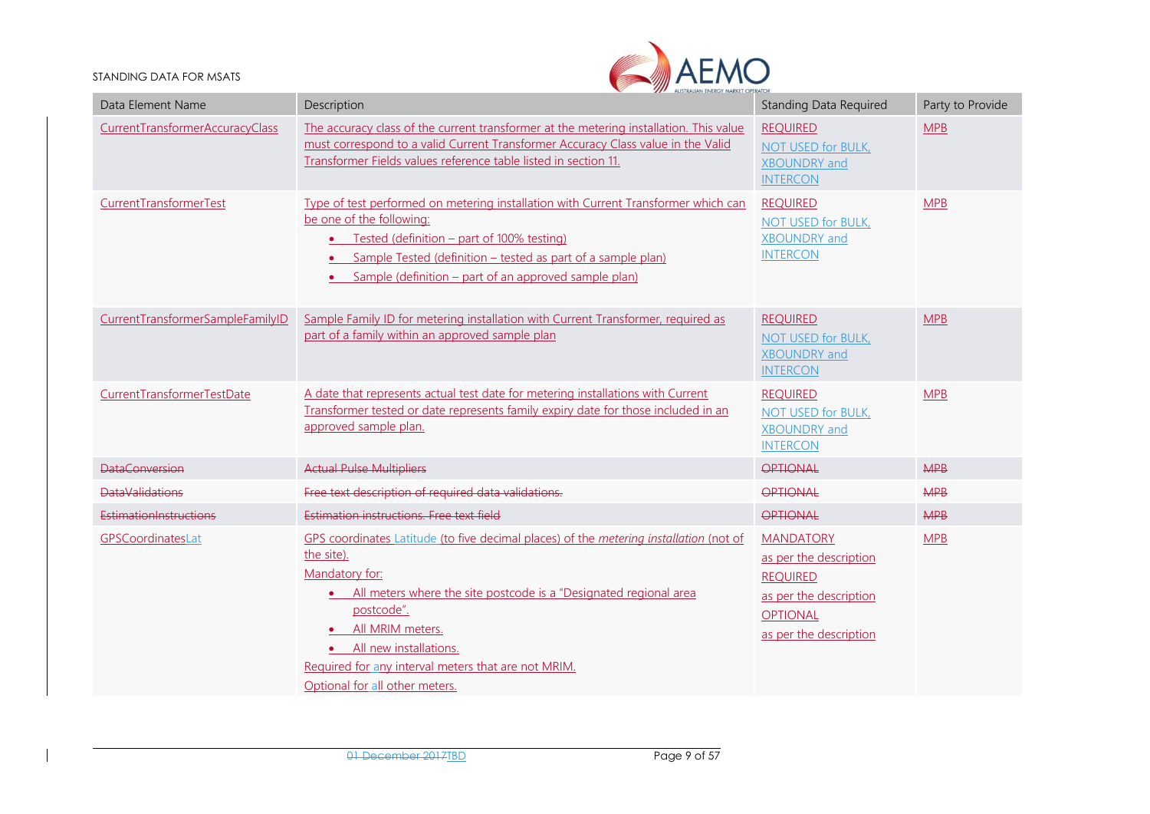

| Data Element Name                | Description                                                                                                                                                                                                                                                                                                                                          | <b>Standing Data Required</b>                                                                                                        | Party to Provide |
|----------------------------------|------------------------------------------------------------------------------------------------------------------------------------------------------------------------------------------------------------------------------------------------------------------------------------------------------------------------------------------------------|--------------------------------------------------------------------------------------------------------------------------------------|------------------|
| CurrentTransformerAccuracyClass  | The accuracy class of the current transformer at the metering installation. This value<br>must correspond to a valid Current Transformer Accuracy Class value in the Valid<br>Transformer Fields values reference table listed in section 11.                                                                                                        | <b>REQUIRED</b><br>NOT USED for BULK,<br><b>XBOUNDRY</b> and<br><b>INTERCON</b>                                                      | <b>MPB</b>       |
| CurrentTransformerTest           | Type of test performed on metering installation with Current Transformer which can<br>be one of the following:<br>• Tested (definition – part of 100% testing)<br>Sample Tested (definition - tested as part of a sample plan)<br>• Sample (definition – part of an approved sample plan)                                                            | <b>REQUIRED</b><br>NOT USED for BULK,<br><b>XBOUNDRY</b> and<br><b>INTERCON</b>                                                      | <b>MPB</b>       |
| CurrentTransformerSampleFamilyID | Sample Family ID for metering installation with Current Transformer, required as<br>part of a family within an approved sample plan                                                                                                                                                                                                                  | <b>REQUIRED</b><br><b>NOT USED for BULK,</b><br><b>XBOUNDRY</b> and<br><b>INTERCON</b>                                               | <b>MPB</b>       |
| CurrentTransformerTestDate       | A date that represents actual test date for metering installations with Current<br>Transformer tested or date represents family expiry date for those included in an<br>approved sample plan.                                                                                                                                                        | <b>REQUIRED</b><br><b>NOT USED for BULK,</b><br><b>XBOUNDRY</b> and<br><b>INTERCON</b>                                               | <b>MPB</b>       |
| <b>DataConversion</b>            | <b>Actual Pulse Multipliers</b>                                                                                                                                                                                                                                                                                                                      | <b>OPTIONAL</b>                                                                                                                      | <b>MPB</b>       |
| <b>DataValidations</b>           | Free text description of required data validations.                                                                                                                                                                                                                                                                                                  | OPTIONAL                                                                                                                             | <b>MPB</b>       |
| EstimationInstructions           | Estimation instructions. Free text field                                                                                                                                                                                                                                                                                                             | OPTIONAL                                                                                                                             | <b>MPB</b>       |
| GPSCoordinatesLat                | GPS coordinates Latitude (to five decimal places) of the metering installation (not of<br>the site).<br>Mandatory for:<br>• All meters where the site postcode is a "Designated regional area<br>postcode".<br>All MRIM meters.<br>• All new installations.<br>Required for any interval meters that are not MRIM.<br>Optional for all other meters. | <b>MANDATORY</b><br>as per the description<br><b>REQUIRED</b><br>as per the description<br><b>OPTIONAL</b><br>as per the description | MPB              |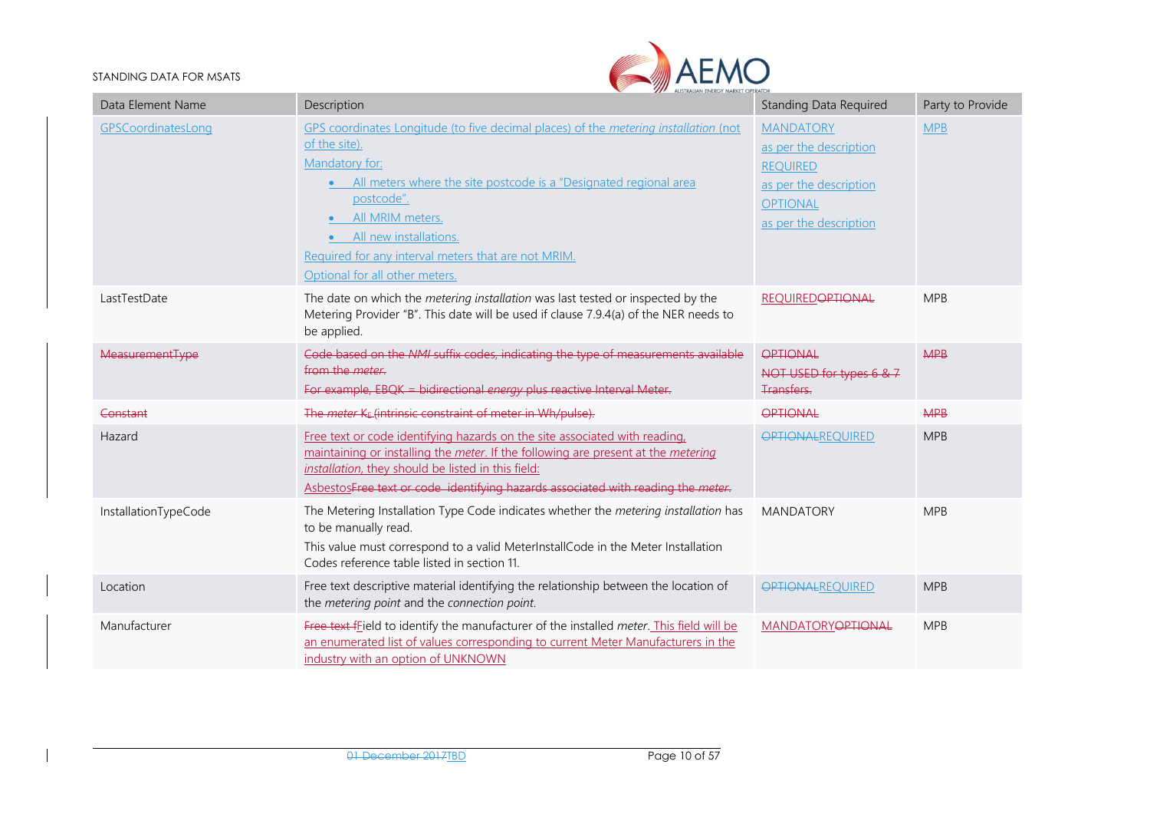

| Data Element Name      | Description                                                                                                                                                                                                                                                                                                                                                    | <b>Standing Data Required</b>                                                                                                        | Party to Provide |
|------------------------|----------------------------------------------------------------------------------------------------------------------------------------------------------------------------------------------------------------------------------------------------------------------------------------------------------------------------------------------------------------|--------------------------------------------------------------------------------------------------------------------------------------|------------------|
| GPSCoordinatesLong     | GPS coordinates Longitude (to five decimal places) of the metering installation (not<br>of the site).<br>Mandatory for:<br>All meters where the site postcode is a "Designated regional area<br>$\bullet$<br>postcode".<br>All MRIM meters.<br>All new installations.<br>Required for any interval meters that are not MRIM.<br>Optional for all other meters. | <b>MANDATORY</b><br>as per the description<br><b>REQUIRED</b><br>as per the description<br><b>OPTIONAL</b><br>as per the description | <b>MPB</b>       |
| LastTestDate           | The date on which the metering installation was last tested or inspected by the<br>Metering Provider "B". This date will be used if clause 7.9.4(a) of the NER needs to<br>be applied.                                                                                                                                                                         | <b>REQUIREDOPTIONAL</b>                                                                                                              | <b>MPB</b>       |
| <b>MeasurementType</b> | Code based on the NMI suffix codes, indicating the type of measurements available<br>from the <i>meter</i> .<br>For example, EBQK - bidirectional energy plus reactive Interval Meter.                                                                                                                                                                         | OPTIONAL<br>NOT USED for types 6 & 7<br>Transfers.                                                                                   | <b>MPB</b>       |
| Constant               | The meter KE (intrinsic constraint of meter in Wh/pulse).                                                                                                                                                                                                                                                                                                      | OPTIONAL                                                                                                                             | <b>MPB</b>       |
| Hazard                 | Free text or code identifying hazards on the site associated with reading,<br>maintaining or installing the meter. If the following are present at the metering<br>installation, they should be listed in this field:<br>AsbestosFree text or code identifying hazards associated with reading the meter.                                                      | <b>OPTIONALREQUIRED</b>                                                                                                              | <b>MPB</b>       |
| InstallationTypeCode   | The Metering Installation Type Code indicates whether the metering installation has<br>to be manually read.<br>This value must correspond to a valid MeterInstallCode in the Meter Installation<br>Codes reference table listed in section 11.                                                                                                                 | <b>MANDATORY</b>                                                                                                                     | <b>MPB</b>       |
| Location               | Free text descriptive material identifying the relationship between the location of<br>the metering point and the connection point.                                                                                                                                                                                                                            | <b>OPTIONALREQUIRED</b>                                                                                                              | <b>MPB</b>       |
| Manufacturer           | Free text fEield to identify the manufacturer of the installed meter. This field will be<br>an enumerated list of values corresponding to current Meter Manufacturers in the<br>industry with an option of UNKNOWN                                                                                                                                             | <b>MANDATORYOPTIONAL</b>                                                                                                             | <b>MPB</b>       |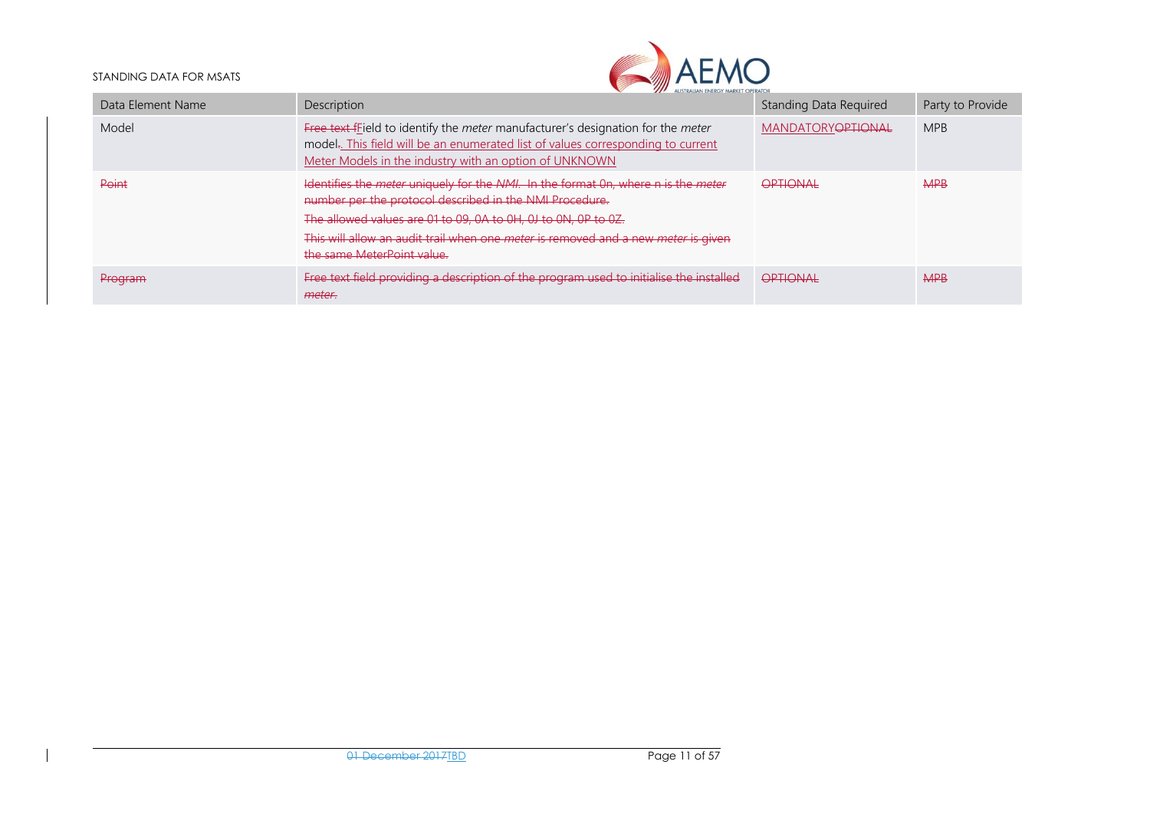

| Data Element Name | Description                                                                                                                                                                                                                                                                                                                                                           | Standing Data Required    | Party to Provide |
|-------------------|-----------------------------------------------------------------------------------------------------------------------------------------------------------------------------------------------------------------------------------------------------------------------------------------------------------------------------------------------------------------------|---------------------------|------------------|
| Model             | Free text frield to identify the meter manufacturer's designation for the meter<br>model. This field will be an enumerated list of values corresponding to current<br>Meter Models in the industry with an option of UNKNOWN                                                                                                                                          | <b>MANDATORY OPTIONAL</b> | <b>MPB</b>       |
| Point             | Identifies the <i>meter</i> uniquely for the <i>NMI</i> . In the format 0n, where n is the <i>meter</i><br>number per the protocol described in the NMI Procedure.<br>The allowed values are 01 to 09, 0A to 0H, 0J to 0N, 0P to 0Z.<br>This will allow an audit trail when one <i>meter</i> is removed and a new <i>meter</i> is given<br>the same MeterPoint value. | OPTIONAL                  | <b>MPB</b>       |
| Program           | Free text field providing a description of the program used to initialise the installed<br>meter.                                                                                                                                                                                                                                                                     | OPTIONAL                  | <b>MPB</b>       |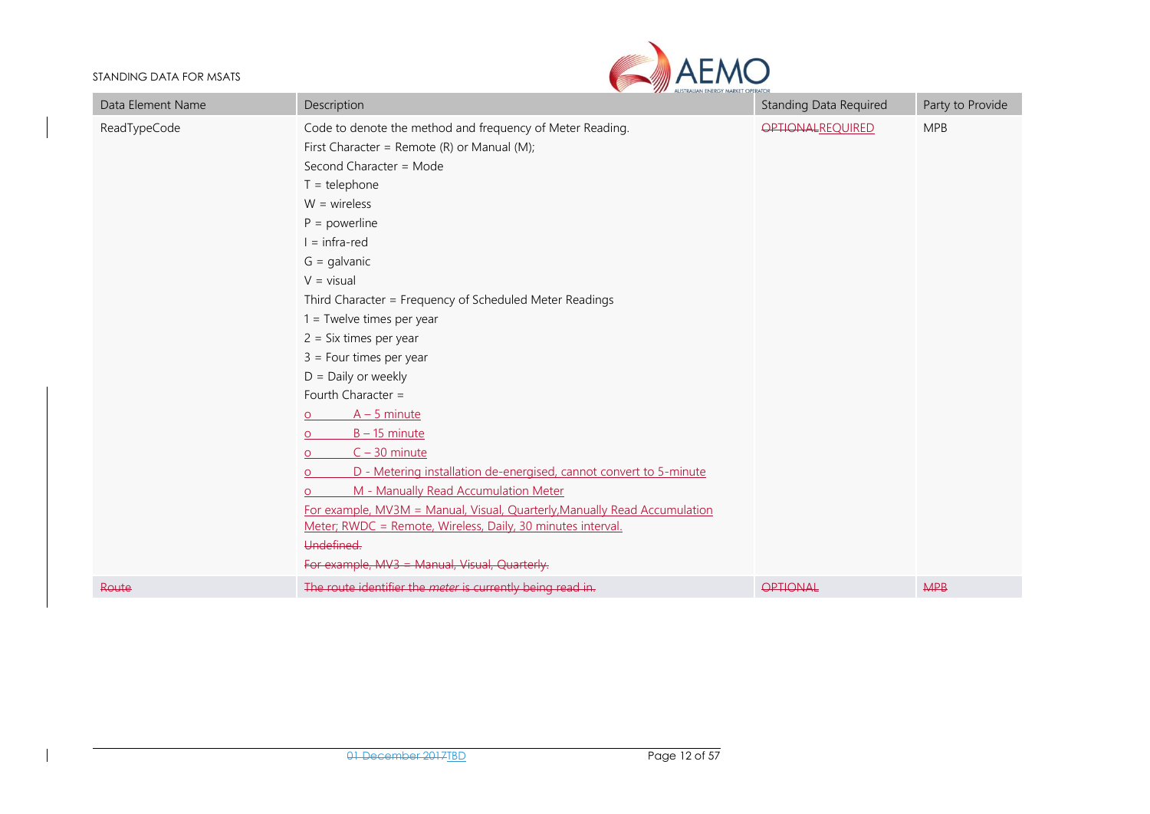

| Data Element Name | Description                                                               | Standing Data Required  | Party to Provide |
|-------------------|---------------------------------------------------------------------------|-------------------------|------------------|
| ReadTypeCode      | Code to denote the method and frequency of Meter Reading.                 | <b>OPTIONALREQUIRED</b> | <b>MPB</b>       |
|                   | First Character = Remote (R) or Manual (M);                               |                         |                  |
|                   | Second Character = Mode                                                   |                         |                  |
|                   | $T =$ telephone                                                           |                         |                  |
|                   | $W = wireless$                                                            |                         |                  |
|                   | $P = powerline$                                                           |                         |                  |
|                   | $l = infra-red$                                                           |                         |                  |
|                   | $G =$ galvanic                                                            |                         |                  |
|                   | $V = visual$                                                              |                         |                  |
|                   | Third Character = Frequency of Scheduled Meter Readings                   |                         |                  |
|                   | $1 =$ Twelve times per year                                               |                         |                  |
|                   | $2 = Six times per year$                                                  |                         |                  |
|                   | $3 =$ Four times per year                                                 |                         |                  |
|                   | $D =$ Daily or weekly                                                     |                         |                  |
|                   | Fourth Character =                                                        |                         |                  |
|                   | $A - 5$ minute<br>O                                                       |                         |                  |
|                   | $B - 15$ minute<br>$\Omega$                                               |                         |                  |
|                   | $C - 30$ minute                                                           |                         |                  |
|                   | D - Metering installation de-energised, cannot convert to 5-minute<br>∩   |                         |                  |
|                   | M - Manually Read Accumulation Meter                                      |                         |                  |
|                   | For example, MV3M = Manual, Visual, Quarterly, Manually Read Accumulation |                         |                  |
|                   | Meter; RWDC = Remote, Wireless, Daily, 30 minutes interval.               |                         |                  |
|                   | Undefined.                                                                |                         |                  |
|                   | For example, MV3 - Manual, Visual, Quarterly.                             |                         |                  |
| Route             | The route identifier the <i>meter</i> is currently being read in          | <b>OPTIONAL</b>         | <b>MPB</b>       |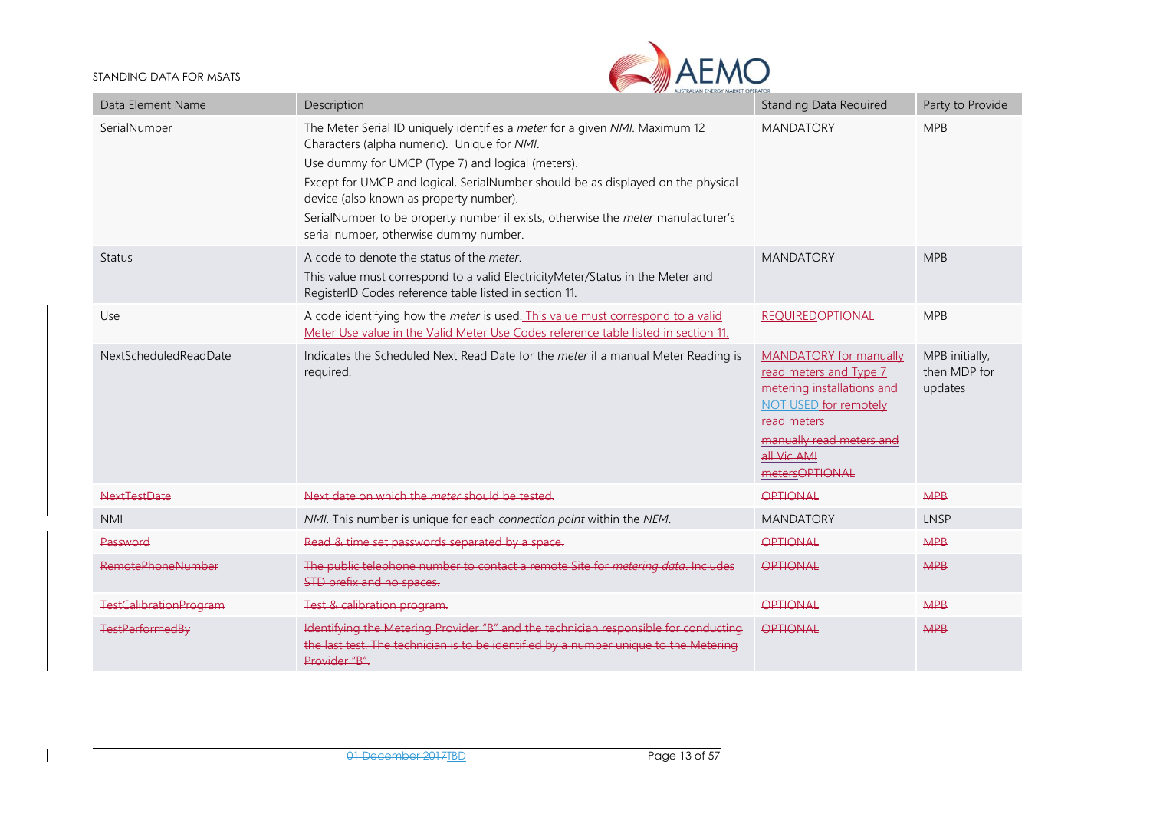

| Data Element Name             | Description                                                                                                                                                                                                                                                                                                                                                                                                                                  | <b>Standing Data Required</b>                                                                                                                                                              | Party to Provide                          |
|-------------------------------|----------------------------------------------------------------------------------------------------------------------------------------------------------------------------------------------------------------------------------------------------------------------------------------------------------------------------------------------------------------------------------------------------------------------------------------------|--------------------------------------------------------------------------------------------------------------------------------------------------------------------------------------------|-------------------------------------------|
| SerialNumber                  | The Meter Serial ID uniquely identifies a meter for a given NMI. Maximum 12<br>Characters (alpha numeric). Unique for NMI.<br>Use dummy for UMCP (Type 7) and logical (meters).<br>Except for UMCP and logical, SerialNumber should be as displayed on the physical<br>device (also known as property number).<br>SerialNumber to be property number if exists, otherwise the meter manufacturer's<br>serial number, otherwise dummy number. | <b>MANDATORY</b>                                                                                                                                                                           | <b>MPB</b>                                |
| <b>Status</b>                 | A code to denote the status of the meter.<br>This value must correspond to a valid ElectricityMeter/Status in the Meter and<br>RegisterID Codes reference table listed in section 11.                                                                                                                                                                                                                                                        | <b>MANDATORY</b>                                                                                                                                                                           | <b>MPB</b>                                |
| Use                           | A code identifying how the meter is used. This value must correspond to a valid<br>Meter Use value in the Valid Meter Use Codes reference table listed in section 11.                                                                                                                                                                                                                                                                        | <b>REQUIRED<del>OPTIONAL</del></b>                                                                                                                                                         | <b>MPB</b>                                |
| NextScheduledReadDate         | Indicates the Scheduled Next Read Date for the meter if a manual Meter Reading is<br>required.                                                                                                                                                                                                                                                                                                                                               | <b>MANDATORY</b> for manually<br>read meters and Type 7<br>metering installations and<br>NOT USED for remotely<br>read meters<br>manually read meters and<br>all Vic AMI<br>metersOPTIONAL | MPB initially,<br>then MDP for<br>updates |
| NextTestDate                  | Next date on which the <i>meter</i> should be tested.                                                                                                                                                                                                                                                                                                                                                                                        | OPTIONAL                                                                                                                                                                                   | <b>MPB</b>                                |
| <b>NMI</b>                    | NMI. This number is unique for each connection point within the NEM.                                                                                                                                                                                                                                                                                                                                                                         | <b>MANDATORY</b>                                                                                                                                                                           | LNSP                                      |
| Password                      | Read & time set passwords separated by a space.                                                                                                                                                                                                                                                                                                                                                                                              | OPTIONAL                                                                                                                                                                                   | <b>MPB</b>                                |
| <b>RemotePhoneNumber</b>      | The public telephone number to contact a remote Site for metering data. Includes<br>STD prefix and no spaces.                                                                                                                                                                                                                                                                                                                                | <b>OPTIONAL</b>                                                                                                                                                                            | <b>MPB</b>                                |
| <b>TestCalibrationProgram</b> | Test & calibration program.                                                                                                                                                                                                                                                                                                                                                                                                                  | OPTIONAL                                                                                                                                                                                   | <b>MPB</b>                                |
| <b>TestPerformedBy</b>        | Identifying the Metering Provider "B" and the technician responsible for conducting<br>the last test. The technician is to be identified by a number unique to the Metering<br>Provider "B".                                                                                                                                                                                                                                                 | OPTIONAL                                                                                                                                                                                   | <b>MPB</b>                                |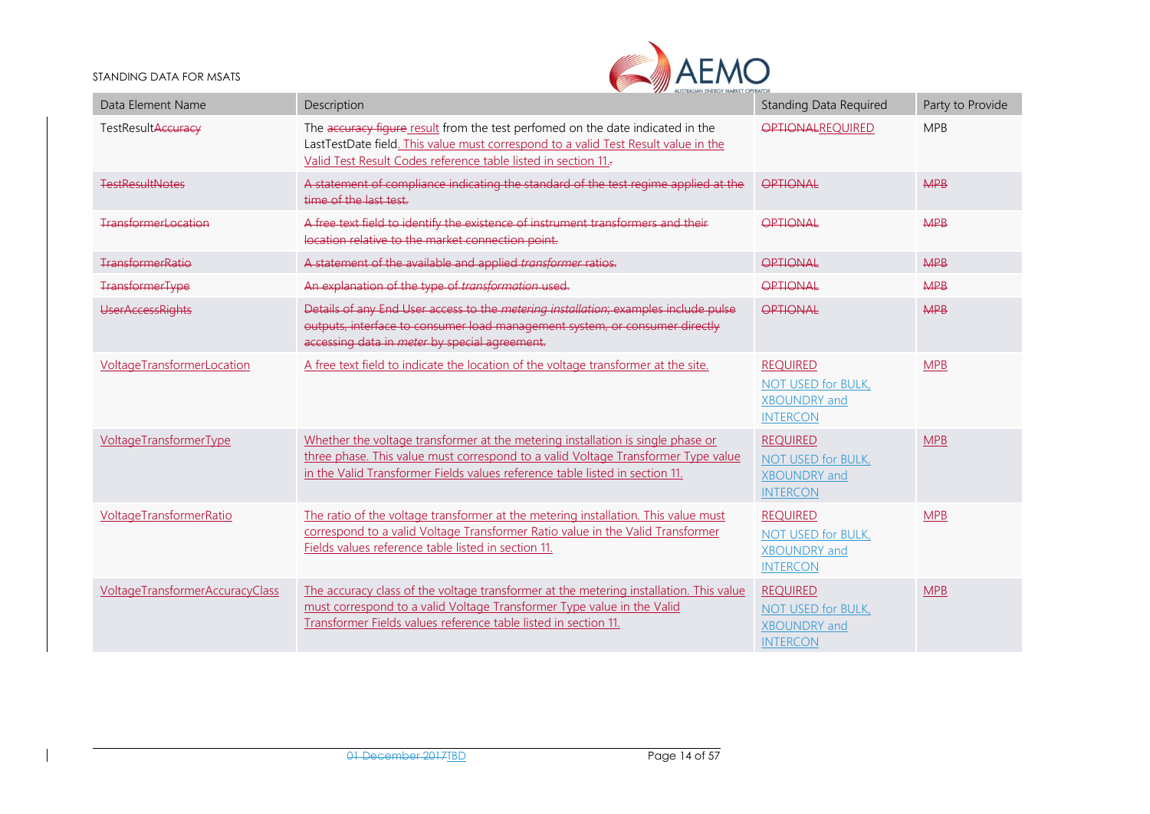

| Data Element Name               | Description                                                                                                                                                                                                                                          | <b>Standing Data Required</b>                                                   | Party to Provide |
|---------------------------------|------------------------------------------------------------------------------------------------------------------------------------------------------------------------------------------------------------------------------------------------------|---------------------------------------------------------------------------------|------------------|
| TestResultAccuracy              | The accuracy figure result from the test perfomed on the date indicated in the<br>LastTestDate field. This value must correspond to a valid Test Result value in the<br>Valid Test Result Codes reference table listed in section 11.                | <b>OPTIONALREQUIRED</b>                                                         | <b>MPB</b>       |
| <b>TestResultNotes</b>          | A statement of compliance indicating the standard of the test regime applied at the<br>time of the last test.                                                                                                                                        | OPTIONAL                                                                        | <b>MPB</b>       |
| <b>TransformerLocation</b>      | A free text field to identify the existence of instrument transformers and their<br>location relative to the market connection point.                                                                                                                | <b>OPTIONAL</b>                                                                 | <b>MPB</b>       |
| <b>TransformerRatio</b>         | A statement of the available and applied transformer ratios.                                                                                                                                                                                         | OPTIONAL                                                                        | <b>MPB</b>       |
| <b>TransformerType</b>          | An explanation of the type of transformation used.                                                                                                                                                                                                   | OPTIONAL                                                                        | <b>MPB</b>       |
| <b>UserAccessRights</b>         | Details of any End User access to the metering installation; examples include pulse<br>outputs, interface to consumer load management system, or consumer directly<br>accessing data in meter by special agreement.                                  | OPTIONAL                                                                        | <b>MPB</b>       |
| VoltageTransformerLocation      | A free text field to indicate the location of the voltage transformer at the site.                                                                                                                                                                   | <b>REQUIRED</b><br>NOT USED for BULK,<br><b>XBOUNDRY</b> and<br><b>INTERCON</b> | <b>MPB</b>       |
| VoltageTransformerType          | Whether the voltage transformer at the metering installation is single phase or<br>three phase. This value must correspond to a valid Voltage Transformer Type value<br>in the Valid Transformer Fields values reference table listed in section 11. | <b>REQUIRED</b><br>NOT USED for BULK,<br><b>XBOUNDRY</b> and<br><b>INTERCON</b> | <b>MPB</b>       |
| VoltageTransformerRatio         | The ratio of the voltage transformer at the metering installation. This value must<br>correspond to a valid Voltage Transformer Ratio value in the Valid Transformer<br>Fields values reference table listed in section 11.                          | <b>REQUIRED</b><br>NOT USED for BULK,<br><b>XBOUNDRY</b> and<br><b>INTERCON</b> | <b>MPB</b>       |
| VoltageTransformerAccuracyClass | The accuracy class of the voltage transformer at the metering installation. This value<br>must correspond to a valid Voltage Transformer Type value in the Valid<br>Transformer Fields values reference table listed in section 11.                  | <b>REQUIRED</b><br>NOT USED for BULK,<br><b>XBOUNDRY</b> and<br><b>INTERCON</b> | <b>MPB</b>       |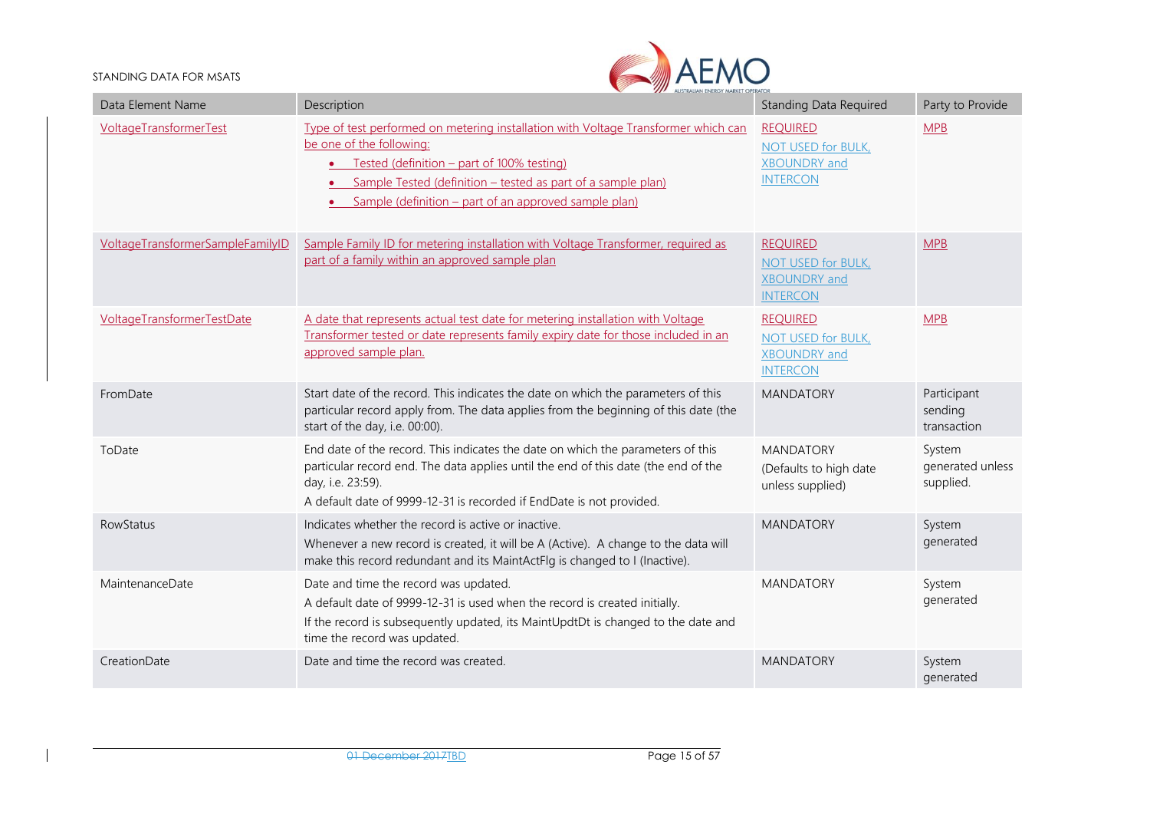

| Data Element Name                 | Description                                                                                                                                                                                                                                                                             | <b>Standing Data Required</b>                                                          | Party to Provide                        |
|-----------------------------------|-----------------------------------------------------------------------------------------------------------------------------------------------------------------------------------------------------------------------------------------------------------------------------------------|----------------------------------------------------------------------------------------|-----------------------------------------|
| <b>VoltageTransformerTest</b>     | Type of test performed on metering installation with Voltage Transformer which can<br>be one of the following:<br>• Tested (definition - part of 100% testing)<br>Sample Tested (definition - tested as part of a sample plan)<br>Sample (definition – part of an approved sample plan) | <b>REOUIRED</b><br>NOT USED for BULK,<br><b>XBOUNDRY</b> and<br><b>INTERCON</b>        | <b>MPB</b>                              |
| VoltageTransformerSampleFamilyID  | Sample Family ID for metering installation with Voltage Transformer, required as<br>part of a family within an approved sample plan                                                                                                                                                     | <b>REQUIRED</b><br><b>NOT USED for BULK,</b><br><b>XBOUNDRY</b> and<br><b>INTERCON</b> | <b>MPB</b>                              |
| <b>VoltageTransformerTestDate</b> | A date that represents actual test date for metering installation with Voltage<br>Transformer tested or date represents family expiry date for those included in an<br>approved sample plan.                                                                                            | <b>REQUIRED</b><br>NOT USED for BULK,<br><b>XBOUNDRY</b> and<br><b>INTERCON</b>        | <b>MPB</b>                              |
| FromDate                          | Start date of the record. This indicates the date on which the parameters of this<br>particular record apply from. The data applies from the beginning of this date (the<br>start of the day, i.e. 00:00).                                                                              | <b>MANDATORY</b>                                                                       | Participant<br>sending<br>transaction   |
| ToDate                            | End date of the record. This indicates the date on which the parameters of this<br>particular record end. The data applies until the end of this date (the end of the<br>day, i.e. 23:59).<br>A default date of 9999-12-31 is recorded if EndDate is not provided.                      | <b>MANDATORY</b><br>(Defaults to high date<br>unless supplied)                         | System<br>generated unless<br>supplied. |
| RowStatus                         | Indicates whether the record is active or inactive.<br>Whenever a new record is created, it will be A (Active). A change to the data will<br>make this record redundant and its MaintActFlg is changed to I (Inactive).                                                                 | <b>MANDATORY</b>                                                                       | System<br>generated                     |
| MaintenanceDate                   | Date and time the record was updated.<br>A default date of 9999-12-31 is used when the record is created initially.<br>If the record is subsequently updated, its MaintUpdtDt is changed to the date and<br>time the record was updated.                                                | <b>MANDATORY</b>                                                                       | System<br>generated                     |
| CreationDate                      | Date and time the record was created.                                                                                                                                                                                                                                                   | <b>MANDATORY</b>                                                                       | System<br>generated                     |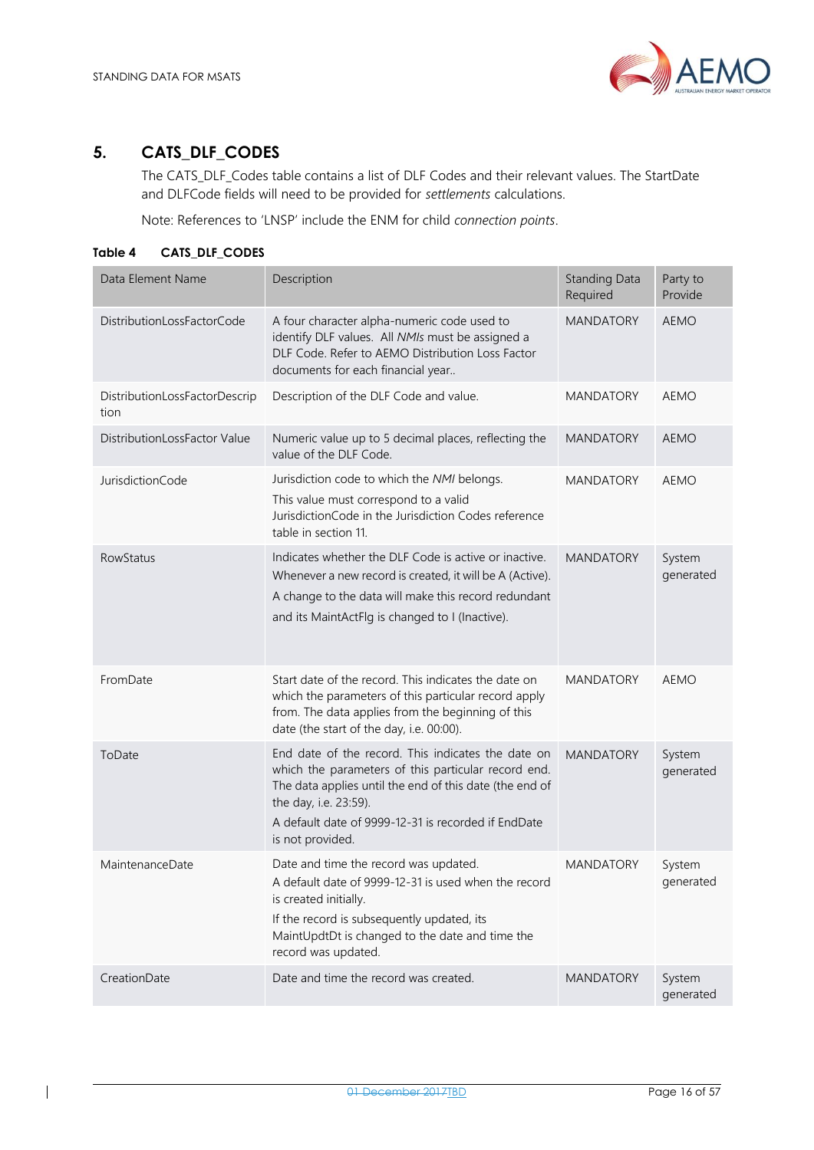

### <span id="page-15-0"></span>**5. CATS\_DLF\_CODES**

The CATS\_DLF\_Codes table contains a list of DLF Codes and their relevant values. The StartDate and DLFCode fields will need to be provided for *settlements* calculations.

Note: References to 'LNSP' include the ENM for child *connection points*.

<span id="page-15-1"></span>**Table 4 CATS\_DLF\_CODES**

| Data Element Name                     | Description                                                                                                                                                                                                                                                              | <b>Standing Data</b><br>Required | Party to<br>Provide |
|---------------------------------------|--------------------------------------------------------------------------------------------------------------------------------------------------------------------------------------------------------------------------------------------------------------------------|----------------------------------|---------------------|
| DistributionLossFactorCode            | A four character alpha-numeric code used to<br>identify DLF values. All NMIs must be assigned a<br>DLF Code. Refer to AEMO Distribution Loss Factor<br>documents for each financial year                                                                                 | <b>MANDATORY</b>                 | <b>AEMO</b>         |
| DistributionLossFactorDescrip<br>tion | Description of the DLF Code and value.                                                                                                                                                                                                                                   | <b>MANDATORY</b>                 | <b>AEMO</b>         |
| DistributionLossFactor Value          | Numeric value up to 5 decimal places, reflecting the<br>value of the DLF Code.                                                                                                                                                                                           | <b>MANDATORY</b>                 | <b>AEMO</b>         |
| JurisdictionCode                      | Jurisdiction code to which the NMI belongs.<br>This value must correspond to a valid<br>JurisdictionCode in the Jurisdiction Codes reference<br>table in section 11.                                                                                                     | <b>MANDATORY</b>                 | <b>AEMO</b>         |
| <b>RowStatus</b>                      | Indicates whether the DLF Code is active or inactive.<br>Whenever a new record is created, it will be A (Active).<br>A change to the data will make this record redundant<br>and its MaintActFlg is changed to I (Inactive).                                             | <b>MANDATORY</b>                 | System<br>generated |
| FromDate                              | Start date of the record. This indicates the date on<br>which the parameters of this particular record apply<br>from. The data applies from the beginning of this<br>date (the start of the day, i.e. 00:00).                                                            | <b>MANDATORY</b>                 | <b>AEMO</b>         |
| ToDate                                | End date of the record. This indicates the date on<br>which the parameters of this particular record end.<br>The data applies until the end of this date (the end of<br>the day, i.e. 23:59).<br>A default date of 9999-12-31 is recorded if EndDate<br>is not provided. | <b>MANDATORY</b>                 | System<br>generated |
| MaintenanceDate                       | Date and time the record was updated.<br>A default date of 9999-12-31 is used when the record<br>is created initially.<br>If the record is subsequently updated, its<br>MaintUpdtDt is changed to the date and time the<br>record was updated.                           | <b>MANDATORY</b>                 | System<br>generated |
| CreationDate                          | Date and time the record was created.                                                                                                                                                                                                                                    | <b>MANDATORY</b>                 | System<br>generated |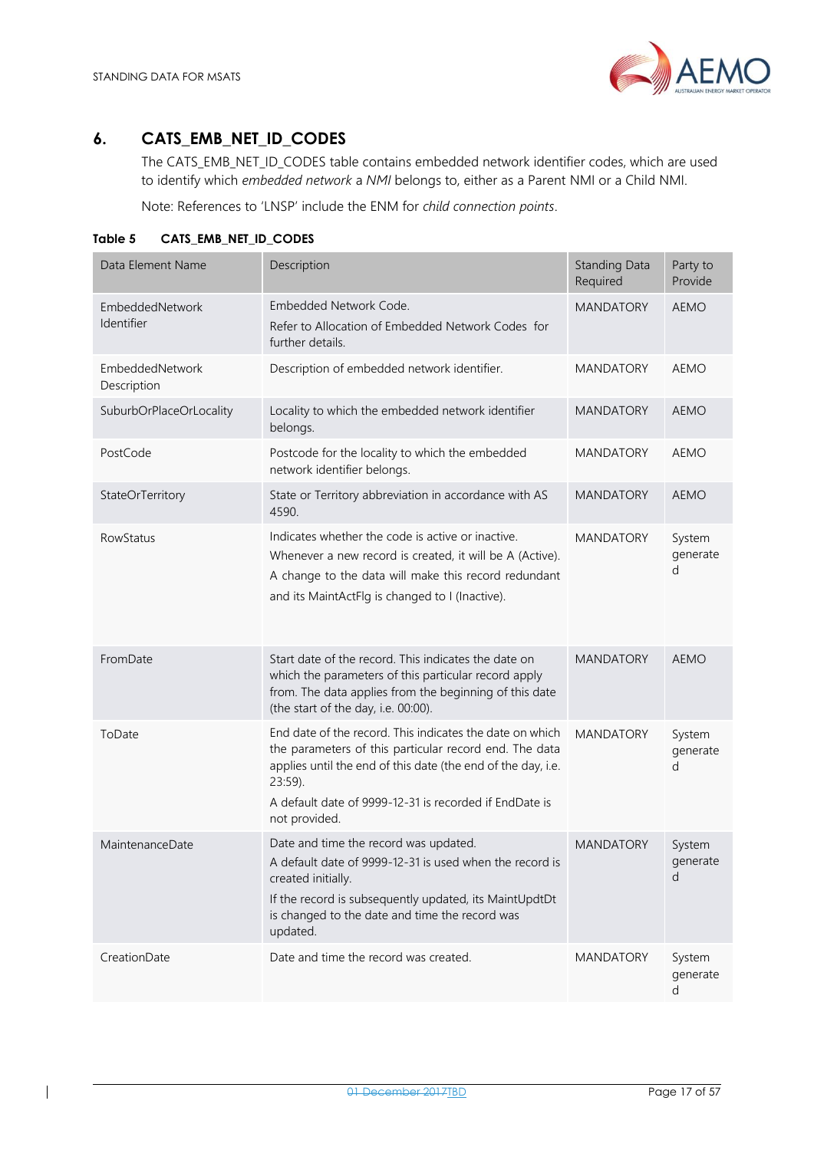

### <span id="page-16-0"></span>**6. CATS\_EMB\_NET\_ID\_CODES**

The CATS\_EMB\_NET\_ID\_CODES table contains embedded network identifier codes, which are used to identify which *embedded network* a *NMI* belongs to, either as a Parent NMI or a Child NMI.

Note: References to 'LNSP' include the ENM for *child connection points*.

| Data Element Name              | Description                                                                                                                                                                                                                                                                 | <b>Standing Data</b><br>Required | Party to<br>Provide     |
|--------------------------------|-----------------------------------------------------------------------------------------------------------------------------------------------------------------------------------------------------------------------------------------------------------------------------|----------------------------------|-------------------------|
| EmbeddedNetwork<br>Identifier  | Embedded Network Code.<br>Refer to Allocation of Embedded Network Codes for<br>further details.                                                                                                                                                                             | <b>MANDATORY</b>                 | <b>AEMO</b>             |
| EmbeddedNetwork<br>Description | Description of embedded network identifier.                                                                                                                                                                                                                                 | <b>MANDATORY</b>                 | <b>AEMO</b>             |
| SuburbOrPlaceOrLocality        | Locality to which the embedded network identifier<br>belongs.                                                                                                                                                                                                               | <b>MANDATORY</b>                 | <b>AEMO</b>             |
| PostCode                       | Postcode for the locality to which the embedded<br>network identifier belongs.                                                                                                                                                                                              | <b>MANDATORY</b>                 | <b>AEMO</b>             |
| StateOrTerritory               | State or Territory abbreviation in accordance with AS<br>4590.                                                                                                                                                                                                              | <b>MANDATORY</b>                 | <b>AEMO</b>             |
| RowStatus                      | Indicates whether the code is active or inactive.<br>Whenever a new record is created, it will be A (Active).<br>A change to the data will make this record redundant<br>and its MaintActFlg is changed to I (Inactive).                                                    | <b>MANDATORY</b>                 | System<br>generate<br>d |
| FromDate                       | Start date of the record. This indicates the date on<br>which the parameters of this particular record apply<br>from. The data applies from the beginning of this date<br>(the start of the day, i.e. 00:00).                                                               | <b>MANDATORY</b>                 | <b>AEMO</b>             |
| ToDate                         | End date of the record. This indicates the date on which<br>the parameters of this particular record end. The data<br>applies until the end of this date (the end of the day, i.e.<br>$23:59$ ).<br>A default date of 9999-12-31 is recorded if EndDate is<br>not provided. | <b>MANDATORY</b>                 | System<br>generate<br>d |
| MaintenanceDate                | Date and time the record was updated.<br>A default date of 9999-12-31 is used when the record is<br>created initially.<br>If the record is subsequently updated, its MaintUpdtDt<br>is changed to the date and time the record was<br>updated.                              | <b>MANDATORY</b>                 | System<br>generate<br>d |
| CreationDate                   | Date and time the record was created.                                                                                                                                                                                                                                       | <b>MANDATORY</b>                 | System<br>generate<br>d |

<span id="page-16-1"></span>**Table 5 CATS\_EMB\_NET\_ID\_CODES**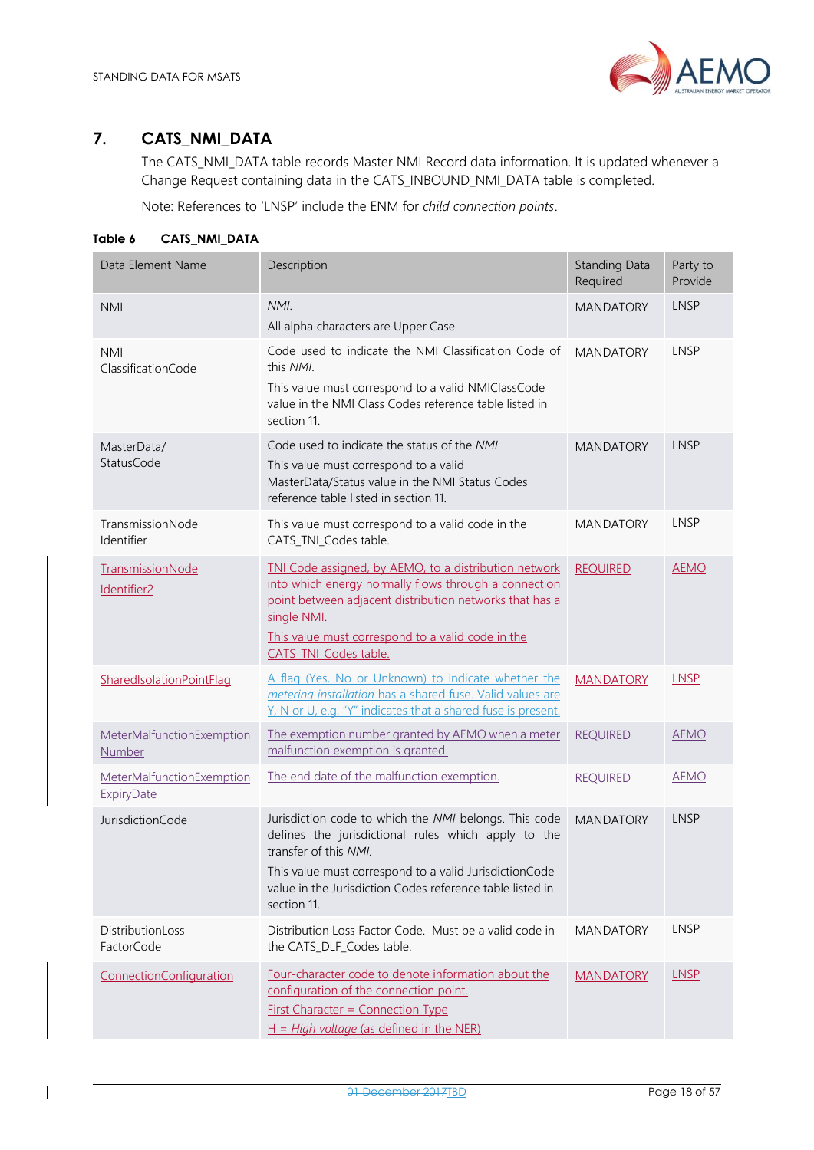

# <span id="page-17-0"></span>**7. CATS\_NMI\_DATA**

The CATS\_NMI\_DATA table records Master NMI Record data information. It is updated whenever a Change Request containing data in the CATS\_INBOUND\_NMI\_DATA table is completed.

Note: References to 'LNSP' include the ENM for *child connection points*.

#### <span id="page-17-1"></span>**Table 6 CATS\_NMI\_DATA**

 $\overline{\phantom{a}}$ 

| Data Element Name                              | Description                                                                                                                                                                                                                                                                 | <b>Standing Data</b><br>Required | Party to<br>Provide |
|------------------------------------------------|-----------------------------------------------------------------------------------------------------------------------------------------------------------------------------------------------------------------------------------------------------------------------------|----------------------------------|---------------------|
| <b>NMI</b>                                     | NMI.<br>All alpha characters are Upper Case                                                                                                                                                                                                                                 | <b>MANDATORY</b>                 | <b>LNSP</b>         |
| <b>NMI</b><br>ClassificationCode               | Code used to indicate the NMI Classification Code of<br>this NMI.<br>This value must correspond to a valid NMIClassCode<br>value in the NMI Class Codes reference table listed in<br>section 11.                                                                            | <b>MANDATORY</b>                 | LNSP                |
| MasterData/<br>StatusCode                      | Code used to indicate the status of the NML<br>This value must correspond to a valid<br>MasterData/Status value in the NMI Status Codes<br>reference table listed in section 11.                                                                                            | <b>MANDATORY</b>                 | <b>LNSP</b>         |
| TransmissionNode<br>Identifier                 | This value must correspond to a valid code in the<br>CATS TNI Codes table.                                                                                                                                                                                                  | <b>MANDATORY</b>                 | LNSP                |
| TransmissionNode<br>Identifier <sub>2</sub>    | TNI Code assigned, by AEMO, to a distribution network<br>into which energy normally flows through a connection<br>point between adjacent distribution networks that has a<br>single NMI.<br>This value must correspond to a valid code in the<br>CATS TNI Codes table.      | <b>REQUIRED</b>                  | <b>AEMO</b>         |
| SharedIsolationPointFlag                       | A flag (Yes, No or Unknown) to indicate whether the<br>metering installation has a shared fuse. Valid values are<br>Y, N or U, e.g. "Y" indicates that a shared fuse is present.                                                                                            | <b>MANDATORY</b>                 | <b>LNSP</b>         |
| MeterMalfunctionExemption<br>Number            | The exemption number granted by AEMO when a meter<br>malfunction exemption is granted.                                                                                                                                                                                      | <b>REQUIRED</b>                  | <b>AEMO</b>         |
| MeterMalfunctionExemption<br><b>ExpiryDate</b> | The end date of the malfunction exemption.                                                                                                                                                                                                                                  | <b>REQUIRED</b>                  | <b>AEMO</b>         |
| JurisdictionCode                               | Jurisdiction code to which the NMI belongs. This code<br>defines the jurisdictional rules which apply to the<br>transfer of this NMI.<br>This value must correspond to a valid JurisdictionCode<br>value in the Jurisdiction Codes reference table listed in<br>section 11. | <b>MANDATORY</b>                 | LNSP                |
| DistributionLoss<br>FactorCode                 | Distribution Loss Factor Code. Must be a valid code in<br>the CATS_DLF_Codes table.                                                                                                                                                                                         | <b>MANDATORY</b>                 | LNSP                |
| ConnectionConfiguration                        | Four-character code to denote information about the<br>configuration of the connection point.<br><b>First Character = Connection Type</b><br>$H = High voltage$ (as defined in the NER)                                                                                     | <b>MANDATORY</b>                 | <b>LNSP</b>         |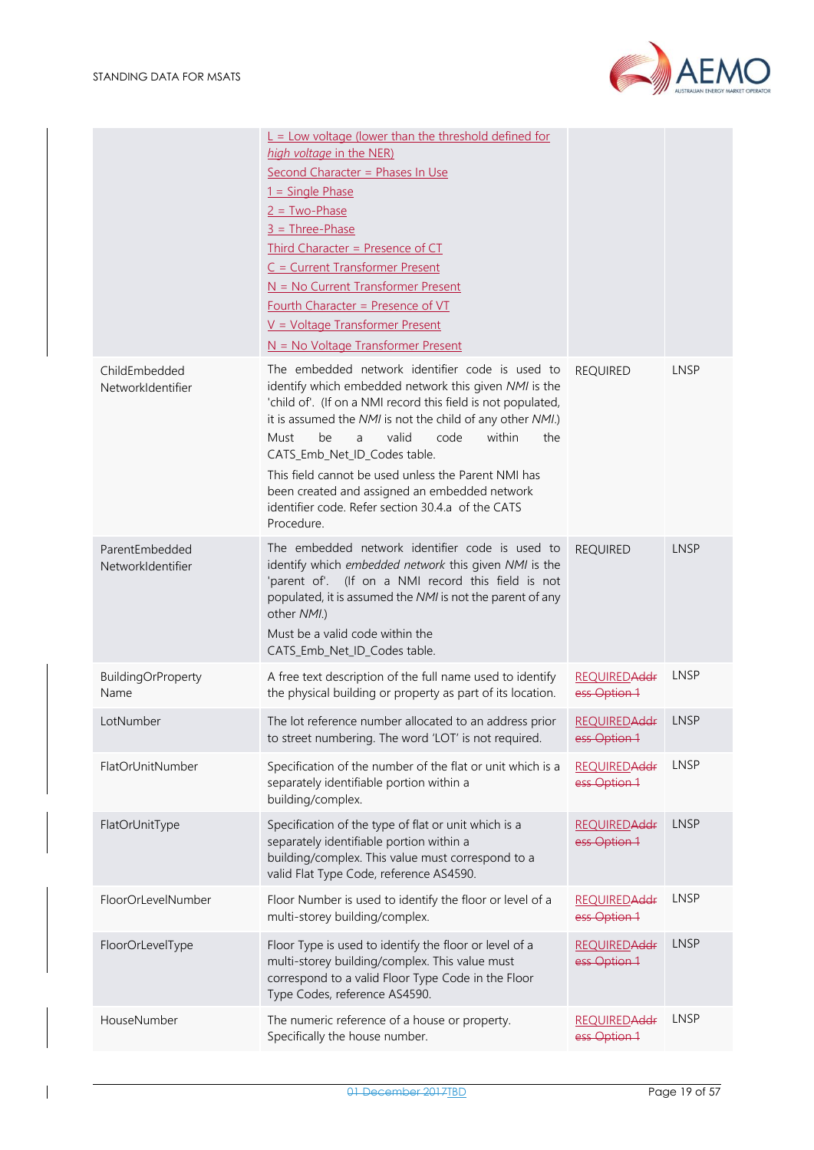AEMO



|                                     | $L =$ Low voltage (lower than the threshold defined for<br>high voltage in the NER)<br>Second Character = Phases In Use<br>$1 =$ Single Phase<br>$2 = Two-Phase$<br>$3 =$ Three-Phase<br>Third Character = Presence of CT<br>$C = Current Transfer Present$<br>$N = No$ Current Transformer Present<br>Fourth Character = Presence of VT<br>$V = Vol$ tage Transformer Present<br>$N = No$ Voltage Transformer Present                                                                                |                                      |             |
|-------------------------------------|-------------------------------------------------------------------------------------------------------------------------------------------------------------------------------------------------------------------------------------------------------------------------------------------------------------------------------------------------------------------------------------------------------------------------------------------------------------------------------------------------------|--------------------------------------|-------------|
| ChildEmbedded<br>NetworkIdentifier  | The embedded network identifier code is used to<br>identify which embedded network this given NMI is the<br>'child of'. (If on a NMI record this field is not populated,<br>it is assumed the NMI is not the child of any other NMI.)<br>valid<br>code<br>within<br>be<br>the<br>Must<br>a<br>CATS_Emb_Net_ID_Codes table.<br>This field cannot be used unless the Parent NMI has<br>been created and assigned an embedded network<br>identifier code. Refer section 30.4.a of the CATS<br>Procedure. | <b>REQUIRED</b>                      | <b>LNSP</b> |
| ParentEmbedded<br>NetworkIdentifier | The embedded network identifier code is used to<br>identify which embedded network this given NMI is the<br>'parent of'. (If on a NMI record this field is not<br>populated, it is assumed the NMI is not the parent of any<br>other NMI.)<br>Must be a valid code within the<br>CATS_Emb_Net_ID_Codes table.                                                                                                                                                                                         | <b>REQUIRED</b>                      | <b>LNSP</b> |
| <b>BuildingOrProperty</b><br>Name   | A free text description of the full name used to identify<br>the physical building or property as part of its location.                                                                                                                                                                                                                                                                                                                                                                               | <b>REQUIREDAddr</b><br>ess Option 1  | <b>LNSP</b> |
| LotNumber                           | The lot reference number allocated to an address prior<br>to street numbering. The word 'LOT' is not required.                                                                                                                                                                                                                                                                                                                                                                                        | <b>REQUIREDAddr</b><br>ess Option 1  | LNSP        |
| FlatOrUnitNumber                    | Specification of the number of the flat or unit which is a<br>separately identifiable portion within a<br>building/complex.                                                                                                                                                                                                                                                                                                                                                                           | <b>REQUIREDAddr</b><br>ess Option 1  | LNSP        |
| FlatOrUnitType                      | Specification of the type of flat or unit which is a<br>separately identifiable portion within a<br>building/complex. This value must correspond to a<br>valid Flat Type Code, reference AS4590.                                                                                                                                                                                                                                                                                                      | <b>REQUIRED Addr</b><br>ess Option 1 | LNSP        |
| FloorOrLevelNumber                  | Floor Number is used to identify the floor or level of a<br>multi-storey building/complex.                                                                                                                                                                                                                                                                                                                                                                                                            | <b>REQUIRED Addr</b><br>ess Option 1 | <b>LNSP</b> |
| FloorOrLevelType                    | Floor Type is used to identify the floor or level of a<br>multi-storey building/complex. This value must<br>correspond to a valid Floor Type Code in the Floor<br>Type Codes, reference AS4590.                                                                                                                                                                                                                                                                                                       | <b>REQUIRED Addr</b><br>ess Option 1 | <b>LNSP</b> |
| HouseNumber                         | The numeric reference of a house or property.<br>Specifically the house number.                                                                                                                                                                                                                                                                                                                                                                                                                       | <b>REQUIRED Addr</b><br>ess Option 1 | <b>LNSP</b> |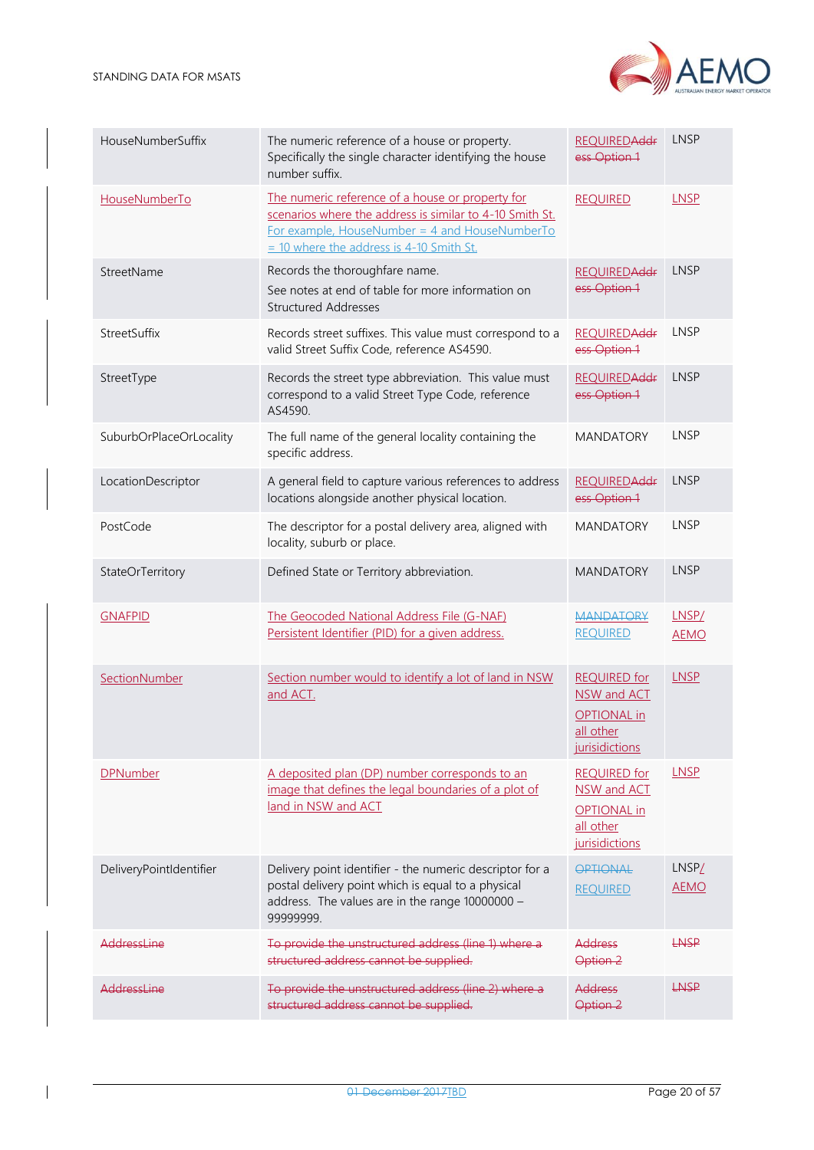

| HouseNumberSuffix       | The numeric reference of a house or property.<br>Specifically the single character identifying the house<br>number suffix.                                                                                     | <b>REQUIRED Addr</b><br>ess Option 1                                                    | LNSP                             |
|-------------------------|----------------------------------------------------------------------------------------------------------------------------------------------------------------------------------------------------------------|-----------------------------------------------------------------------------------------|----------------------------------|
| HouseNumberTo           | The numeric reference of a house or property for<br>scenarios where the address is similar to 4-10 Smith St.<br>For example, HouseNumber = $4$ and HouseNumberTo<br>$=$ 10 where the address is 4-10 Smith St. | <b>REQUIRED</b>                                                                         | <b>LNSP</b>                      |
| StreetName              | Records the thoroughfare name.<br>See notes at end of table for more information on<br><b>Structured Addresses</b>                                                                                             | <b>REQUIRED Addr</b><br>ess Option 1                                                    | <b>LNSP</b>                      |
| StreetSuffix            | Records street suffixes. This value must correspond to a<br>valid Street Suffix Code, reference AS4590.                                                                                                        | <b>REQUIREDAddr</b><br>ess Option 1                                                     | LNSP                             |
| StreetType              | Records the street type abbreviation. This value must<br>correspond to a valid Street Type Code, reference<br>AS4590.                                                                                          | <b>REQUIRED Addr</b><br>ess Option 1                                                    | <b>LNSP</b>                      |
| SuburbOrPlaceOrLocality | The full name of the general locality containing the<br>specific address.                                                                                                                                      | <b>MANDATORY</b>                                                                        | <b>LNSP</b>                      |
| LocationDescriptor      | A general field to capture various references to address<br>locations alongside another physical location.                                                                                                     | <b>REQUIRED Addr</b><br>ess Option 1                                                    | LNSP                             |
| PostCode                | The descriptor for a postal delivery area, aligned with<br>locality, suburb or place.                                                                                                                          | <b>MANDATORY</b>                                                                        | <b>LNSP</b>                      |
| StateOrTerritory        | Defined State or Territory abbreviation.                                                                                                                                                                       | <b>MANDATORY</b>                                                                        | LNSP                             |
| <b>GNAFPID</b>          | The Geocoded National Address File (G-NAF)<br>Persistent Identifier (PID) for a given address.                                                                                                                 | <b>MANDATORY</b><br><b>REQUIRED</b>                                                     | LNSP/<br><b>AEMO</b>             |
| SectionNumber           | Section number would to identify a lot of land in NSW<br>and ACT.                                                                                                                                              | <b>REQUIRED for</b><br>NSW and ACT<br><b>OPTIONAL</b> in<br>all other<br>jurisidictions | <b>LNSP</b>                      |
| <b>DPNumber</b>         | A deposited plan (DP) number corresponds to an<br>image that defines the legal boundaries of a plot of<br>land in NSW and ACT                                                                                  | <b>REQUIRED for</b><br>NSW and ACT<br><b>OPTIONAL</b> in<br>all other<br>jurisidictions | <b>LNSP</b>                      |
| DeliveryPointIdentifier | Delivery point identifier - the numeric descriptor for a<br>postal delivery point which is equal to a physical<br>address. The values are in the range 10000000 -<br>99999999.                                 | OPTIONAL<br><b>REQUIRED</b>                                                             | LNSP <sub>L</sub><br><b>AEMO</b> |
| AddressLine             | To provide the unstructured address (line 1) where a<br>structured address cannot be supplied.                                                                                                                 | Address<br>Option 2                                                                     | LNSP                             |
| AddressLine             | To provide the unstructured address (line 2) where a<br>structured address cannot be supplied.                                                                                                                 | <b>Address</b><br>Option <sub>2</sub>                                                   | LNSP                             |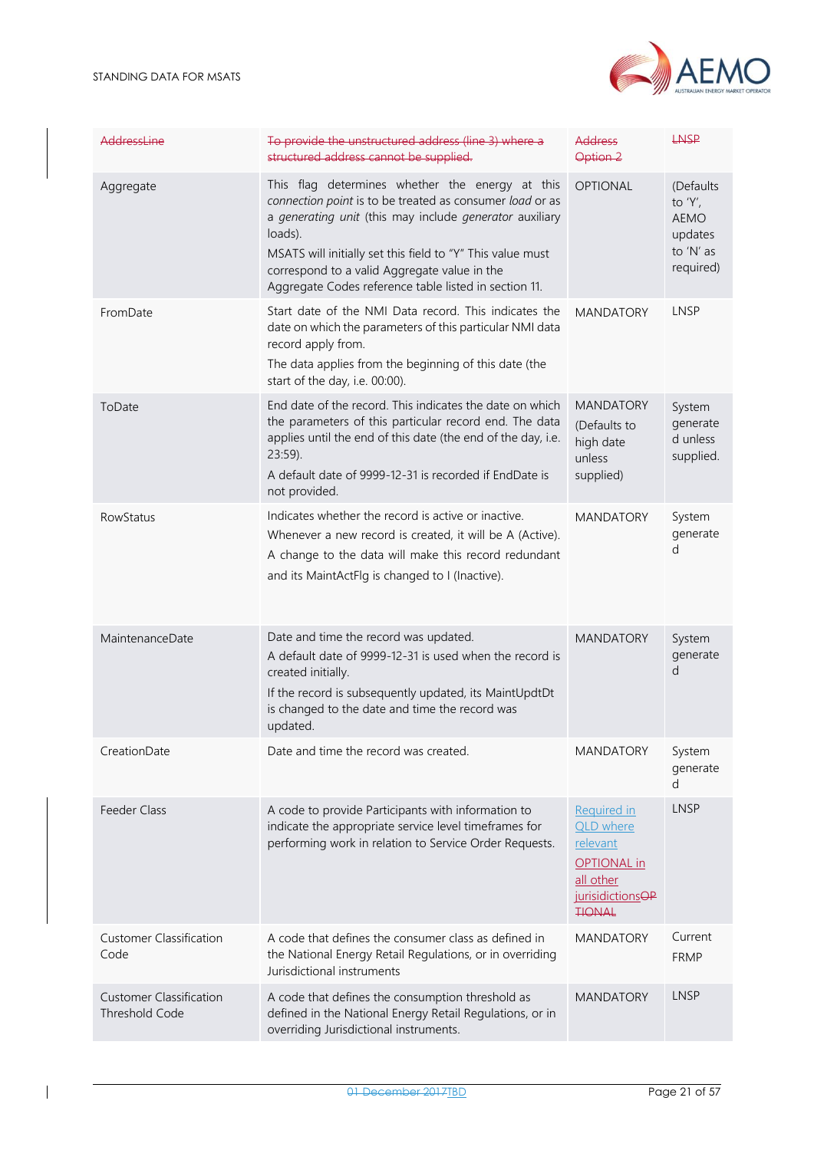

| AddressLine                                             | To provide the unstructured address (line 3) where a<br>structured address cannot be supplied.                                                                                                                                                                                                                                                           | Address<br>Option <sub>2</sub>                                                                                                         | <b>LNSP</b>                                                                 |
|---------------------------------------------------------|----------------------------------------------------------------------------------------------------------------------------------------------------------------------------------------------------------------------------------------------------------------------------------------------------------------------------------------------------------|----------------------------------------------------------------------------------------------------------------------------------------|-----------------------------------------------------------------------------|
| Aggregate                                               | This flag determines whether the energy at this<br>connection point is to be treated as consumer load or as<br>a generating unit (this may include generator auxiliary<br>loads).<br>MSATS will initially set this field to "Y" This value must<br>correspond to a valid Aggregate value in the<br>Aggregate Codes reference table listed in section 11. | <b>OPTIONAL</b>                                                                                                                        | (Defaults<br>to $'Y'$ ,<br><b>AEMO</b><br>updates<br>to 'N' as<br>required) |
| FromDate                                                | Start date of the NMI Data record. This indicates the<br>date on which the parameters of this particular NMI data<br>record apply from.<br>The data applies from the beginning of this date (the<br>start of the day, i.e. 00:00).                                                                                                                       | <b>MANDATORY</b>                                                                                                                       | <b>LNSP</b>                                                                 |
| ToDate                                                  | End date of the record. This indicates the date on which<br>the parameters of this particular record end. The data<br>applies until the end of this date (the end of the day, i.e.<br>$23:59$ ).<br>A default date of 9999-12-31 is recorded if EndDate is<br>not provided.                                                                              | <b>MANDATORY</b><br>(Defaults to<br>high date<br>unless<br>supplied)                                                                   | System<br>generate<br>d unless<br>supplied.                                 |
| <b>RowStatus</b>                                        | Indicates whether the record is active or inactive.<br>Whenever a new record is created, it will be A (Active).<br>A change to the data will make this record redundant<br>and its MaintActFlg is changed to I (Inactive).                                                                                                                               | <b>MANDATORY</b>                                                                                                                       | System<br>generate<br>d                                                     |
| MaintenanceDate                                         | Date and time the record was updated.<br>A default date of 9999-12-31 is used when the record is<br>created initially.<br>If the record is subsequently updated, its MaintUpdtDt<br>is changed to the date and time the record was<br>updated.                                                                                                           | <b>MANDATORY</b>                                                                                                                       | System<br>generate<br>d                                                     |
| CreationDate                                            | Date and time the record was created.                                                                                                                                                                                                                                                                                                                    | <b>MANDATORY</b>                                                                                                                       | System<br>generate<br>d                                                     |
| Feeder Class                                            | A code to provide Participants with information to<br>indicate the appropriate service level timeframes for<br>performing work in relation to Service Order Requests.                                                                                                                                                                                    | <b>Required in</b><br><b>QLD</b> where<br>relevant<br><b>OPTIONAL</b> in<br>all other<br>jurisidictions <sub>OP</sub><br><b>TIONAL</b> | <b>LNSP</b>                                                                 |
| <b>Customer Classification</b><br>Code                  | A code that defines the consumer class as defined in<br>the National Energy Retail Regulations, or in overriding<br>Jurisdictional instruments                                                                                                                                                                                                           | <b>MANDATORY</b>                                                                                                                       | Current<br><b>FRMP</b>                                                      |
| <b>Customer Classification</b><br><b>Threshold Code</b> | A code that defines the consumption threshold as<br>defined in the National Energy Retail Regulations, or in<br>overriding Jurisdictional instruments.                                                                                                                                                                                                   | <b>MANDATORY</b>                                                                                                                       | <b>LNSP</b>                                                                 |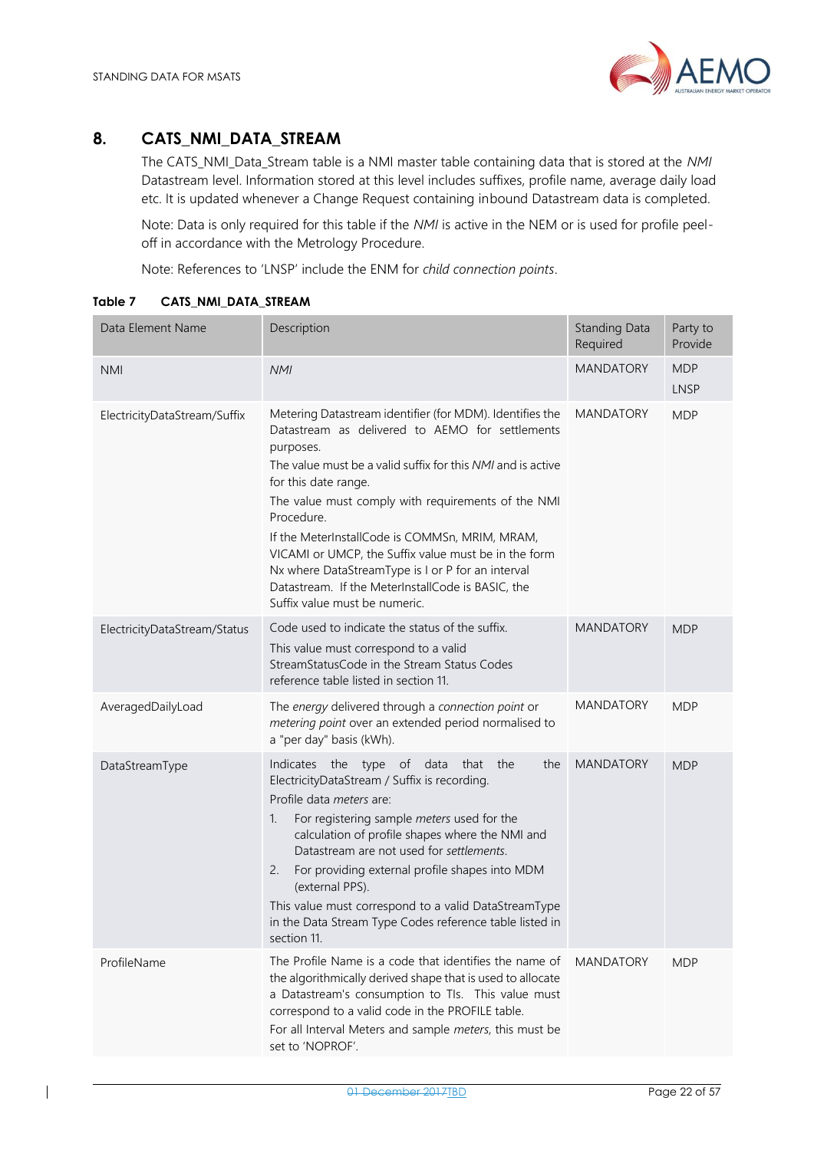### <span id="page-21-0"></span>**8. CATS\_NMI\_DATA\_STREAM**

The CATS\_NMI\_Data\_Stream table is a NMI master table containing data that is stored at the *NMI* Datastream level. Information stored at this level includes suffixes, profile name, average daily load etc. It is updated whenever a Change Request containing inbound Datastream data is completed.

Note: Data is only required for this table if the *NMI* is active in the NEM or is used for profile peeloff in accordance with the Metrology Procedure.

Note: References to 'LNSP' include the ENM for *child connection points*.

| Data Element Name            | Description                                                                                                                                                                                                                                                                                                                                                                                                                                                                                                                              | <b>Standing Data</b><br>Required | Party to<br>Provide       |
|------------------------------|------------------------------------------------------------------------------------------------------------------------------------------------------------------------------------------------------------------------------------------------------------------------------------------------------------------------------------------------------------------------------------------------------------------------------------------------------------------------------------------------------------------------------------------|----------------------------------|---------------------------|
| <b>NMI</b>                   | <b>NMI</b>                                                                                                                                                                                                                                                                                                                                                                                                                                                                                                                               | <b>MANDATORY</b>                 | <b>MDP</b><br><b>LNSP</b> |
| ElectricityDataStream/Suffix | Metering Datastream identifier (for MDM). Identifies the<br>Datastream as delivered to AEMO for settlements<br>purposes.<br>The value must be a valid suffix for this NMI and is active<br>for this date range.<br>The value must comply with requirements of the NMI<br>Procedure.<br>If the MeterInstallCode is COMMSn, MRIM, MRAM,<br>VICAMI or UMCP, the Suffix value must be in the form<br>Nx where DataStreamType is I or P for an interval<br>Datastream. If the MeterInstallCode is BASIC, the<br>Suffix value must be numeric. | <b>MANDATORY</b>                 | <b>MDP</b>                |
| ElectricityDataStream/Status | Code used to indicate the status of the suffix.<br>This value must correspond to a valid<br>StreamStatusCode in the Stream Status Codes<br>reference table listed in section 11.                                                                                                                                                                                                                                                                                                                                                         | <b>MANDATORY</b>                 | <b>MDP</b>                |
| AveragedDailyLoad            | The energy delivered through a connection point or<br>metering point over an extended period normalised to<br>a "per day" basis (kWh).                                                                                                                                                                                                                                                                                                                                                                                                   | <b>MANDATORY</b>                 | <b>MDP</b>                |
| DataStreamType               | Indicates the type of data<br>that the<br>the<br>ElectricityDataStream / Suffix is recording.<br>Profile data <i>meters</i> are:<br>For registering sample meters used for the<br>1.<br>calculation of profile shapes where the NMI and<br>Datastream are not used for settlements.<br>For providing external profile shapes into MDM<br>2.<br>(external PPS).<br>This value must correspond to a valid DataStreamType<br>in the Data Stream Type Codes reference table listed in<br>section 11.                                         | <b>MANDATORY</b>                 | <b>MDP</b>                |
| ProfileName                  | The Profile Name is a code that identifies the name of<br>the algorithmically derived shape that is used to allocate<br>a Datastream's consumption to TIs. This value must<br>correspond to a valid code in the PROFILE table.<br>For all Interval Meters and sample meters, this must be<br>set to 'NOPROF'.                                                                                                                                                                                                                            | <b>MANDATORY</b>                 | <b>MDP</b>                |

<span id="page-21-1"></span>**Table 7 CATS\_NMI\_DATA\_STREAM**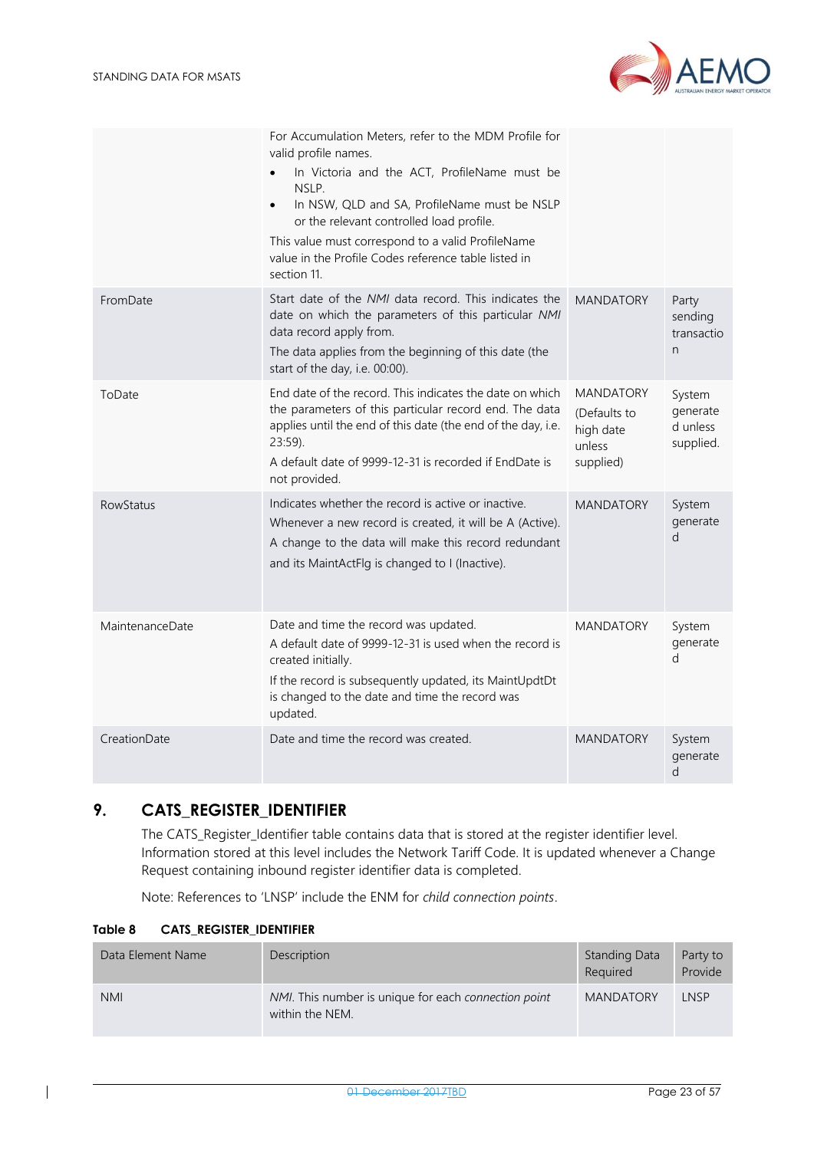

|                  | For Accumulation Meters, refer to the MDM Profile for<br>valid profile names.<br>In Victoria and the ACT, ProfileName must be<br>NSLP.<br>In NSW, QLD and SA, ProfileName must be NSLP<br>or the relevant controlled load profile.<br>This value must correspond to a valid ProfileName<br>value in the Profile Codes reference table listed in<br>section 11. |                                                                      |                                             |
|------------------|----------------------------------------------------------------------------------------------------------------------------------------------------------------------------------------------------------------------------------------------------------------------------------------------------------------------------------------------------------------|----------------------------------------------------------------------|---------------------------------------------|
| FromDate         | Start date of the NMI data record. This indicates the<br>date on which the parameters of this particular NMI<br>data record apply from.<br>The data applies from the beginning of this date (the<br>start of the day, i.e. 00:00).                                                                                                                             | <b>MANDATORY</b>                                                     | Party<br>sending<br>transactio<br>n         |
| ToDate           | End date of the record. This indicates the date on which<br>the parameters of this particular record end. The data<br>applies until the end of this date (the end of the day, i.e.<br>23:59).<br>A default date of 9999-12-31 is recorded if EndDate is<br>not provided.                                                                                       | <b>MANDATORY</b><br>(Defaults to<br>high date<br>unless<br>supplied) | System<br>generate<br>d unless<br>supplied. |
| <b>RowStatus</b> | Indicates whether the record is active or inactive.<br>Whenever a new record is created, it will be A (Active).<br>A change to the data will make this record redundant<br>and its MaintActFlg is changed to I (Inactive).                                                                                                                                     | <b>MANDATORY</b>                                                     | System<br>generate<br>d                     |
| MaintenanceDate  | Date and time the record was updated.<br>A default date of 9999-12-31 is used when the record is<br>created initially.<br>If the record is subsequently updated, its MaintUpdtDt<br>is changed to the date and time the record was<br>updated.                                                                                                                 | <b>MANDATORY</b>                                                     | System<br>generate<br>d                     |
| CreationDate     | Date and time the record was created.                                                                                                                                                                                                                                                                                                                          | <b>MANDATORY</b>                                                     | System<br>generate<br>d                     |

### <span id="page-22-0"></span>**9. CATS\_REGISTER\_IDENTIFIER**

The CATS\_Register\_Identifier table contains data that is stored at the register identifier level. Information stored at this level includes the Network Tariff Code. It is updated whenever a Change Request containing inbound register identifier data is completed.

Note: References to 'LNSP' include the ENM for *child connection points*.

#### <span id="page-22-1"></span>**Table 8 CATS\_REGISTER\_IDENTIFIER**

| Data Element Name | Description                                                             | <b>Standing Data</b><br>Required | Party to<br>Provide |
|-------------------|-------------------------------------------------------------------------|----------------------------------|---------------------|
| <b>NMI</b>        | NMI. This number is unique for each connection point<br>within the NEM. | <b>MANDATORY</b>                 | LNSP                |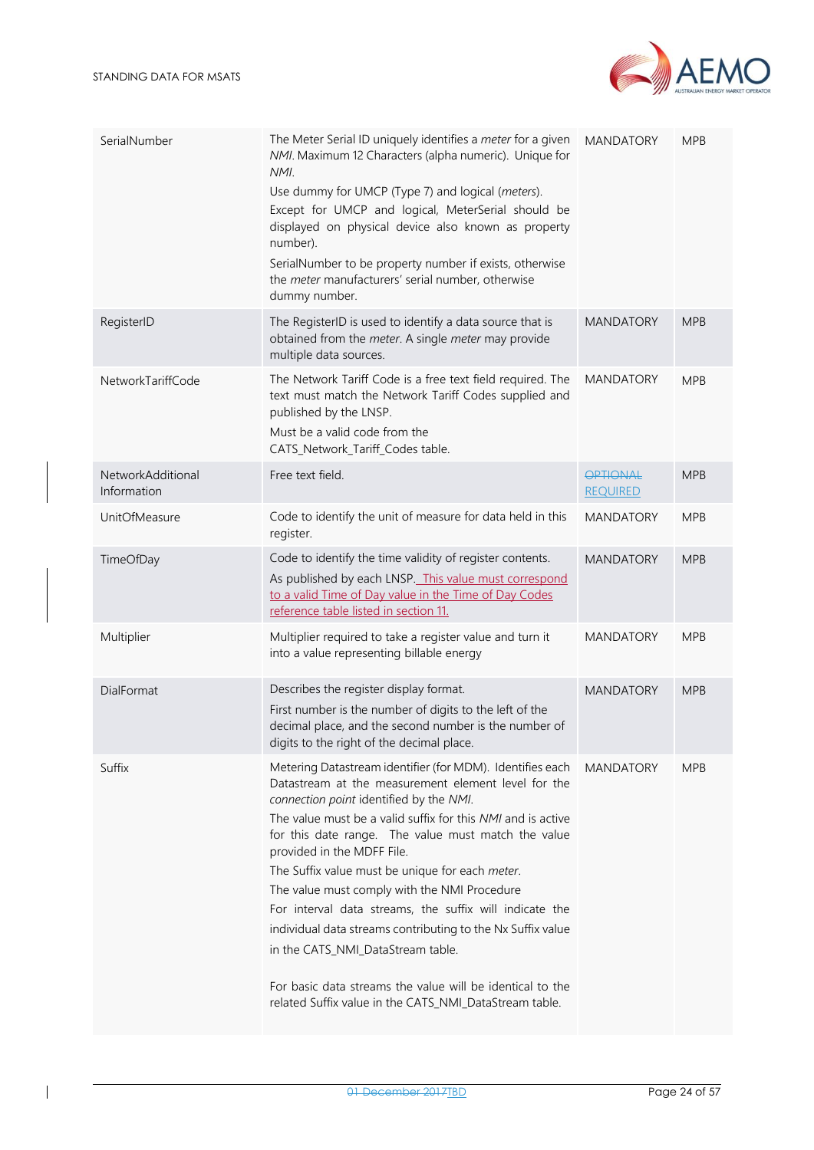

| SerialNumber                     | The Meter Serial ID uniquely identifies a meter for a given<br>NMI. Maximum 12 Characters (alpha numeric). Unique for<br>NMI.<br>Use dummy for UMCP (Type 7) and logical (meters).<br>Except for UMCP and logical, MeterSerial should be<br>displayed on physical device also known as property<br>number).<br>SerialNumber to be property number if exists, otherwise<br>the meter manufacturers' serial number, otherwise<br>dummy number.                                                                                                                                                                                                                                                             | <b>MANDATORY</b>                   | <b>MPB</b> |
|----------------------------------|----------------------------------------------------------------------------------------------------------------------------------------------------------------------------------------------------------------------------------------------------------------------------------------------------------------------------------------------------------------------------------------------------------------------------------------------------------------------------------------------------------------------------------------------------------------------------------------------------------------------------------------------------------------------------------------------------------|------------------------------------|------------|
| RegisterID                       | The RegisterID is used to identify a data source that is<br>obtained from the meter. A single meter may provide<br>multiple data sources.                                                                                                                                                                                                                                                                                                                                                                                                                                                                                                                                                                | <b>MANDATORY</b>                   | <b>MPB</b> |
| NetworkTariffCode                | The Network Tariff Code is a free text field required. The<br>text must match the Network Tariff Codes supplied and<br>published by the LNSP.<br>Must be a valid code from the<br>CATS_Network_Tariff_Codes table.                                                                                                                                                                                                                                                                                                                                                                                                                                                                                       | <b>MANDATORY</b>                   | <b>MPB</b> |
| NetworkAdditional<br>Information | Free text field.                                                                                                                                                                                                                                                                                                                                                                                                                                                                                                                                                                                                                                                                                         | <b>OPTIONAL</b><br><b>REQUIRED</b> | <b>MPB</b> |
| UnitOfMeasure                    | Code to identify the unit of measure for data held in this<br>register.                                                                                                                                                                                                                                                                                                                                                                                                                                                                                                                                                                                                                                  | <b>MANDATORY</b>                   | <b>MPB</b> |
| TimeOfDay                        | Code to identify the time validity of register contents.<br>As published by each LNSP. This value must correspond<br>to a valid Time of Day value in the Time of Day Codes<br>reference table listed in section 11.                                                                                                                                                                                                                                                                                                                                                                                                                                                                                      | <b>MANDATORY</b>                   | <b>MPB</b> |
| Multiplier                       | Multiplier required to take a register value and turn it<br>into a value representing billable energy                                                                                                                                                                                                                                                                                                                                                                                                                                                                                                                                                                                                    | <b>MANDATORY</b>                   | <b>MPB</b> |
| DialFormat                       | Describes the register display format.<br>First number is the number of digits to the left of the<br>decimal place, and the second number is the number of<br>digits to the right of the decimal place.                                                                                                                                                                                                                                                                                                                                                                                                                                                                                                  | <b>MANDATORY</b>                   | <b>MPB</b> |
| Suffix                           | Metering Datastream identifier (for MDM). Identifies each<br>Datastream at the measurement element level for the<br>connection point identified by the NMI.<br>The value must be a valid suffix for this NMI and is active<br>for this date range. The value must match the value<br>provided in the MDFF File.<br>The Suffix value must be unique for each meter.<br>The value must comply with the NMI Procedure<br>For interval data streams, the suffix will indicate the<br>individual data streams contributing to the Nx Suffix value<br>in the CATS_NMI_DataStream table.<br>For basic data streams the value will be identical to the<br>related Suffix value in the CATS_NMI_DataStream table. | <b>MANDATORY</b>                   | <b>MPB</b> |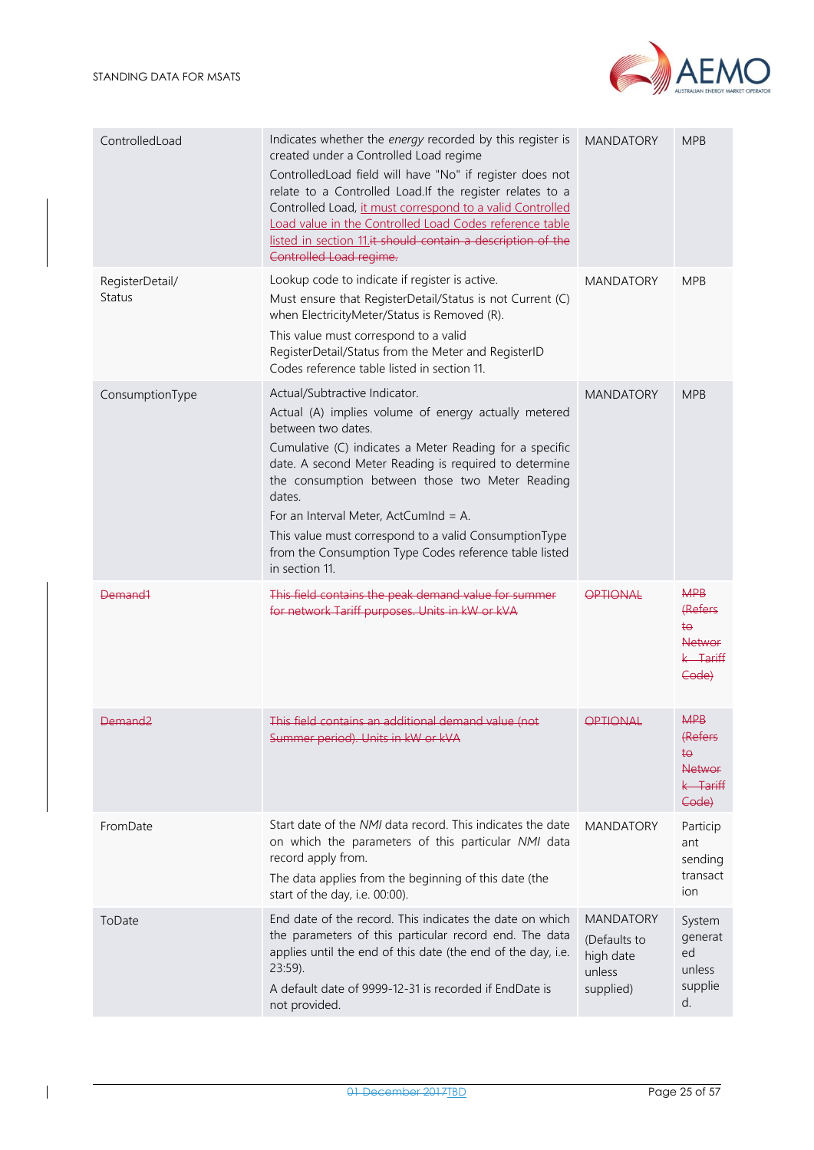



| ControlledLoad                   | Indicates whether the energy recorded by this register is<br>created under a Controlled Load regime<br>ControlledLoad field will have "No" if register does not<br>relate to a Controlled Load.If the register relates to a<br>Controlled Load, it must correspond to a valid Controlled<br>Load value in the Controlled Load Codes reference table<br>listed in section 11.it should contain a description of the<br>Controlled Load regime.                              | <b>MANDATORY</b>                                                     | <b>MPB</b>                                                          |
|----------------------------------|----------------------------------------------------------------------------------------------------------------------------------------------------------------------------------------------------------------------------------------------------------------------------------------------------------------------------------------------------------------------------------------------------------------------------------------------------------------------------|----------------------------------------------------------------------|---------------------------------------------------------------------|
| RegisterDetail/<br><b>Status</b> | Lookup code to indicate if register is active.<br>Must ensure that RegisterDetail/Status is not Current (C)<br>when ElectricityMeter/Status is Removed (R).<br>This value must correspond to a valid<br>RegisterDetail/Status from the Meter and RegisterID<br>Codes reference table listed in section 11.                                                                                                                                                                 | <b>MANDATORY</b>                                                     | <b>MPB</b>                                                          |
| ConsumptionType                  | Actual/Subtractive Indicator.<br>Actual (A) implies volume of energy actually metered<br>between two dates.<br>Cumulative (C) indicates a Meter Reading for a specific<br>date. A second Meter Reading is required to determine<br>the consumption between those two Meter Reading<br>dates.<br>For an Interval Meter, ActCumInd = A.<br>This value must correspond to a valid ConsumptionType<br>from the Consumption Type Codes reference table listed<br>in section 11. | <b>MANDATORY</b>                                                     | <b>MPB</b>                                                          |
| <del>Demand1</del>               | This field contains the peak demand value for summer<br>for network Tariff purposes. Units in kW or kVA                                                                                                                                                                                                                                                                                                                                                                    | OPTIONAL                                                             | <b>MPB</b><br>(Refers<br>ŧ⊖<br><b>Networ</b><br>$k$ Tariff<br>Code) |
| <del>Demand?</del>               | This field contains an additional demand value (not<br>Summer period). Units in kW or kVA                                                                                                                                                                                                                                                                                                                                                                                  | <u>APTIANAL</u>                                                      | <b>MPB</b><br>(Refers<br>ŧ⊖<br><b>Networ</b><br>$k$ Tariff<br>Code) |
| FromDate                         | Start date of the NMI data record. This indicates the date<br>on which the parameters of this particular NMI data<br>record apply from.<br>The data applies from the beginning of this date (the<br>start of the day, i.e. 00:00).                                                                                                                                                                                                                                         | <b>MANDATORY</b>                                                     | Particip<br>ant<br>sending<br>transact<br>ion                       |
| ToDate                           | End date of the record. This indicates the date on which<br>the parameters of this particular record end. The data<br>applies until the end of this date (the end of the day, i.e.<br>23:59).<br>A default date of 9999-12-31 is recorded if EndDate is<br>not provided.                                                                                                                                                                                                   | <b>MANDATORY</b><br>(Defaults to<br>high date<br>unless<br>supplied) | System<br>generat<br>ed<br>unless<br>supplie<br>d.                  |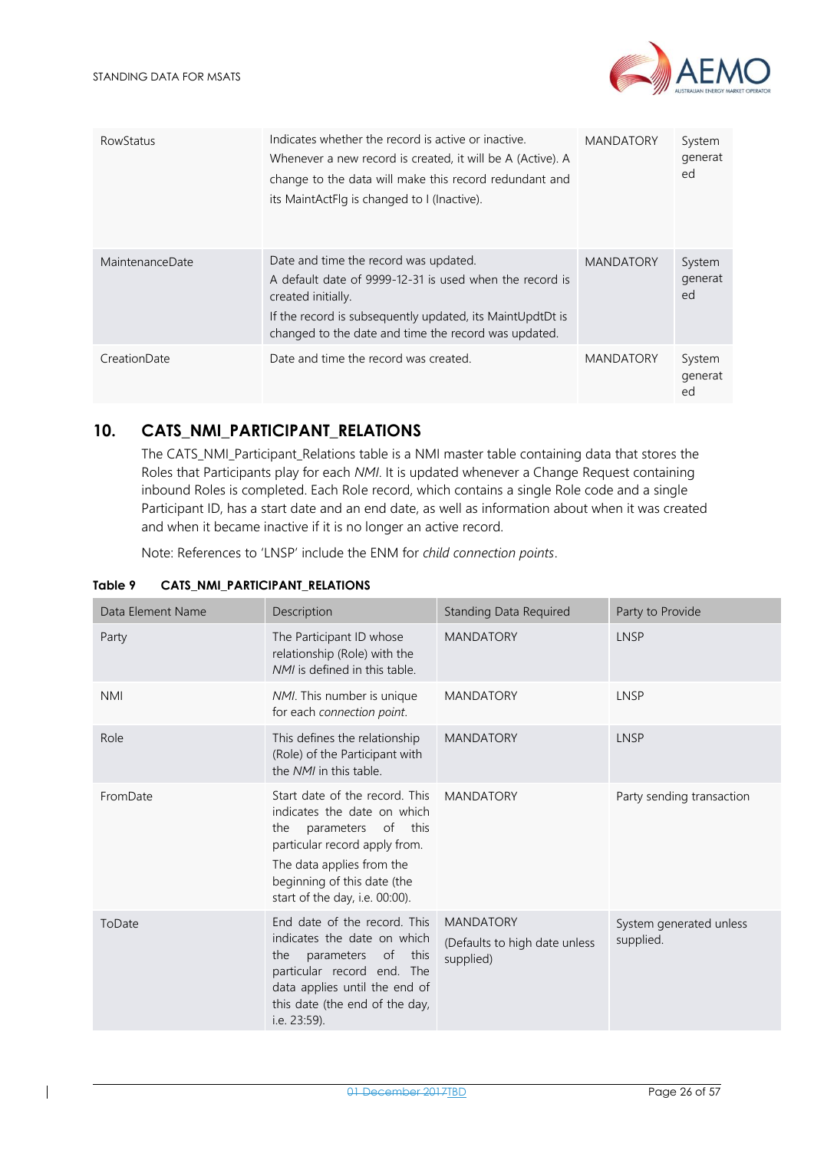

| <b>RowStatus</b> | Indicates whether the record is active or inactive.<br>Whenever a new record is created, it will be A (Active). A<br>change to the data will make this record redundant and<br>its MaintActFlg is changed to I (Inactive).                  | <b>MANDATORY</b> | System<br>generat<br>ed |
|------------------|---------------------------------------------------------------------------------------------------------------------------------------------------------------------------------------------------------------------------------------------|------------------|-------------------------|
| MaintenanceDate  | Date and time the record was updated.<br>A default date of 9999-12-31 is used when the record is<br>created initially.<br>If the record is subsequently updated, its MaintUpdtDt is<br>changed to the date and time the record was updated. | <b>MANDATORY</b> | System<br>generat<br>ed |
| CreationDate     | Date and time the record was created.                                                                                                                                                                                                       | <b>MANDATORY</b> | System<br>generat<br>ed |

### <span id="page-25-0"></span>**10. CATS\_NMI\_PARTICIPANT\_RELATIONS**

The CATS\_NMI\_Participant\_Relations table is a NMI master table containing data that stores the Roles that Participants play for each *NMI*. It is updated whenever a Change Request containing inbound Roles is completed. Each Role record, which contains a single Role code and a single Participant ID, has a start date and an end date, as well as information about when it was created and when it became inactive if it is no longer an active record.

Note: References to 'LNSP' include the ENM for *child connection points*.

| Data Element Name | Description                                                                                                                                                                                                               | <b>Standing Data Required</b>                                  | Party to Provide                     |
|-------------------|---------------------------------------------------------------------------------------------------------------------------------------------------------------------------------------------------------------------------|----------------------------------------------------------------|--------------------------------------|
| Party             | The Participant ID whose<br>relationship (Role) with the<br>NMI is defined in this table.                                                                                                                                 | <b>MANDATORY</b>                                               | <b>LNSP</b>                          |
| <b>NMI</b>        | NMI. This number is unique<br>for each connection point.                                                                                                                                                                  | <b>MANDATORY</b>                                               | LNSP                                 |
| Role              | This defines the relationship<br>(Role) of the Participant with<br>the NMI in this table.                                                                                                                                 | <b>MANDATORY</b>                                               | <b>LNSP</b>                          |
| FromDate          | Start date of the record. This<br>indicates the date on which<br>parameters of this<br>the<br>particular record apply from.<br>The data applies from the<br>beginning of this date (the<br>start of the day, i.e. 00:00). | <b>MANDATORY</b>                                               | Party sending transaction            |
| ToDate            | End date of the record. This<br>indicates the date on which<br>parameters of<br>this<br>the<br>particular record end. The<br>data applies until the end of<br>this date (the end of the day,<br>i.e. 23:59).              | <b>MANDATORY</b><br>(Defaults to high date unless<br>supplied) | System generated unless<br>supplied. |

#### <span id="page-25-1"></span>**Table 9 CATS\_NMI\_PARTICIPANT\_RELATIONS**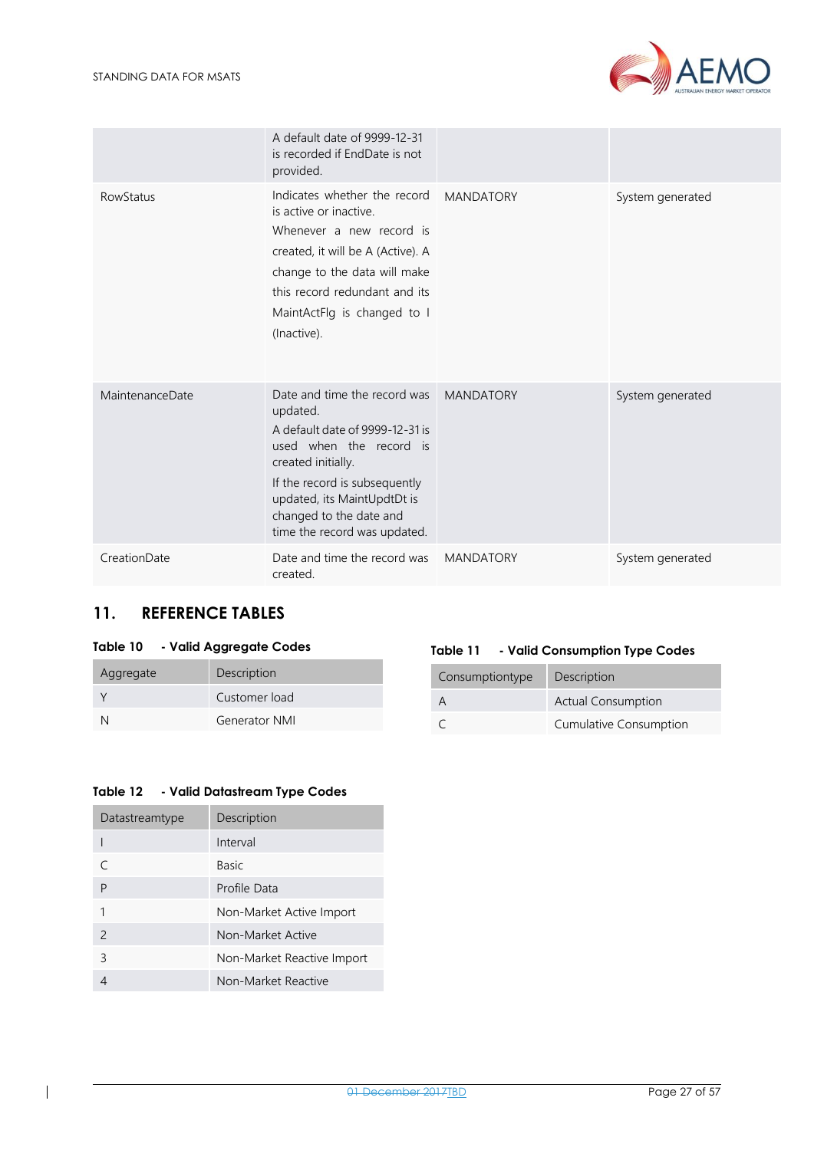

|                  | A default date of 9999-12-31<br>is recorded if EndDate is not<br>provided.                                                                                                                                                                              |                  |                  |
|------------------|---------------------------------------------------------------------------------------------------------------------------------------------------------------------------------------------------------------------------------------------------------|------------------|------------------|
| <b>RowStatus</b> | Indicates whether the record<br>is active or inactive.<br>Whenever a new record is<br>created, it will be A (Active). A<br>change to the data will make<br>this record redundant and its<br>MaintActFlg is changed to I<br>(Inactive).                  | <b>MANDATORY</b> | System generated |
| MaintenanceDate  | Date and time the record was<br>updated.<br>A default date of 9999-12-31 is<br>used when the record is<br>created initially.<br>If the record is subsequently<br>updated, its MaintUpdtDt is<br>changed to the date and<br>time the record was updated. | <b>MANDATORY</b> | System generated |
| CreationDate     | Date and time the record was<br>created.                                                                                                                                                                                                                | <b>MANDATORY</b> | System generated |

### <span id="page-26-0"></span>**11. REFERENCE TABLES**

#### <span id="page-26-1"></span>**Table 10 - Valid Aggregate Codes**

| Aggregate | Description          |
|-----------|----------------------|
|           | Customer load        |
|           | <b>Generator NMI</b> |

#### <span id="page-26-2"></span>**Table 11 - Valid Consumption Type Codes**

| Consumptiontype | Description               |
|-----------------|---------------------------|
|                 | <b>Actual Consumption</b> |
|                 | Cumulative Consumption    |

#### <span id="page-26-3"></span>**Table 12 - Valid Datastream Type Codes**

| Datastreamtype | Description                |
|----------------|----------------------------|
|                | Interval                   |
|                | <b>Basic</b>               |
| P              | Profile Data               |
|                | Non-Market Active Import   |
| $\mathcal{P}$  | Non-Market Active          |
| 3              | Non-Market Reactive Import |
|                | Non-Market Reactive        |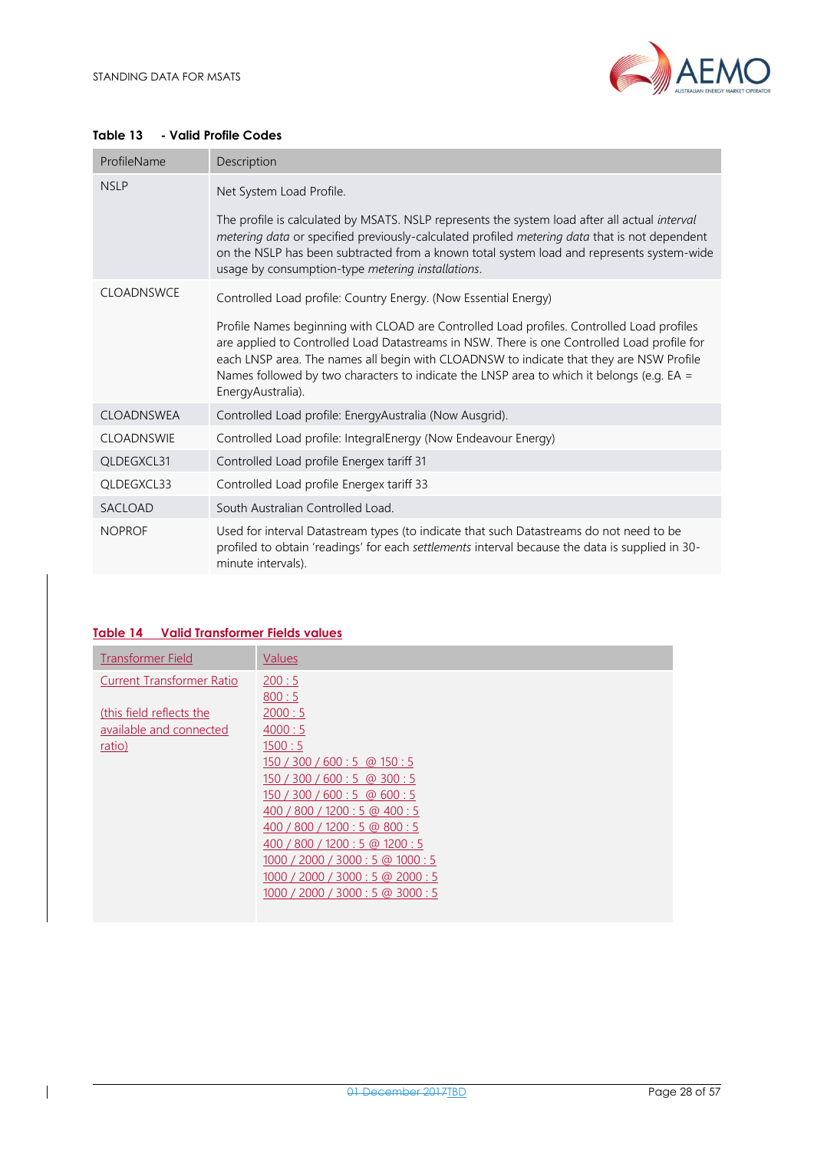

#### <span id="page-27-0"></span>**Table 13 - Valid Profile Codes**

| ProfileName       | Description                                                                                                                                                                                                                                                                                                                                                                                           |  |  |  |  |
|-------------------|-------------------------------------------------------------------------------------------------------------------------------------------------------------------------------------------------------------------------------------------------------------------------------------------------------------------------------------------------------------------------------------------------------|--|--|--|--|
| <b>NSLP</b>       | Net System Load Profile.                                                                                                                                                                                                                                                                                                                                                                              |  |  |  |  |
|                   | The profile is calculated by MSATS. NSLP represents the system load after all actual interval<br>metering data or specified previously-calculated profiled metering data that is not dependent<br>on the NSLP has been subtracted from a known total system load and represents system-wide<br>usage by consumption-type metering installations.                                                      |  |  |  |  |
| <b>CLOADNSWCE</b> | Controlled Load profile: Country Energy. (Now Essential Energy)                                                                                                                                                                                                                                                                                                                                       |  |  |  |  |
|                   | Profile Names beginning with CLOAD are Controlled Load profiles. Controlled Load profiles<br>are applied to Controlled Load Datastreams in NSW. There is one Controlled Load profile for<br>each LNSP area. The names all begin with CLOADNSW to indicate that they are NSW Profile<br>Names followed by two characters to indicate the LNSP area to which it belongs (e.g. EA =<br>EnergyAustralia). |  |  |  |  |
| <b>CLOADNSWEA</b> | Controlled Load profile: EnergyAustralia (Now Ausgrid).                                                                                                                                                                                                                                                                                                                                               |  |  |  |  |
| <b>CLOADNSWIE</b> | Controlled Load profile: IntegralEnergy (Now Endeavour Energy)                                                                                                                                                                                                                                                                                                                                        |  |  |  |  |
| QLDEGXCL31        | Controlled Load profile Energex tariff 31                                                                                                                                                                                                                                                                                                                                                             |  |  |  |  |
| QLDEGXCL33        | Controlled Load profile Energex tariff 33                                                                                                                                                                                                                                                                                                                                                             |  |  |  |  |
| SACLOAD           | South Australian Controlled Load.                                                                                                                                                                                                                                                                                                                                                                     |  |  |  |  |
| <b>NOPROF</b>     | Used for interval Datastream types (to indicate that such Datastreams do not need to be<br>profiled to obtain 'readings' for each settlements interval because the data is supplied in 30-<br>minute intervals).                                                                                                                                                                                      |  |  |  |  |

#### <span id="page-27-1"></span>**Table 14 Valid Transformer Fields values**

| <b>Transformer Field</b>         | Values                                   |
|----------------------------------|------------------------------------------|
| <b>Current Transformer Ratio</b> | 200:5                                    |
|                                  | 800:5                                    |
| (this field reflects the         | 2000:5                                   |
| available and connected          | 4000:5                                   |
| ratio)                           | 1500:5                                   |
|                                  | $150 / 300 / 600 : 5 \text{ @ } 150 : 5$ |
|                                  | 150 / 300 / 600 : 5 @ 300 : 5            |
|                                  | 150 / 300 / 600 : 5 @ 600 : 5            |
|                                  | 400 / 800 / 1200 : 5 @ 400 : 5           |
|                                  | 400 / 800 / 1200 : 5 @ 800 : 5           |
|                                  | 400 / 800 / 1200 : 5 @ 1200 : 5          |
|                                  | 1000 / 2000 / 3000 : 5 @ 1000 : 5        |
|                                  | 1000 / 2000 / 3000 : 5 @ 2000 : 5        |
|                                  | 1000 / 2000 / 3000 : 5 @ 3000 : 5        |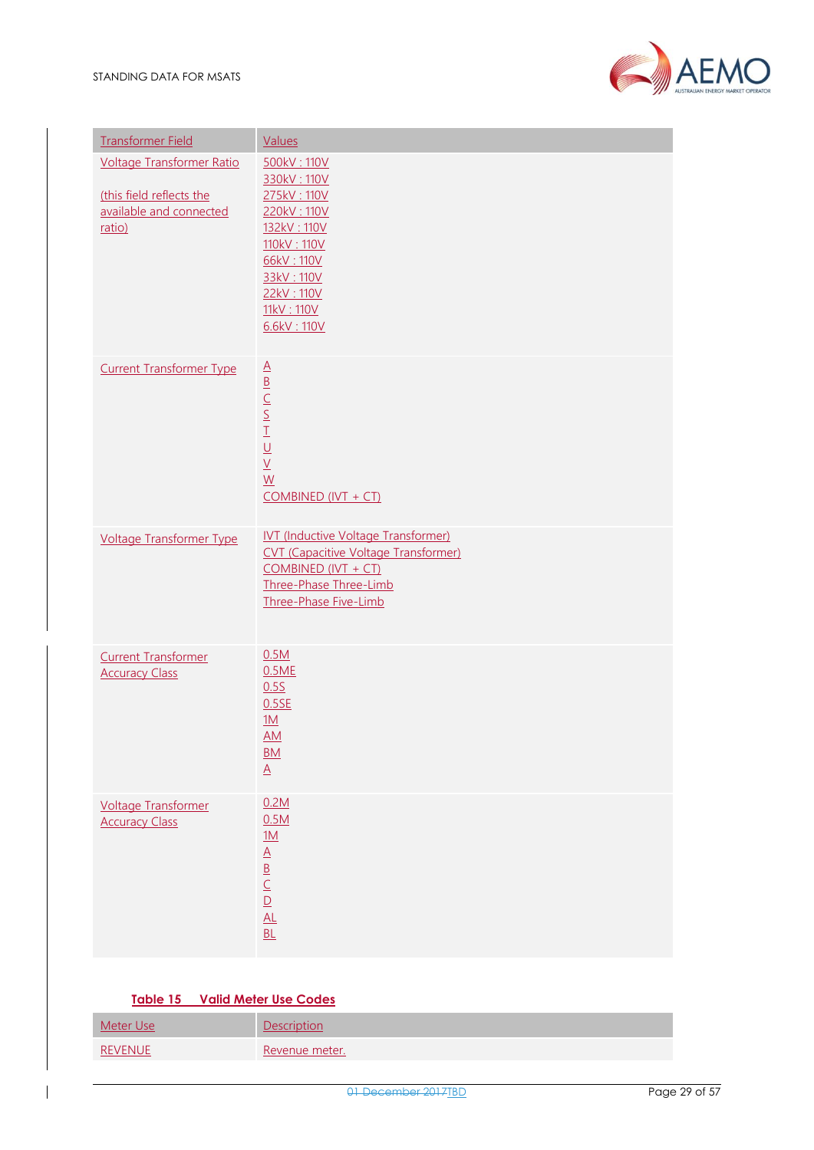

| <b>Transformer Field</b>                                                                          | Values                                                                                                                                                                |
|---------------------------------------------------------------------------------------------------|-----------------------------------------------------------------------------------------------------------------------------------------------------------------------|
| <b>Voltage Transformer Ratio</b><br>(this field reflects the<br>available and connected<br>ratio) | 500kV: 110V<br>330kV: 110V<br>275kV: 110V<br>220kV: 110V<br>132kV: 110V<br>110kV: 110V<br>66kV: 110V<br>33kV: 110V<br>22kV: 110V<br>11kV: 110V<br>6.6kV: 110V         |
| <b>Current Transformer Type</b>                                                                   | <b>COMBINED (IVT + CT)</b>                                                                                                                                            |
| <b>Voltage Transformer Type</b>                                                                   | <b>IVT (Inductive Voltage Transformer)</b><br><b>CVT</b> (Capacitive Voltage Transformer)<br>$COMBINED (IVT + CT)$<br>Three-Phase Three-Limb<br>Three-Phase Five-Limb |
| <b>Current Transformer</b><br><b>Accuracy Class</b>                                               | 0.5M<br>0.5ME<br>0.55<br>0.5SE<br>1M<br>AM.<br>$\frac{\mathsf{BM}}{\underline{\mathsf{A}}}$                                                                           |
| <b>Voltage Transformer</b><br><b>Accuracy Class</b>                                               | 0.2M<br>0.5M<br>$\frac{1M}{A}$ $\frac{B}{C}$ $\frac{C}{D}$<br>AL<br>BL                                                                                                |

#### **Table 15 Valid Meter Use Codes**

<span id="page-28-0"></span>

| Meter Use      | Description    |
|----------------|----------------|
| <b>REVENUE</b> | Revenue meter. |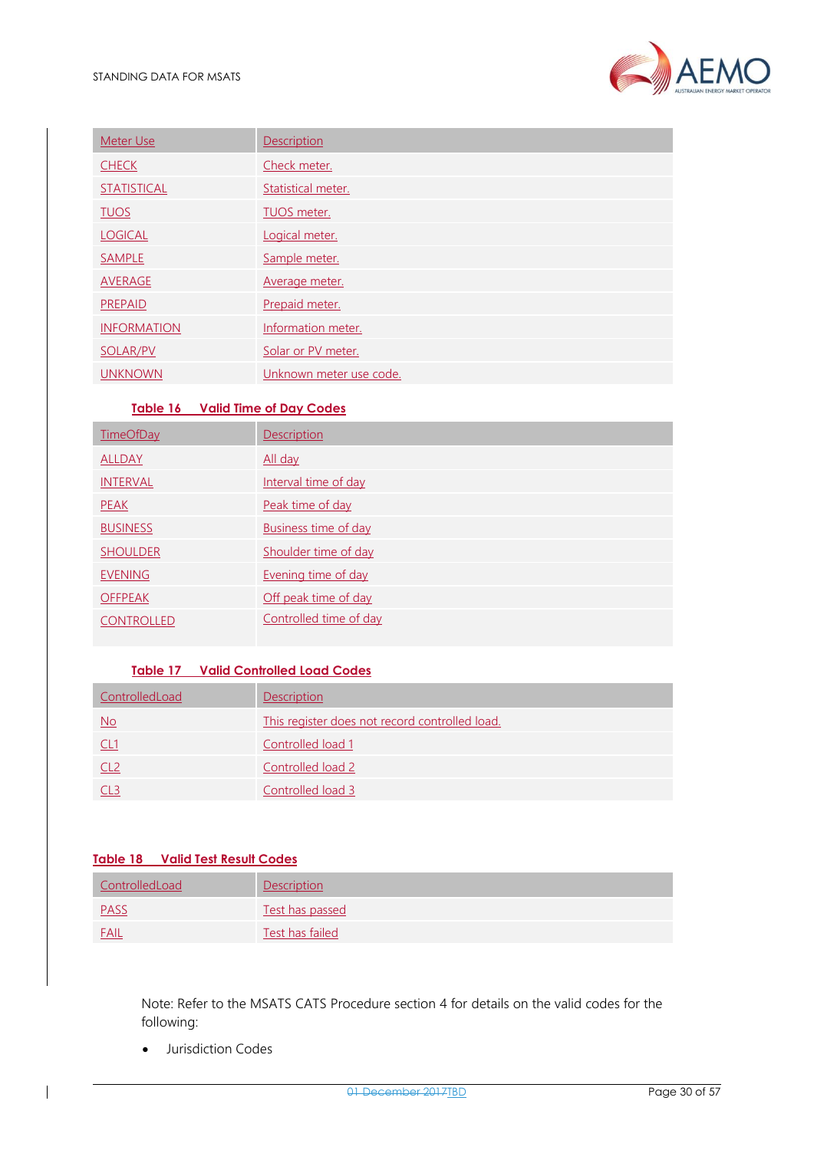

| Meter Use          | Description             |
|--------------------|-------------------------|
| <b>CHECK</b>       | Check meter.            |
| <b>STATISTICAL</b> | Statistical meter.      |
| <b>TUOS</b>        | <b>TUOS</b> meter.      |
| <b>LOGICAL</b>     | Logical meter.          |
| <b>SAMPLE</b>      | Sample meter.           |
| AVERAGE            | Average meter.          |
| <b>PREPAID</b>     | Prepaid meter.          |
| <b>INFORMATION</b> | Information meter.      |
| <b>SOLAR/PV</b>    | Solar or PV meter.      |
| <b>UNKNOWN</b>     | Unknown meter use code. |

#### **Table 16 Valid Time of Day Codes**

<span id="page-29-0"></span>

| <b>TimeOfDay</b>  | <b>Description</b>          |
|-------------------|-----------------------------|
| <b>ALLDAY</b>     | All day                     |
| <b>INTERVAL</b>   | Interval time of day        |
| <b>PEAK</b>       | Peak time of day            |
| <b>BUSINESS</b>   | <b>Business time of day</b> |
| <b>SHOULDER</b>   | Shoulder time of day        |
| <b>EVENING</b>    | Evening time of day         |
| <b>OFFPEAK</b>    | Off peak time of day        |
| <b>CONTROLLED</b> | Controlled time of day      |

### **Table 17 Valid Controlled Load Codes**

<span id="page-29-1"></span>

| ControlledLoad | <b>Description</b>                             |
|----------------|------------------------------------------------|
| <u>No</u>      | This register does not record controlled load. |
| <u>CL1</u>     | Controlled load 1                              |
|                | Controlled load 2                              |
|                | Controlled load 3                              |

#### <span id="page-29-2"></span>**Table 18 Valid Test Result Codes**

| ControlledLoad | Description     |
|----------------|-----------------|
| <b>PASS</b>    | Test has passed |
| <b>FAIL</b>    | Test has failed |

Note: Refer to the MSATS CATS Procedure section 4 for details on the valid codes for the following:

• Jurisdiction Codes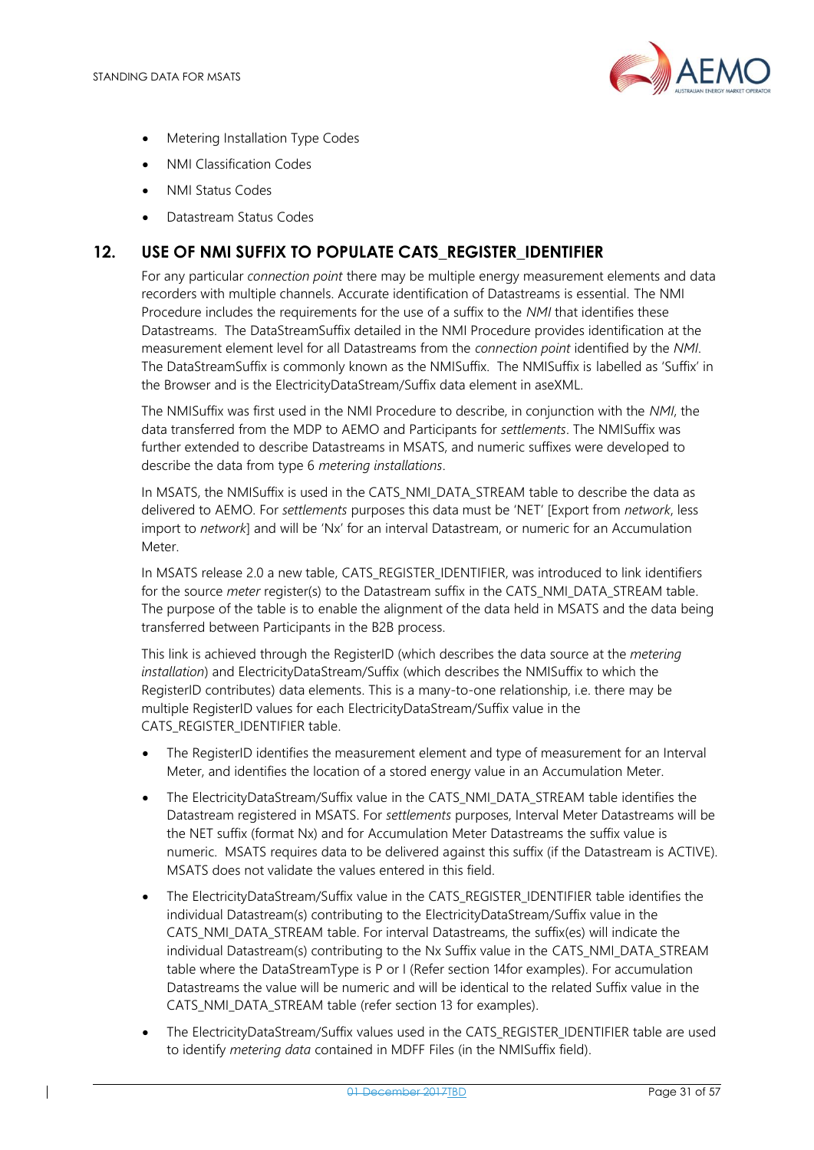

- Metering Installation Type Codes
- NMI Classification Codes
- NMI Status Codes
- Datastream Status Codes

### <span id="page-30-0"></span>**12. USE OF NMI SUFFIX TO POPULATE CATS\_REGISTER\_IDENTIFIER**

For any particular *connection point* there may be multiple energy measurement elements and data recorders with multiple channels. Accurate identification of Datastreams is essential. The NMI Procedure includes the requirements for the use of a suffix to the *NMI* that identifies these Datastreams. The DataStreamSuffix detailed in the NMI Procedure provides identification at the measurement element level for all Datastreams from the *connection point* identified by the *NMI*. The DataStreamSuffix is commonly known as the NMISuffix. The NMISuffix is labelled as 'Suffix' in the Browser and is the ElectricityDataStream/Suffix data element in aseXML.

The NMISuffix was first used in the NMI Procedure to describe, in conjunction with the *NMI*, the data transferred from the MDP to AEMO and Participants for *settlements*. The NMISuffix was further extended to describe Datastreams in MSATS, and numeric suffixes were developed to describe the data from type 6 *metering installations*.

In MSATS, the NMISuffix is used in the CATS\_NMI\_DATA\_STREAM table to describe the data as delivered to AEMO. For *settlements* purposes this data must be 'NET' [Export from *network*, less import to *network*] and will be 'Nx' for an interval Datastream, or numeric for an Accumulation Meter.

In MSATS release 2.0 a new table, CATS\_REGISTER\_IDENTIFIER, was introduced to link identifiers for the source *meter* register(s) to the Datastream suffix in the CATS\_NMI\_DATA\_STREAM table. The purpose of the table is to enable the alignment of the data held in MSATS and the data being transferred between Participants in the B2B process.

This link is achieved through the RegisterID (which describes the data source at the *metering installation*) and ElectricityDataStream/Suffix (which describes the NMISuffix to which the RegisterID contributes) data elements. This is a many-to-one relationship, i.e. there may be multiple RegisterID values for each ElectricityDataStream/Suffix value in the CATS\_REGISTER\_IDENTIFIER table.

- The RegisterID identifies the measurement element and type of measurement for an Interval Meter, and identifies the location of a stored energy value in an Accumulation Meter.
- The ElectricityDataStream/Suffix value in the CATS\_NMI\_DATA\_STREAM table identifies the Datastream registered in MSATS. For *settlements* purposes, Interval Meter Datastreams will be the NET suffix (format Nx) and for Accumulation Meter Datastreams the suffix value is numeric. MSATS requires data to be delivered against this suffix (if the Datastream is ACTIVE). MSATS does not validate the values entered in this field.
- The ElectricityDataStream/Suffix value in the CATS\_REGISTER\_IDENTIFIER table identifies the individual Datastream(s) contributing to the ElectricityDataStream/Suffix value in the CATS\_NMI\_DATA\_STREAM table. For interval Datastreams, the suffix(es) will indicate the individual Datastream(s) contributing to the Nx Suffix value in the CATS\_NMI\_DATA\_STREAM table where the DataStreamType is P or I (Refer section 14for examples). For accumulation Datastreams the value will be numeric and will be identical to the related Suffix value in the CATS\_NMI\_DATA\_STREAM table (refer section 13 for examples).
- The ElectricityDataStream/Suffix values used in the CATS\_REGISTER\_IDENTIFIER table are used to identify *metering data* contained in MDFF Files (in the NMISuffix field).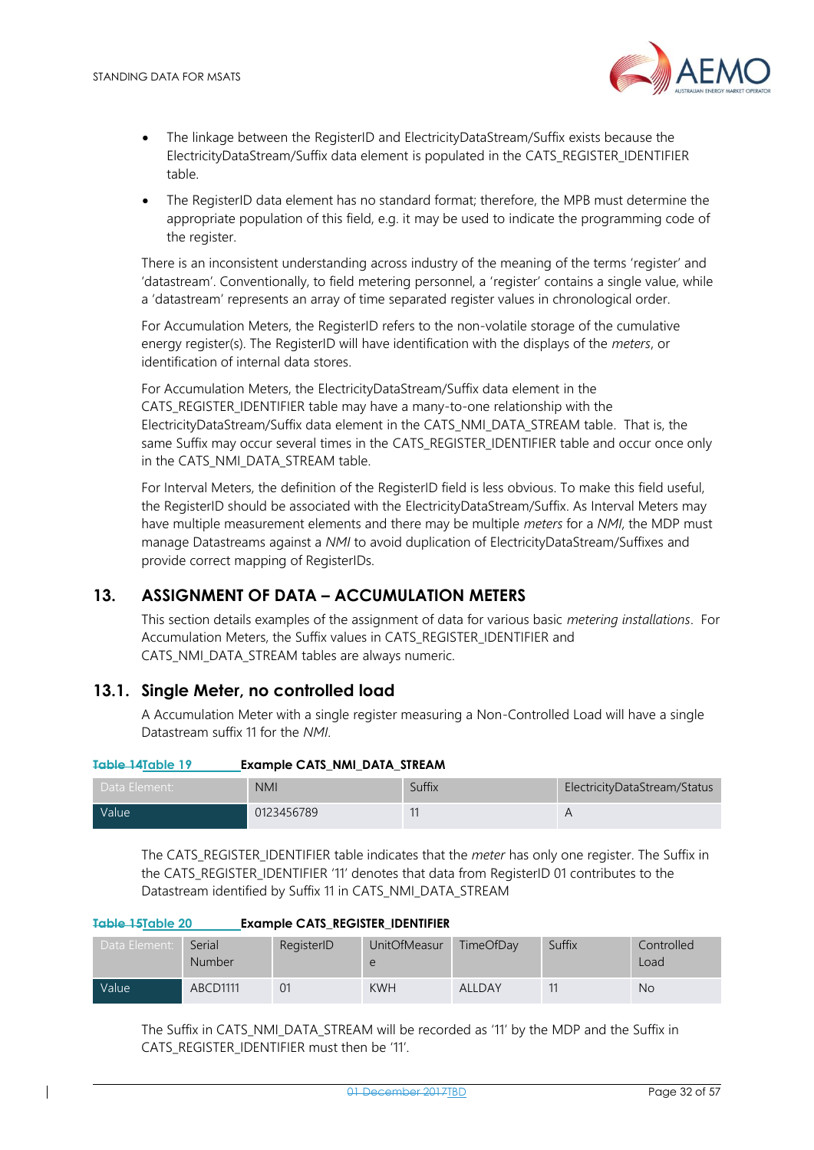

- The linkage between the RegisterID and ElectricityDataStream/Suffix exists because the ElectricityDataStream/Suffix data element is populated in the CATS\_REGISTER\_IDENTIFIER table.
- The RegisterID data element has no standard format; therefore, the MPB must determine the appropriate population of this field, e.g. it may be used to indicate the programming code of the register.

There is an inconsistent understanding across industry of the meaning of the terms 'register' and 'datastream'. Conventionally, to field metering personnel, a 'register' contains a single value, while a 'datastream' represents an array of time separated register values in chronological order.

For Accumulation Meters, the RegisterID refers to the non-volatile storage of the cumulative energy register(s). The RegisterID will have identification with the displays of the *meters*, or identification of internal data stores.

For Accumulation Meters, the ElectricityDataStream/Suffix data element in the CATS\_REGISTER\_IDENTIFIER table may have a many-to-one relationship with the ElectricityDataStream/Suffix data element in the CATS\_NMI\_DATA\_STREAM table. That is, the same Suffix may occur several times in the CATS\_REGISTER\_IDENTIFIER table and occur once only in the CATS\_NMI\_DATA\_STREAM table.

For Interval Meters, the definition of the RegisterID field is less obvious. To make this field useful, the RegisterID should be associated with the ElectricityDataStream/Suffix. As Interval Meters may have multiple measurement elements and there may be multiple *meters* for a *NMI*, the MDP must manage Datastreams against a *NMI* to avoid duplication of ElectricityDataStream/Suffixes and provide correct mapping of RegisterIDs.

### <span id="page-31-0"></span>**13. ASSIGNMENT OF DATA – ACCUMULATION METERS**

This section details examples of the assignment of data for various basic *metering installations*. For Accumulation Meters, the Suffix values in CATS\_REGISTER\_IDENTIFIER and CATS\_NMI\_DATA\_STREAM tables are always numeric.

### <span id="page-31-1"></span>**13.1. Single Meter, no controlled load**

A Accumulation Meter with a single register measuring a Non-Controlled Load will have a single Datastream suffix 11 for the *NMI*.

<span id="page-31-2"></span>

| <b>Example CATS_NMI_DATA_STREAM</b><br>Table 14Table 19 |  |
|---------------------------------------------------------|--|
|---------------------------------------------------------|--|

| Data Element: | <b>NMI</b> | Suffix | ElectricityDataStream/Status |
|---------------|------------|--------|------------------------------|
| Value         | 0123456789 | 11     |                              |

The CATS\_REGISTER\_IDENTIFIER table indicates that the *meter* has only one register. The Suffix in the CATS\_REGISTER\_IDENTIFIER '11' denotes that data from RegisterID 01 contributes to the Datastream identified by Suffix 11 in CATS\_NMI\_DATA\_STREAM

| <u>יש איטויט וואסטא</u><br><b>EXUMPLE CATS REGISTER IDENTIFIER</b> |                         |            |              |                  |        |                    |
|--------------------------------------------------------------------|-------------------------|------------|--------------|------------------|--------|--------------------|
| Data Element:                                                      | Serial<br><b>Number</b> | RegisterID | UnitOfMeasur | <b>TimeOfDav</b> | Suffix | Controlled<br>Load |
| Value                                                              | ABCD1111                | 01         | <b>KWH</b>   | <b>ALLDAY</b>    |        | <b>No</b>          |

<span id="page-31-3"></span>**Table 15Table 20 Example CATS\_REGISTER\_IDENTIFIER** 

The Suffix in CATS\_NMI\_DATA\_STREAM will be recorded as '11' by the MDP and the Suffix in CATS\_REGISTER\_IDENTIFIER must then be '11'.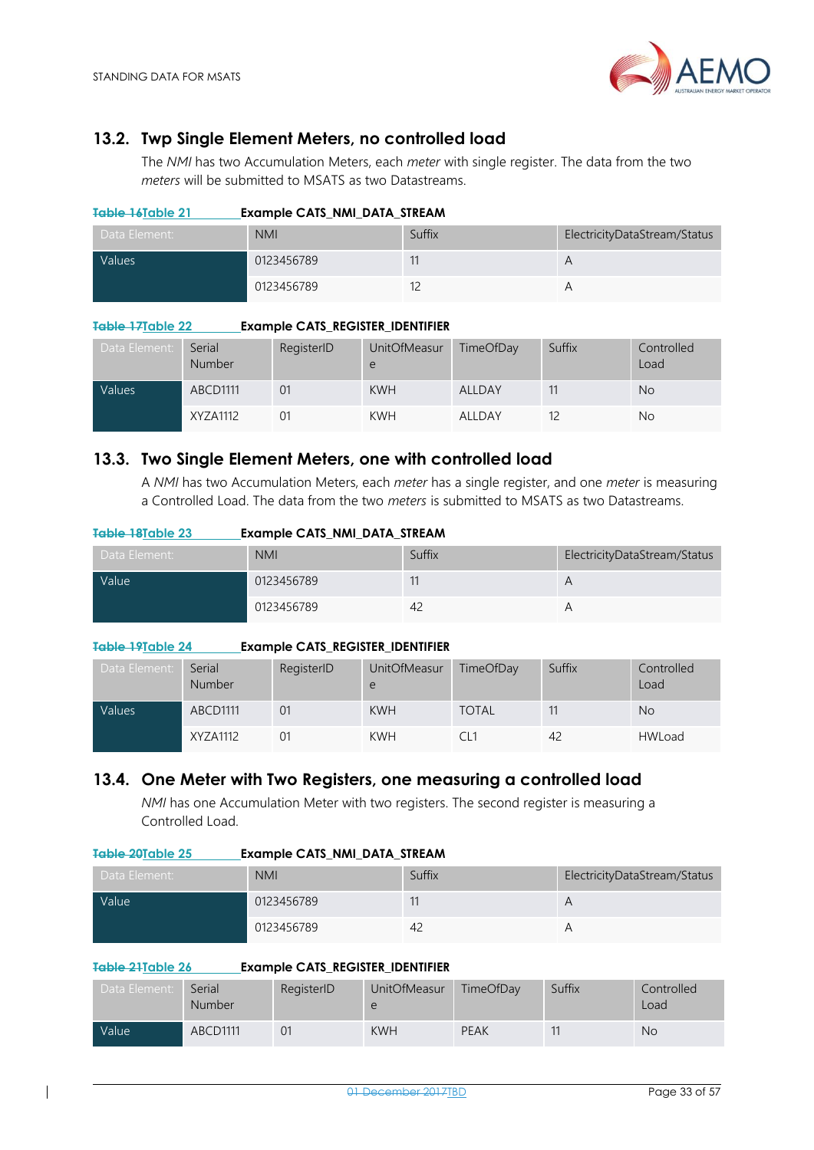

### <span id="page-32-0"></span>**13.2. Twp Single Element Meters, no controlled load**

The *NMI* has two Accumulation Meters, each *meter* with single register. The data from the two *meters* will be submitted to MSATS as two Datastreams.

<span id="page-32-3"></span>

| Table 16Table 21 | <b>Example CATS NMI DATA STREAM</b> |        |                              |  |  |
|------------------|-------------------------------------|--------|------------------------------|--|--|
| Data Element:    | <b>NMI</b>                          | Suffix | ElectricityDataStream/Status |  |  |
| <b>Values</b>    | 0123456789                          |        |                              |  |  |
|                  | 0123456789                          |        |                              |  |  |

#### <span id="page-32-4"></span>**Table 17Table 22 Example CATS\_REGISTER\_IDENTIFIER**

| Data Element: | Serial<br><b>Number</b> | RegisterID | <b>UnitOfMeasur</b><br>e | TimeOfDay | Suffix | Controlled<br>Load |
|---------------|-------------------------|------------|--------------------------|-----------|--------|--------------------|
| Values        | ABCD1111                | 01         | <b>KWH</b>               | ALLDAY    |        | <b>No</b>          |
|               | XYZA1112                |            | <b>KWH</b>               | ALLDAY    |        | No                 |

### <span id="page-32-1"></span>**13.3. Two Single Element Meters, one with controlled load**

A *NMI* has two Accumulation Meters, each *meter* has a single register, and one *meter* is measuring a Controlled Load. The data from the two *meters* is submitted to MSATS as two Datastreams.

<span id="page-32-5"></span>

| Table 18Table 23 | Example CATS NMI DATA STREAM |        |                              |
|------------------|------------------------------|--------|------------------------------|
| Data Element:    | <b>NMI</b>                   | Suffix | ElectricityDataStream/Status |
| Value            | 0123456789                   | 11     |                              |
|                  | 0123456789                   | 42     |                              |

#### <span id="page-32-6"></span>**Table 19Table 24 Example CATS\_REGISTER\_IDENTIFIER**

| Data Element: | Serial<br><b>Number</b> | RegisterID | UnitOfMeasur<br>e | TimeOfDay    | Suffix | Controlled<br>Load |
|---------------|-------------------------|------------|-------------------|--------------|--------|--------------------|
| Values        | ABCD1111                | 01         | <b>KWH</b>        | <b>TOTAL</b> |        | <b>No</b>          |
|               | XYZA1112                | 01         | <b>KWH</b>        |              | 42     | <b>HWLoad</b>      |

### <span id="page-32-2"></span>**13.4. One Meter with Two Registers, one measuring a controlled load**

*NMI* has one Accumulation Meter with two registers. The second register is measuring a Controlled Load.

#### <span id="page-32-7"></span>**Table 20Table 25 Example CATS\_NMI\_DATA\_STREAM**

| Data Element: | <b>NMI</b> | Suffix         | ElectricityDataStream/Status |
|---------------|------------|----------------|------------------------------|
| <b>Value</b>  | 0123456789 |                | А                            |
|               | 0123456789 | 4 <sub>c</sub> |                              |

#### <span id="page-32-8"></span>**Table 21Table 26 Example CATS\_REGISTER\_IDENTIFIER**

| Data Element:     | Serial<br><b>Number</b> | RegisterID | <b>UnitOfMeasur</b> | TimeOfDay   | Suffix | Controlled<br>Load |
|-------------------|-------------------------|------------|---------------------|-------------|--------|--------------------|
| Value <sup></sup> | ABCD1111                | 01         | <b>KWH</b>          | <b>PEAK</b> |        | <b>No</b>          |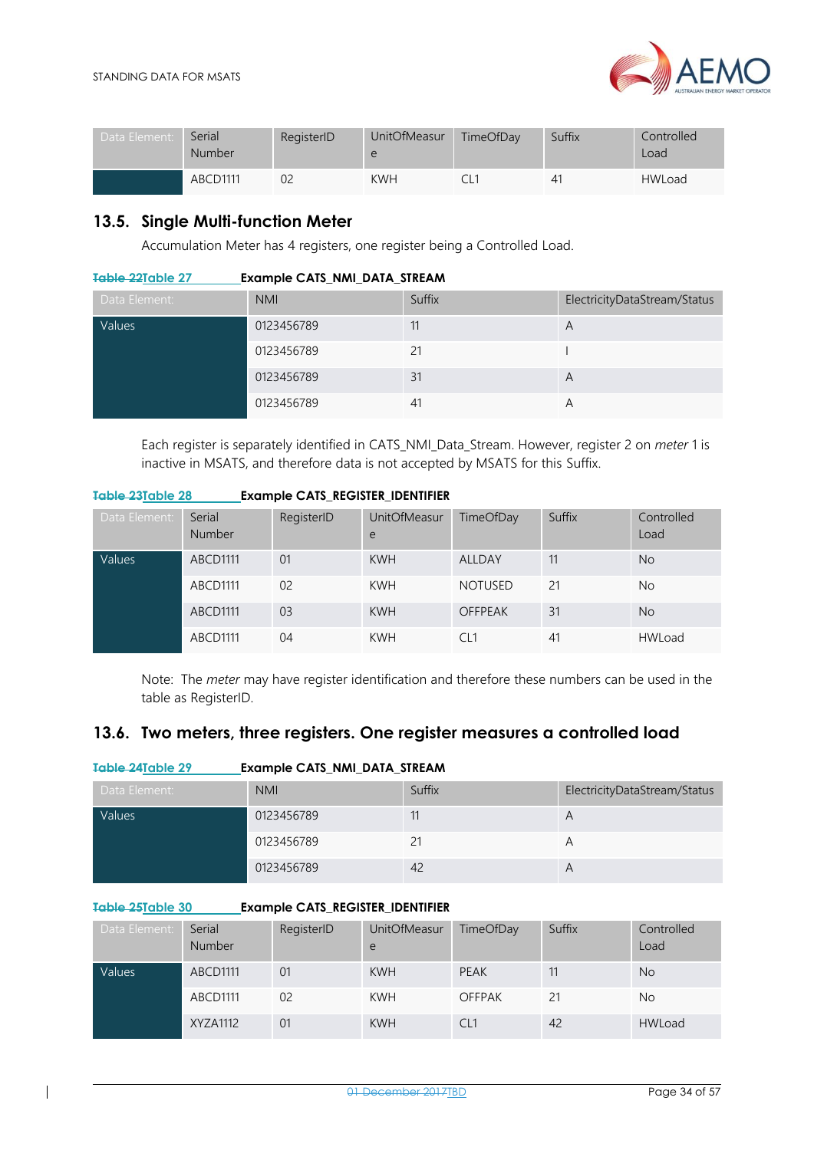

| Data Element: | Serial<br><b>Number</b> | RegisterID | <b>UnitOfMeasur</b><br>e | TimeOfDay | Suffix | Controlled<br>Load |
|---------------|-------------------------|------------|--------------------------|-----------|--------|--------------------|
|               | <b>ABCD1111</b>         | 02         | <b>KWH</b>               |           | 41     | <b>HWLoad</b>      |

### <span id="page-33-0"></span>**13.5. Single Multi-function Meter**

Accumulation Meter has 4 registers, one register being a Controlled Load.

<span id="page-33-2"></span>

| Table 22Table 27 | <b>Example CATS_NMI_DATA_STREAM</b> |
|------------------|-------------------------------------|
|------------------|-------------------------------------|

| Data Element: | <b>NMI</b> | Suffix | ElectricityDataStream/Status |
|---------------|------------|--------|------------------------------|
| Values        | 0123456789 | 11     | A                            |
|               | 0123456789 | 21     |                              |
|               | 0123456789 | 31     | A                            |
|               | 0123456789 | 41     | А                            |

Each register is separately identified in CATS\_NMI\_Data\_Stream. However, register 2 on *meter* 1 is inactive in MSATS, and therefore data is not accepted by MSATS for this Suffix.

#### <span id="page-33-3"></span>**Table 23Table 28 Example CATS\_REGISTER\_IDENTIFIER**

| Data Element: | Serial<br>Number | RegisterID     | <b>UnitOfMeasur</b><br>e | TimeOfDay      | Suffix | Controlled<br>Load |
|---------------|------------------|----------------|--------------------------|----------------|--------|--------------------|
| Values        | ABCD1111         | 01             | <b>KWH</b>               | ALLDAY         | 11     | <b>No</b>          |
|               | ABCD1111         | 0 <sup>2</sup> | <b>KWH</b>               | <b>NOTUSED</b> | 21     | No                 |
|               | ABCD1111         | 03             | <b>KWH</b>               | <b>OFFPEAK</b> | 31     | <b>No</b>          |
|               | ABCD1111         | 04             | <b>KWH</b>               | CL1            | 41     | <b>HWLoad</b>      |

Note: The *meter* may have register identification and therefore these numbers can be used in the table as RegisterID.

### <span id="page-33-1"></span>**13.6. Two meters, three registers. One register measures a controlled load**

<span id="page-33-4"></span>

| Table 24Table 29 | <b>Example CATS_NMI_DATA_STREAM</b> |        |                              |
|------------------|-------------------------------------|--------|------------------------------|
| Data Element:    | <b>NMI</b>                          | Suffix | ElectricityDataStream/Status |
| Values           | 0123456789                          | 11     | A                            |
|                  | 0123456789                          | 21     | A                            |
|                  | 0123456789                          | 42     | A                            |

#### <span id="page-33-5"></span>**Table 25Table 30 Example CATS\_REGISTER\_IDENTIFIER**

| Data Element: | Serial<br><b>Number</b> | RegisterID | <b>UnitOfMeasur</b><br>e | TimeOfDay       | Suffix | Controlled<br>Load |
|---------------|-------------------------|------------|--------------------------|-----------------|--------|--------------------|
| Values        | ABCD1111                | 01         | <b>KWH</b>               | PEAK            |        | <b>No</b>          |
|               | ABCD1111                | 02         | <b>KWH</b>               | <b>OFFPAK</b>   |        | <b>No</b>          |
|               | XYZA1112                | 01         | <b>KWH</b>               | CL <sub>1</sub> | 42     | <b>HWLoad</b>      |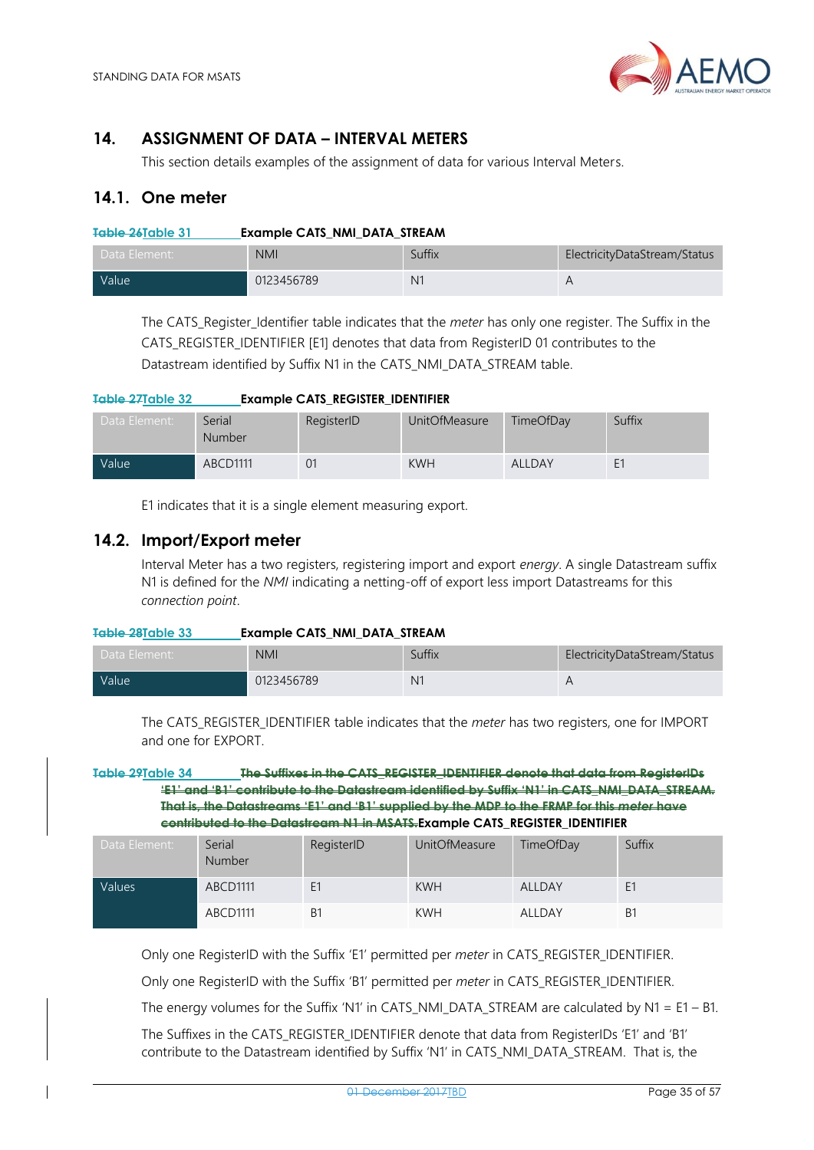

### <span id="page-34-0"></span>**14. ASSIGNMENT OF DATA – INTERVAL METERS**

This section details examples of the assignment of data for various Interval Meters.

### <span id="page-34-1"></span>**14.1. One meter**

<span id="page-34-3"></span>

| Table 26Table 31  | <b>Example CATS NMI DATA STREAM</b> |                |                              |  |  |
|-------------------|-------------------------------------|----------------|------------------------------|--|--|
| Data Element:     | <b>NMI</b>                          | Suffix         | ElectricityDataStream/Status |  |  |
| Value <sup></sup> | 0123456789                          | N <sub>1</sub> | А                            |  |  |

The CATS\_Register\_Identifier table indicates that the *meter* has only one register. The Suffix in the CATS\_REGISTER\_IDENTIFIER [E1] denotes that data from RegisterID 01 contributes to the Datastream identified by Suffix N1 in the CATS\_NMI\_DATA\_STREAM table.

<span id="page-34-4"></span>

| Table 27Table 32   | <b>Example CATS_REGISTER_IDENTIFIER</b> |            |               |               |                |
|--------------------|-----------------------------------------|------------|---------------|---------------|----------------|
| Data Element:      | Serial<br>Number                        | RegisterID | UnitOfMeasure | TimeOfDay     | Suffix         |
| Value <sup>1</sup> | ABCD1111                                | 01         | <b>KWH</b>    | <b>ALLDAY</b> | E <sub>1</sub> |

E1 indicates that it is a single element measuring export.

### <span id="page-34-2"></span>**14.2. Import/Export meter**

Interval Meter has a two registers, registering import and export *energy*. A single Datastream suffix N1 is defined for the *NMI* indicating a netting-off of export less import Datastreams for this *connection point*.

<span id="page-34-5"></span>

| Table 28Table 33 | <b>Example CATS NMI DATA STREAM</b> |                |                              |  |  |  |
|------------------|-------------------------------------|----------------|------------------------------|--|--|--|
| Data Element:    | <b>NMI</b>                          | Suffix         | ElectricityDataStream/Status |  |  |  |
| <b>Value</b>     | 0123456789                          | N <sub>1</sub> |                              |  |  |  |

The CATS\_REGISTER\_IDENTIFIER table indicates that the *meter* has two registers, one for IMPORT and one for EXPORT.

<span id="page-34-6"></span>**Table 29Table 34 The Suffixes in the CATS\_REGISTER\_IDENTIFIER denote that data from RegisterIDs 'E1' and 'B1' contribute to the Datastream identified by Suffix 'N1' in CATS\_NMI\_DATA\_STREAM. That is, the Datastreams 'E1' and 'B1' supplied by the MDP to the FRMP for this** *meter* **have contributed to the Datastream N1 in MSATS.Example CATS\_REGISTER\_IDENTIFIER**

| Data Element: | Serial<br>Number | RegisterID     | <b>UnitOfMeasure</b> | TimeOfDay     | Suffix |
|---------------|------------------|----------------|----------------------|---------------|--------|
| Values        | ABCD1111         | E <sub>1</sub> | <b>KWH</b>           | <b>ALLDAY</b> | E1     |
|               | ABCD1111         | B1             | <b>KWH</b>           | ALLDAY        | B1     |

Only one RegisterID with the Suffix 'E1' permitted per *meter* in CATS\_REGISTER\_IDENTIFIER.

Only one RegisterID with the Suffix 'B1' permitted per *meter* in CATS\_REGISTER\_IDENTIFIER.

The energy volumes for the Suffix 'N1' in CATS\_NMI\_DATA\_STREAM are calculated by  $N1 = E1 - B1$ .

The Suffixes in the CATS\_REGISTER\_IDENTIFIER denote that data from RegisterIDs 'E1' and 'B1' contribute to the Datastream identified by Suffix 'N1' in CATS\_NMI\_DATA\_STREAM. That is, the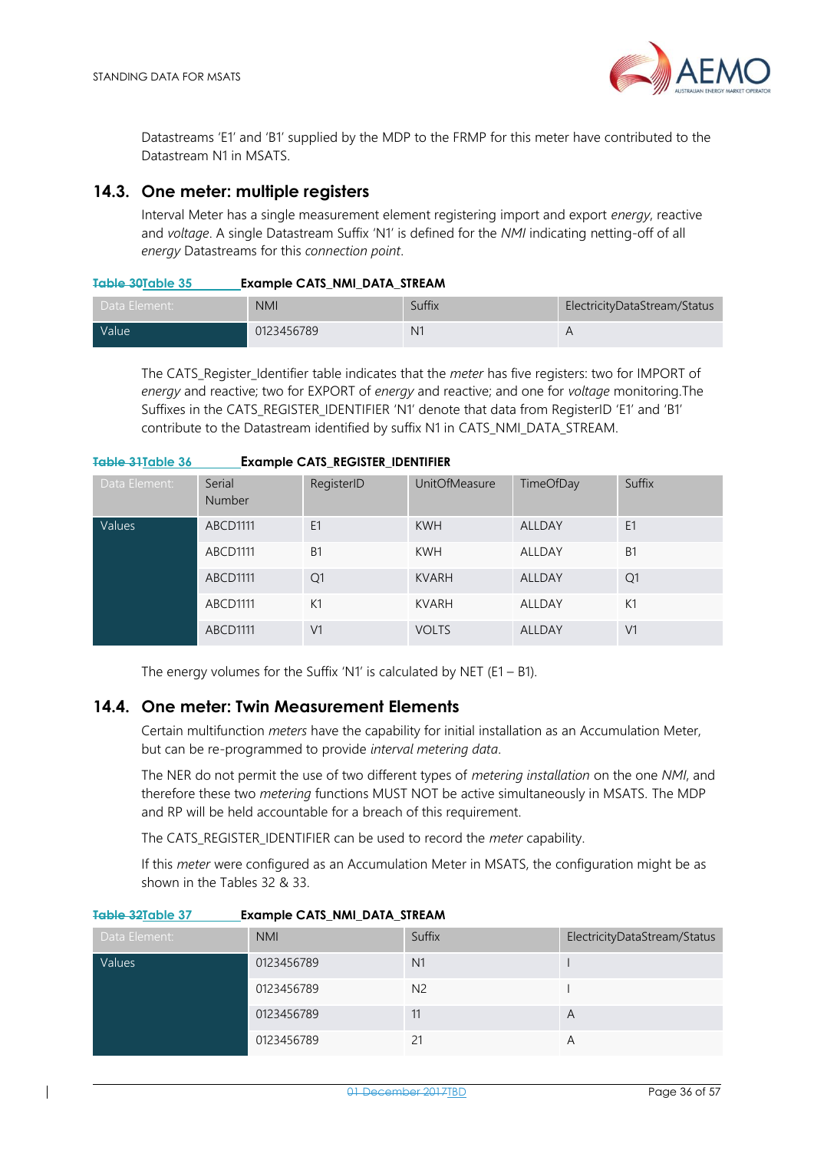

Datastreams 'E1' and 'B1' supplied by the MDP to the FRMP for this meter have contributed to the Datastream N1 in MSATS.

### <span id="page-35-0"></span>**14.3. One meter: multiple registers**

Interval Meter has a single measurement element registering import and export *energy*, reactive and *voltage*. A single Datastream Suffix 'N1' is defined for the *NMI* indicating netting-off of all *energy* Datastreams for this *connection point*.

<span id="page-35-2"></span>

| <del>Table 30</del> Table 35 | <b>Example CATS_NMI_DATA_STREAM</b> |  |
|------------------------------|-------------------------------------|--|

| Data Element:      | <b>NMI</b> | Suffix         | ElectricityDataStream/Status |
|--------------------|------------|----------------|------------------------------|
| Value <sup>1</sup> | 0123456789 | N <sub>1</sub> |                              |

The CATS\_Register\_Identifier table indicates that the *meter* has five registers: two for IMPORT of *energy* and reactive; two for EXPORT of *energy* and reactive; and one for *voltage* monitoring.The Suffixes in the CATS\_REGISTER\_IDENTIFIER 'N1' denote that data from RegisterID 'E1' and 'B1' contribute to the Datastream identified by suffix N1 in CATS\_NMI\_DATA\_STREAM.

<span id="page-35-3"></span>

| Table 31 Table 36 | <b>Example CATS_REGISTER_IDENTIFIER</b> |                |                      |                  |                |
|-------------------|-----------------------------------------|----------------|----------------------|------------------|----------------|
| Data Element:     | Serial<br><b>Number</b>                 | RegisterID     | <b>UnitOfMeasure</b> | <b>TimeOfDay</b> | Suffix         |
| Values            | ABCD1111                                | E <sub>1</sub> | <b>KWH</b>           | ALLDAY           | E <sub>1</sub> |
|                   | ABCD1111                                | <b>B1</b>      | <b>KWH</b>           | <b>ALLDAY</b>    | B1             |
|                   | ABCD1111                                | Q1             | <b>KVARH</b>         | <b>ALLDAY</b>    | Q <sub>1</sub> |
|                   | ABCD1111                                | K1             | <b>KVARH</b>         | ALLDAY           | K1             |
|                   | ABCD1111                                | V <sub>1</sub> | <b>VOLTS</b>         | ALLDAY           | V <sub>1</sub> |

The energy volumes for the Suffix 'N1' is calculated by NET (E1 – B1).

### <span id="page-35-1"></span>**14.4. One meter: Twin Measurement Elements**

Certain multifunction *meters* have the capability for initial installation as an Accumulation Meter, but can be re-programmed to provide *interval metering data*.

The NER do not permit the use of two different types of *metering installation* on the one *NMI*, and therefore these two *metering* functions MUST NOT be active simultaneously in MSATS. The MDP and RP will be held accountable for a breach of this requirement.

The CATS\_REGISTER\_IDENTIFIER can be used to record the *meter* capability.

If this *meter* were configured as an Accumulation Meter in MSATS, the configuration might be as shown in the Tables 32 & 33.

|  | Data Element: | <b>NMI</b>     | Suffix         | ElectricityDataStream/Status |
|--|---------------|----------------|----------------|------------------------------|
|  | Values        | 0123456789     | N <sub>1</sub> |                              |
|  | 0123456789    | N <sub>2</sub> |                |                              |
|  | 0123456789    | 11             | A              |                              |
|  |               | 0123456789     |                |                              |

#### <span id="page-35-4"></span>**Table 32Table 37 Example CATS\_NMI\_DATA\_STREAM**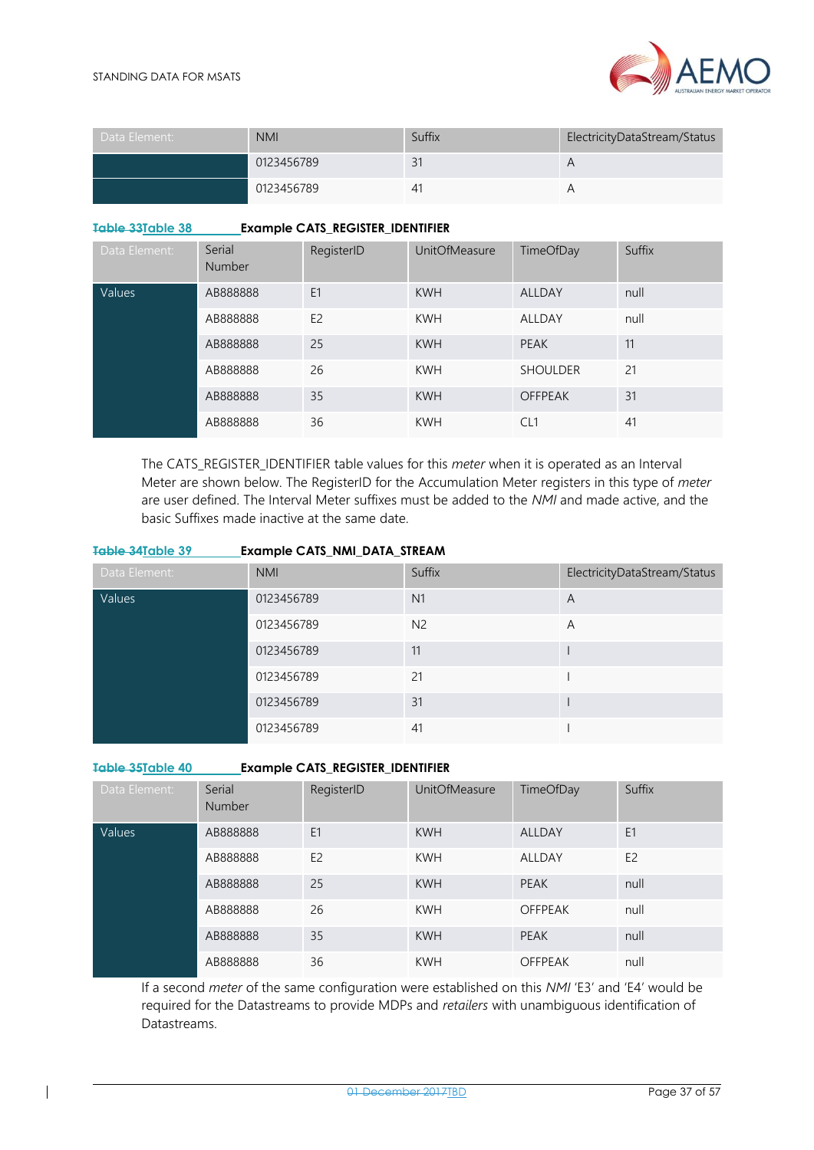

| Data Element: | <b>NMI</b> | Suffix | ElectricityDataStream/Status |
|---------------|------------|--------|------------------------------|
|               | 0123456789 | 31     | А                            |
|               | 0123456789 | 41     |                              |

#### <span id="page-36-0"></span>**Table 33Table 38 Example CATS\_REGISTER\_IDENTIFIER**

| Data Element: | Serial<br><b>Number</b> | RegisterID     | <b>UnitOfMeasure</b> | TimeOfDay       | Suffix |
|---------------|-------------------------|----------------|----------------------|-----------------|--------|
| Values        | AB888888                | E <sub>1</sub> | <b>KWH</b>           | <b>ALLDAY</b>   | null   |
|               | AB888888                | E <sub>2</sub> | <b>KWH</b>           | ALLDAY          | null   |
|               | AB888888                | 25             | <b>KWH</b>           | <b>PEAK</b>     | 11     |
|               | AB888888                | 26             | <b>KWH</b>           | <b>SHOULDER</b> | 21     |
|               | AB888888                | 35             | <b>KWH</b>           | <b>OFFPEAK</b>  | 31     |
|               | AB888888                | 36             | <b>KWH</b>           | CL <sub>1</sub> | 41     |

The CATS\_REGISTER\_IDENTIFIER table values for this *meter* when it is operated as an Interval Meter are shown below. The RegisterID for the Accumulation Meter registers in this type of *meter* are user defined. The Interval Meter suffixes must be added to the *NMI* and made active, and the basic Suffixes made inactive at the same date.

<span id="page-36-1"></span>

| Table 34Table 39 | <b>Example CATS_NMI_DATA_STREAM</b> |                |                              |
|------------------|-------------------------------------|----------------|------------------------------|
| Data Element:    | <b>NMI</b>                          | Suffix         | ElectricityDataStream/Status |
| Values           | 0123456789                          | N1             | A                            |
|                  | 0123456789                          | N <sub>2</sub> | A                            |
|                  | 0123456789                          | 11             |                              |
|                  | 0123456789                          | 21             |                              |
|                  | 0123456789                          | 31             |                              |
|                  | 0123456789                          | 41             |                              |

<span id="page-36-2"></span>**Table 35Table 40 Example CATS\_REGISTER\_IDENTIFIER**

| Data Element: | Serial<br><b>Number</b> | RegisterID     | <b>UnitOfMeasure</b> | TimeOfDay      | Suffix         |
|---------------|-------------------------|----------------|----------------------|----------------|----------------|
| Values        | AB888888                | E <sub>1</sub> | <b>KWH</b>           | <b>ALLDAY</b>  | E <sub>1</sub> |
|               | AB888888                | E <sub>2</sub> | <b>KWH</b>           | <b>ALLDAY</b>  | E <sub>2</sub> |
|               | AB888888                | 25             | <b>KWH</b>           | <b>PEAK</b>    | null           |
|               | AB888888                | 26             | <b>KWH</b>           | <b>OFFPEAK</b> | null           |
|               | AB888888                | 35             | <b>KWH</b>           | <b>PEAK</b>    | null           |
|               | AB888888                | 36             | <b>KWH</b>           | <b>OFFPEAK</b> | null           |

If a second *meter* of the same configuration were established on this *NMI* 'E3' and 'E4' would be required for the Datastreams to provide MDPs and *retailers* with unambiguous identification of Datastreams.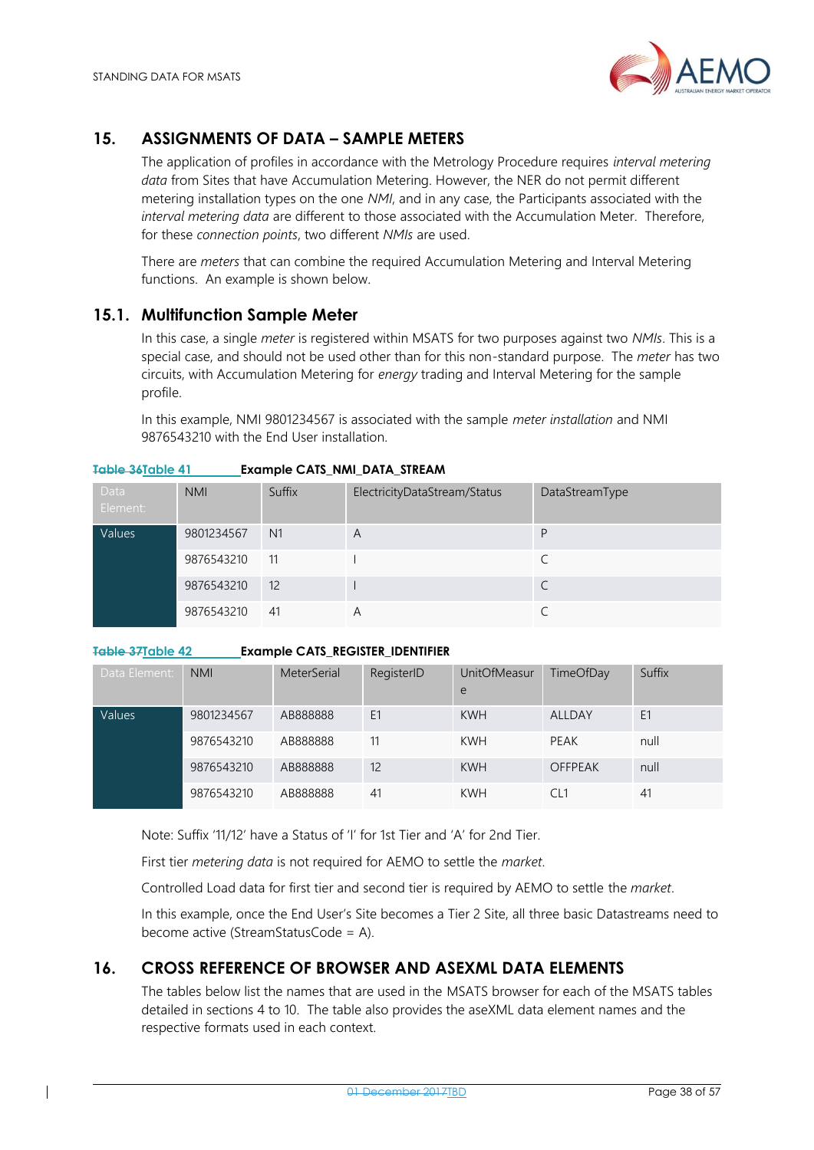

### <span id="page-37-0"></span>**15. ASSIGNMENTS OF DATA – SAMPLE METERS**

The application of profiles in accordance with the Metrology Procedure requires *interval metering data* from Sites that have Accumulation Metering. However, the NER do not permit different metering installation types on the one *NMI*, and in any case, the Participants associated with the *interval metering data* are different to those associated with the Accumulation Meter. Therefore, for these *connection points*, two different *NMIs* are used.

There are *meters* that can combine the required Accumulation Metering and Interval Metering functions. An example is shown below.

### <span id="page-37-1"></span>**15.1. Multifunction Sample Meter**

In this case, a single *meter* is registered within MSATS for two purposes against two *NMIs*. This is a special case, and should not be used other than for this non-standard purpose. The *meter* has two circuits, with Accumulation Metering for *energy* trading and Interval Metering for the sample profile.

In this example, NMI 9801234567 is associated with the sample *meter installation* and NMI 9876543210 with the End User installation.

| Data<br>Element: | <b>NMI</b> | Suffix    | ElectricityDataStream/Status | DataStreamType |
|------------------|------------|-----------|------------------------------|----------------|
| Values           | 9801234567 | <b>N1</b> | A                            | D              |
|                  | 9876543210 | 11        |                              |                |
|                  | 9876543210 | 12        |                              |                |
|                  | 9876543210 | -41       | Α                            |                |

#### <span id="page-37-3"></span>**Table 36Table 41 Example CATS\_NMI\_DATA\_STREAM**

#### <span id="page-37-4"></span>**Table 37Table 42 Example CATS\_REGISTER\_IDENTIFIER**

| Data Element: | <b>NMI</b> | MeterSerial | RegisterID | <b>UnitOfMeasur</b><br>e | TimeOfDay      | Suffix |
|---------------|------------|-------------|------------|--------------------------|----------------|--------|
| Values        | 9801234567 | AB888888    | E1         | <b>KWH</b>               | ALLDAY         | E1     |
|               | 9876543210 | AB888888    | 11         | <b>KWH</b>               | PEAK           | null   |
|               | 9876543210 | AB888888    | 12         | <b>KWH</b>               | <b>OFFPEAK</b> | null   |
|               | 9876543210 | AB888888    | 41         | <b>KWH</b>               | CL1            | 41     |

Note: Suffix '11/12' have a Status of 'I' for 1st Tier and 'A' for 2nd Tier.

First tier *metering data* is not required for AEMO to settle the *market*.

Controlled Load data for first tier and second tier is required by AEMO to settle the *market*.

In this example, once the End User's Site becomes a Tier 2 Site, all three basic Datastreams need to become active (StreamStatusCode = A).

### <span id="page-37-2"></span>**16. CROSS REFERENCE OF BROWSER AND ASEXML DATA ELEMENTS**

The tables below list the names that are used in the MSATS browser for each of the MSATS tables detailed in sections 4 to 10. The table also provides the aseXML data element names and the respective formats used in each context.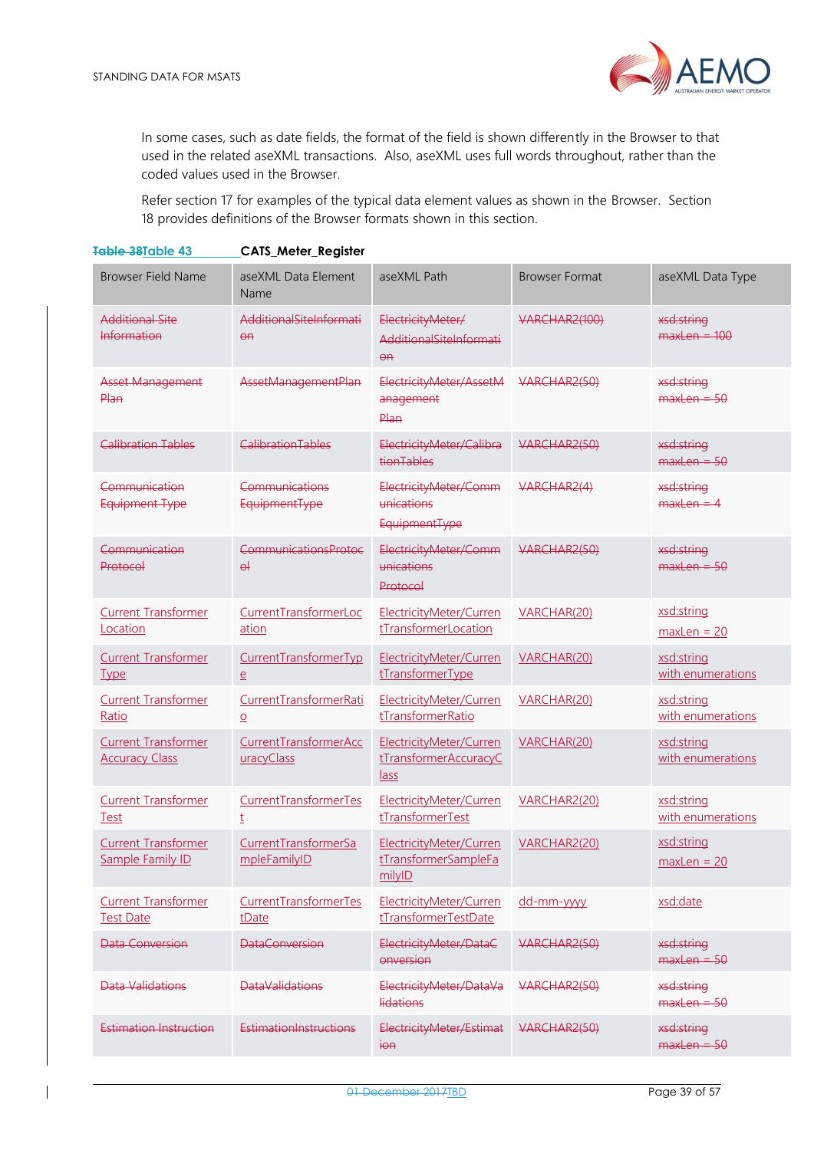

In some cases, such as date fields, the format of the field is shown differently in the Browser to that used in the related aseXML transactions. Also, aseXML uses full words throughout, rather than the coded values used in the Browser.

Refer section 17 for examples of the typical data element values as shown in the Browser. Section 18 provides definitions of the Browser formats shown in this section.

<span id="page-38-0"></span>

| Table 38Table 43                                    | <b>CATS Meter Register</b>               |                                                             |                       |                                 |
|-----------------------------------------------------|------------------------------------------|-------------------------------------------------------------|-----------------------|---------------------------------|
| <b>Browser Field Name</b>                           | aseXML Data Element<br>Name              | aseXML Path                                                 | <b>Browser Format</b> | aseXML Data Type                |
| <b>Additional Site</b><br>Information               | AdditionalSiteInformati<br>$\Theta$ A    | ElectricityMeter/<br>AdditionalSiteInformati<br>$\Theta$ A  | <b>VARCHAR2(100)</b>  | xsd:string<br>$maxLen = 100$    |
| Asset Management<br>Plan                            | AssetManagementPlan                      | ElectricityMeter/AssetM<br>anagement<br>Plan                | VARCHAR2(50)          | xsd:string<br>$maxlen = 50$     |
| Calibration Tables                                  | CalibrationTables                        | ElectricityMeter/Calibra<br>tionTables                      | VARCHAR2(50)          | xsd:string<br>$maxLen = 50$     |
| Communication<br>Equipment Type                     | Communications<br><b>EquipmentType</b>   | ElectricityMeter/Comm<br>unications<br><b>EquipmentType</b> | VARCHAR2(4)           | xsd:string<br>$maxLen = 4$      |
| Communication<br>Protocol                           | CommunicationsProtoc<br>$\Theta$         | ElectricityMeter/Comm<br>unications<br>Protocol             | VARCHAR2(50)          | xsd:string<br>$maxlen = 50$     |
| <b>Current Transformer</b><br>Location              | CurrentTransformerLoc<br>ation           | ElectricityMeter/Curren<br>tTransformerLocation             | VARCHAR(20)           | xsd:string<br>$maxLen = 20$     |
| <b>Current Transformer</b><br><b>Type</b>           | CurrentTransformerTyp<br>$\overline{e}$  | ElectricityMeter/Curren<br>tTransformerType                 | VARCHAR(20)           | xsd:string<br>with enumerations |
| <b>Current Transformer</b><br>Ratio                 | CurrentTransformerRati<br>$\overline{O}$ | ElectricityMeter/Curren<br>tTransformerRatio                | VARCHAR(20)           | xsd:string<br>with enumerations |
| <b>Current Transformer</b><br><b>Accuracy Class</b> | CurrentTransformerAcc<br>uracyClass      | ElectricityMeter/Curren<br>tTransformerAccuracyC<br>lass    | VARCHAR(20)           | xsd:string<br>with enumerations |
| <b>Current Transformer</b><br><b>Test</b>           | CurrentTransformerTes<br>$\underline{t}$ | ElectricityMeter/Curren<br>tTransformerTest                 | VARCHAR2(20)          | xsd:string<br>with enumerations |
| <b>Current Transformer</b><br>Sample Family ID      | CurrentTransformerSa<br>mpleFamilyID     | ElectricityMeter/Curren<br>tTransformerSampleFa<br>milyID   | VARCHAR2(20)          | xsd:string<br>$maxLen = 20$     |
| <b>Current Transformer</b><br><b>Test Date</b>      | CurrentTransformerTes<br>tDate           | ElectricityMeter/Curren<br>tTransformerTestDate             | dd-mm-yyyy            | xsd:date                        |
| Data Conversion                                     | <b>DataConversion</b>                    | ElectricityMeter/DataC<br>onversion                         | VARCHAR2(50)          | xsd:string<br>$maxLen = 50$     |
| <b>Data Validations</b>                             | <b>DataValidations</b>                   | ElectricityMeter/DataVa<br><b>lidations</b>                 | VARCHAR2(50)          | xsd:string<br>$maxLen = 50$     |
| <b>Estimation Instruction</b>                       | EstimationInstructions                   | ElectricityMeter/Estimat<br>$\overline{1}$                  | VARCHAR2(50)          | xsd:string<br>$maxLen = 50$     |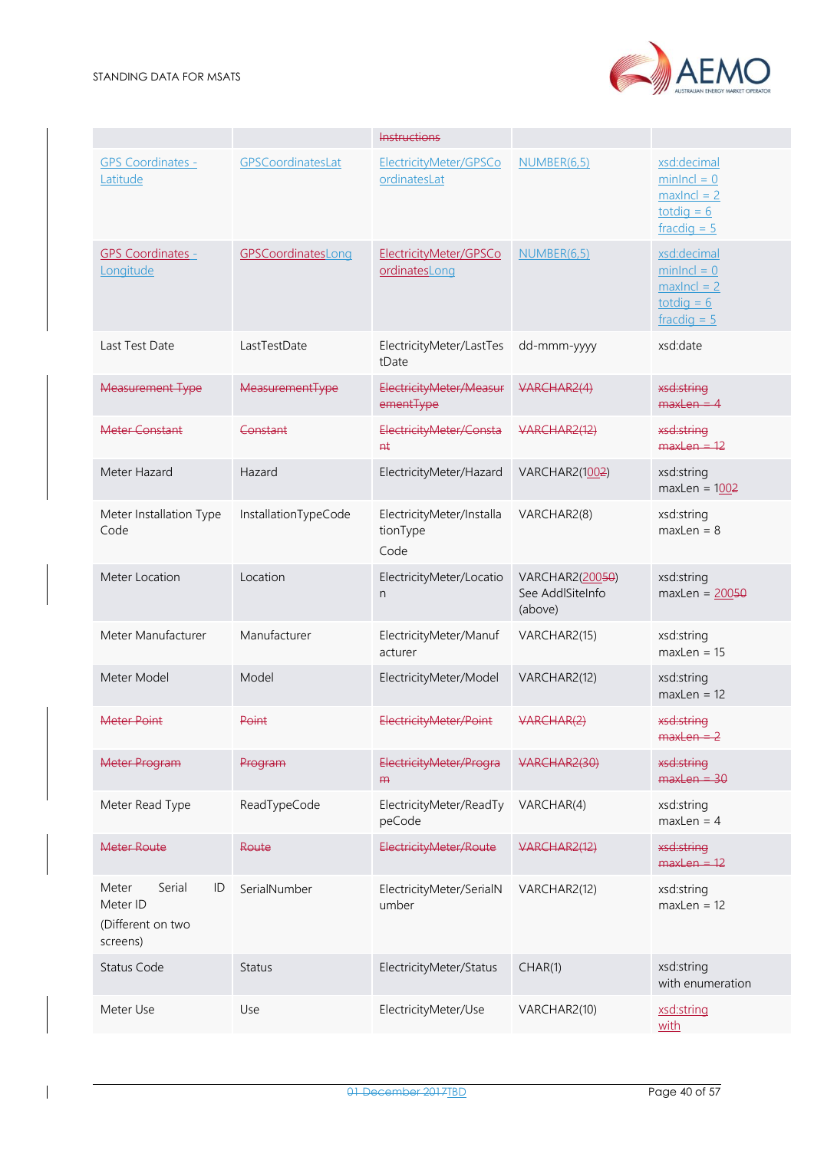

|                                                                    |                      | <b>Instructions</b>                           |                                                |                                                                                                       |
|--------------------------------------------------------------------|----------------------|-----------------------------------------------|------------------------------------------------|-------------------------------------------------------------------------------------------------------|
| <b>GPS Coordinates -</b><br>Latitude                               | GPSCoordinatesLat    | ElectricityMeter/GPSCo<br>ordinatesLat        | NUMBER(6,5)                                    | xsd:decimal<br>$minIncl = 0$<br>$maxIncl = 2$<br>$\text{t}{odd} = 6$<br>$frac{di}{dx} = 5$            |
| <b>GPS Coordinates -</b><br>Longitude                              | GPSCoordinatesLong   | ElectricityMeter/GPSCo<br>ordinatesLong       | <b>NUMBER(6,5)</b>                             | xsd:decimal<br>$minIncl = 0$<br>$maxIncl = 2$<br>$\underline{\text{total}} = 6$<br>$frac{di}{dx} = 5$ |
| Last Test Date                                                     | LastTestDate         | ElectricityMeter/LastTes<br>tDate             | dd-mmm-yyyy                                    | xsd:date                                                                                              |
| <b>Measurement Type</b>                                            | MeasurementType      | ElectricityMeter/Measur<br>ementType          | VARCHAR2(4)                                    | xsd:string<br>$maxLen = 4$                                                                            |
| Meter Constant                                                     | Constant             | ElectricityMeter/Consta<br>$H+$               | VARCHAR2(12)                                   | xsd:string<br>$maxLen = 12$                                                                           |
| Meter Hazard                                                       | Hazard               | ElectricityMeter/Hazard                       | VARCHAR2(1002)                                 | xsd:string<br>$maxLen = 1002$                                                                         |
| Meter Installation Type<br>Code                                    | InstallationTypeCode | ElectricityMeter/Installa<br>tionType<br>Code | VARCHAR2(8)                                    | xsd:string<br>$maxLen = 8$                                                                            |
| Meter Location                                                     | Location             | ElectricityMeter/Locatio<br>n                 | VARCHAR2(20050)<br>See AddlSiteInfo<br>(above) | xsd:string<br>$maxLen = 20050$                                                                        |
| Meter Manufacturer                                                 | Manufacturer         | ElectricityMeter/Manuf<br>acturer             | VARCHAR2(15)                                   | xsd:string<br>$maxLen = 15$                                                                           |
| Meter Model                                                        | Model                | ElectricityMeter/Model                        | VARCHAR2(12)                                   | xsd:string<br>$maxLen = 12$                                                                           |
| <b>Meter Point</b>                                                 | Point                | ElectricityMeter/Point                        | VARCHAR(2)                                     | xsd:string<br>$maxLen = 2$                                                                            |
| <b>Meter Program</b>                                               | Program              | ElectricityMeter/Progra<br>$H\rightarrow$     | VARCHAR2(30)                                   | xsd:string<br>$maxLen = 30$                                                                           |
| Meter Read Type                                                    | ReadTypeCode         | ElectricityMeter/ReadTy<br>peCode             | VARCHAR(4)                                     | xsd:string<br>$maxLen = 4$                                                                            |
| Meter Route                                                        | Route                | ElectricityMeter/Route                        | VARCHAR2(12)                                   | xsd:string<br>$maxLen = 12$                                                                           |
| Serial<br>Meter<br>ID<br>Meter ID<br>(Different on two<br>screens) | SerialNumber         | ElectricityMeter/SerialN<br>umber             | VARCHAR2(12)                                   | xsd:string<br>$maxLen = 12$                                                                           |
| <b>Status Code</b>                                                 | <b>Status</b>        | ElectricityMeter/Status                       | CHAR(1)                                        | xsd:string<br>with enumeration                                                                        |
| Meter Use                                                          | Use                  | ElectricityMeter/Use                          | VARCHAR2(10)                                   | xsd:string<br>with                                                                                    |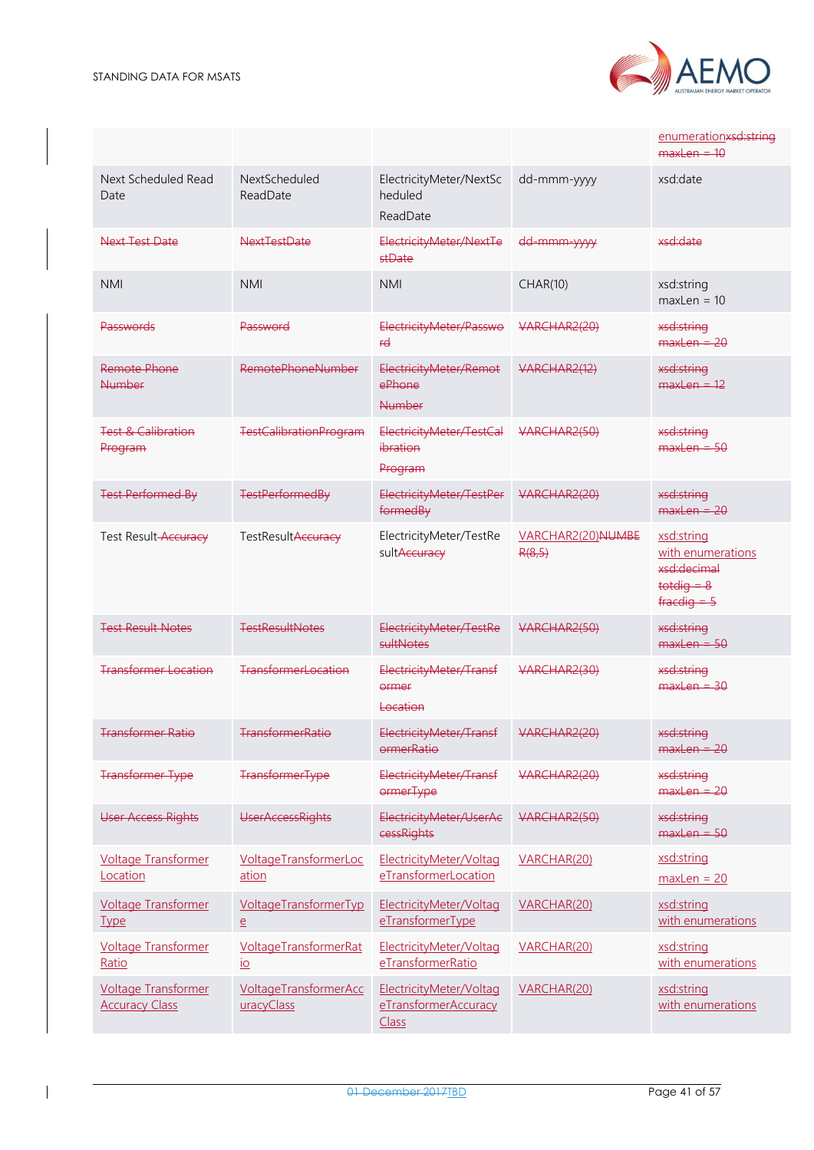

|                                                     |                                                                |                                                          |                             | enumerationxsd:string<br>$maxLen = 10$                                              |
|-----------------------------------------------------|----------------------------------------------------------------|----------------------------------------------------------|-----------------------------|-------------------------------------------------------------------------------------|
| Next Scheduled Read<br>Date                         | NextScheduled<br>ReadDate                                      | ElectricityMeter/NextSc<br>heduled<br>ReadDate           | dd-mmm-yyyy                 | xsd:date                                                                            |
| Next Test Date                                      | NextTestDate                                                   | ElectricityMeter/NextTe<br>stDate                        | dd-mmm-yyyy                 | xsd:date                                                                            |
| <b>NMI</b>                                          | <b>NMI</b>                                                     | <b>NMI</b>                                               | CHAR(10)                    | xsd:string<br>$maxLen = 10$                                                         |
| Passwords                                           | Password                                                       | ElectricityMeter/Passwo<br>rd                            | VARCHAR2(20)                | xsd:string<br>$maxlen = 20$                                                         |
| Remote Phone<br><b>Number</b>                       | RemotePhoneNumber                                              | ElectricityMeter/Remot<br>ePhone<br>Number               | VARCHAR2(12)                | xsd:string<br>$maxlen = 12$                                                         |
| <b>Test &amp; Calibration</b><br>Program            | <b>TestCalibrationProgram</b>                                  | ElectricityMeter/TestCal<br>ibration<br>Program          | VARCHAR2(50)                | xsd:string<br>$maxLen = 50$                                                         |
| <b>Test Performed By</b>                            | <b>TestPerformedBy</b>                                         | ElectricityMeter/TestPer<br>formedBy                     | VARCHAR2(20)                | xsd:string<br>$maxlen = 20$                                                         |
| Test Result-Accuracy                                | TestResultAccuracy                                             | ElectricityMeter/TestRe<br>sultAccuracy                  | VARCHAR2(20)NUMBE<br>R(8,5) | xsd:string<br>with enumerations<br>xsd:decimal<br>$t$ otdig = $8$<br>$fracedie = 5$ |
| <b>Test Result Notes</b>                            | <b>TestResultNotes</b>                                         | ElectricityMeter/TestRe<br>sultNotes                     | VARCHAR2(50)                | xsd:string<br>$maxLen = 50$                                                         |
| <b>Transformer Location</b>                         | <b>TransformerLocation</b>                                     | ElectricityMeter/Transf<br>ormer<br>Location             | VARCHAR2(30)                | xsd:string<br>$maxLen = 30$                                                         |
| <b>Transformer Ratio</b>                            | TransformerRatio                                               | ElectricityMeter/Transf<br>ormerRatio                    | VARCHAR2(20)                | xsd:string<br>$maxLen = 20$                                                         |
| <b>Transformer Type</b>                             | <b>TransformerType</b>                                         | ElectricityMeter/Transf<br><b>ormerType</b>              | VARCHAR2(20)                | xsd:string<br>$maxLen = 20$                                                         |
| <b>User Access Rights</b>                           | <b>UserAccessRights</b>                                        | ElectricityMeter/UserAc<br>cessRights                    | VARCHAR2(50)                | xsd:string<br>$maxLen = 50$                                                         |
| <b>Voltage Transformer</b><br>Location              | VoltageTransformerLoc<br>ation                                 | ElectricityMeter/Voltag<br>eTransformerLocation          | VARCHAR(20)                 | xsd:string<br>$maxLen = 20$                                                         |
| <b>Voltage Transformer</b><br><b>Type</b>           | VoltageTransformerTyp<br>$\underline{e}$                       | ElectricityMeter/Voltag<br>eTransformerType              | VARCHAR(20)                 | xsd:string<br>with enumerations                                                     |
| <b>Voltage Transformer</b><br>Ratio                 | <b>VoltageTransformerRat</b><br>$\underline{\text{i}\text{o}}$ | ElectricityMeter/Voltag<br>eTransformerRatio             | VARCHAR(20)                 | xsd:string<br>with enumerations                                                     |
| <b>Voltage Transformer</b><br><b>Accuracy Class</b> | VoltageTransformerAcc<br>uracyClass                            | ElectricityMeter/Voltag<br>eTransformerAccuracy<br>Class | VARCHAR(20)                 | xsd:string<br>with enumerations                                                     |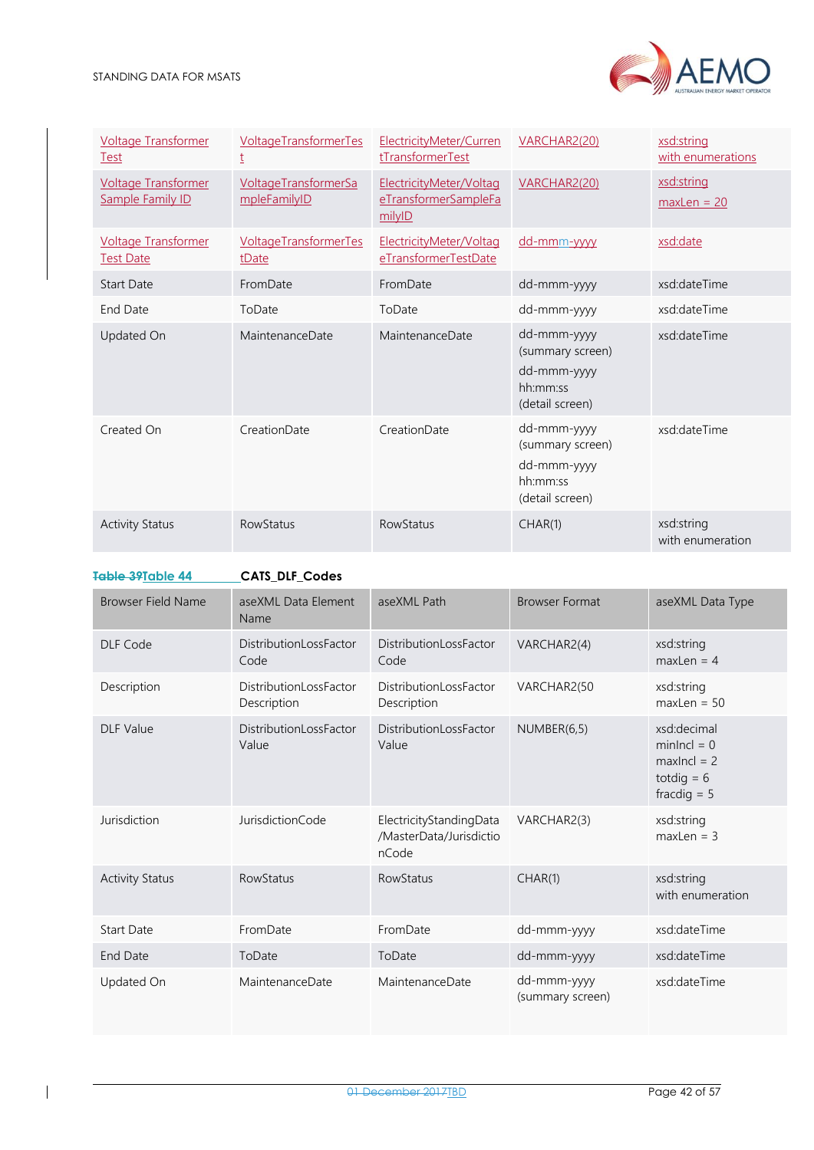| <b>Voltage Transformer</b><br><b>Test</b>             | <b>VoltageTransformerTes</b><br>ţ           | ElectricityMeter/Curren<br>tTransformerTest               | VARCHAR2(20)                                                                  | xsd:string<br>with enumerations |
|-------------------------------------------------------|---------------------------------------------|-----------------------------------------------------------|-------------------------------------------------------------------------------|---------------------------------|
| <b>Voltage Transformer</b><br><b>Sample Family ID</b> | <b>VoltageTransformerSa</b><br>mpleFamilyID | ElectricityMeter/Voltag<br>eTransformerSampleFa<br>milyID | VARCHAR2(20)                                                                  | xsd:string<br>$maxLen = 20$     |
| <b>Voltage Transformer</b><br><b>Test Date</b>        | VoltageTransformerTes<br>tDate              | ElectricityMeter/Voltag<br>eTransformerTestDate           | dd-mmm-vvvv                                                                   | xsd:date                        |
| <b>Start Date</b>                                     | FromDate                                    | FromDate                                                  | dd-mmm-yyyy                                                                   | xsd:dateTime                    |
| <b>End Date</b>                                       | ToDate                                      | ToDate                                                    | dd-mmm-yyyy                                                                   | xsd:dateTime                    |
| Updated On                                            | MaintenanceDate                             | MaintenanceDate                                           | dd-mmm-yyyy<br>(summary screen)<br>dd-mmm-yyyy<br>hh:mm:ss<br>(detail screen) | xsd:dateTime                    |
| Created On                                            | CreationDate                                | CreationDate                                              | dd-mmm-yyyy<br>(summary screen)<br>dd-mmm-yyyy<br>hh:mm:ss<br>(detail screen) | xsd:dateTime                    |
| <b>Activity Status</b>                                | <b>RowStatus</b>                            | <b>RowStatus</b>                                          | CHAR(1)                                                                       | xsd:string<br>with enumeration  |

<span id="page-41-0"></span>**Table 39Table 44 CATS\_DLF\_Codes**

| <b>Browser Field Name</b> | aseXML Data Element<br>Name                  | aseXML Path                                                 | <b>Browser Format</b>           | aseXML Data Type                                                               |
|---------------------------|----------------------------------------------|-------------------------------------------------------------|---------------------------------|--------------------------------------------------------------------------------|
| DLF Code                  | <b>DistributionLossFactor</b><br>Code        | DistributionLossFactor<br>Code                              | VARCHAR2(4)                     | xsd:string<br>$maxLen = 4$                                                     |
| Description               | <b>DistributionLossFactor</b><br>Description | DistributionLossFactor<br>Description                       | VARCHAR2(50                     | xsd:string<br>$maxLen = 50$                                                    |
| <b>DLF Value</b>          | DistributionLossFactor<br>Value              | DistributionLossFactor<br>Value                             | NUMBER(6,5)                     | xsd:decimal<br>$minIncl = 0$<br>$maxIncl = 2$<br>totdig $= 6$<br>fracdig $= 5$ |
| Jurisdiction              | JurisdictionCode                             | ElectricityStandingData<br>/MasterData/Jurisdictio<br>nCode | VARCHAR2(3)                     | xsd:string<br>$maxLen = 3$                                                     |
| <b>Activity Status</b>    | <b>RowStatus</b>                             | <b>RowStatus</b>                                            | CHAR(1)                         | xsd:string<br>with enumeration                                                 |
| <b>Start Date</b>         | FromDate                                     | FromDate                                                    | dd-mmm-yyyy                     | xsd:dateTime                                                                   |
| End Date                  | ToDate                                       | ToDate                                                      | dd-mmm-yyyy                     | xsd:dateTime                                                                   |
| Updated On                | MaintenanceDate                              | MaintenanceDate                                             | dd-mmm-yyyy<br>(summary screen) | xsd:dateTime                                                                   |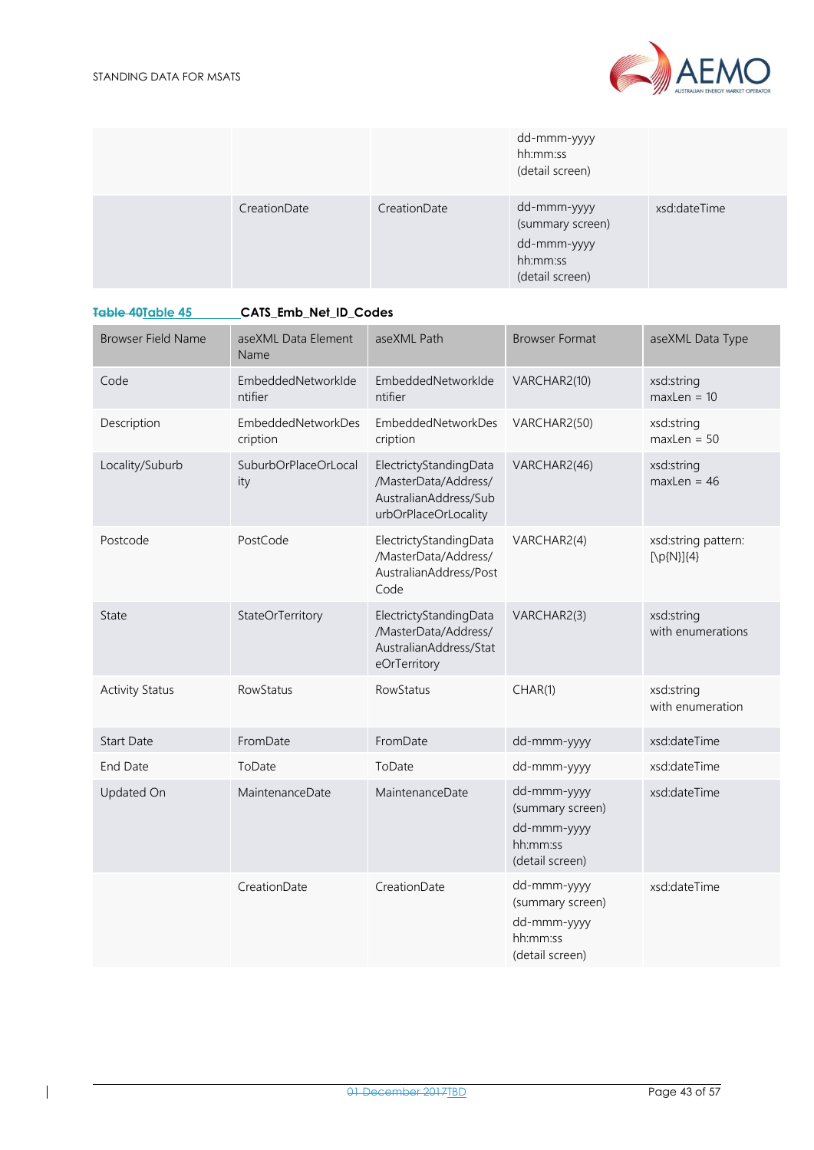

|              |              | dd-mmm-yyyy<br>hh:mm:ss<br>(detail screen)                                    |              |
|--------------|--------------|-------------------------------------------------------------------------------|--------------|
| CreationDate | CreationDate | dd-mmm-yyyy<br>(summary screen)<br>dd-mmm-yyyy<br>hh:mm:ss<br>(detail screen) | xsd:dateTime |

<span id="page-42-0"></span>

| <del>Table 40</del> Table 45 | CATS Emb Net ID Codes |  |  |  |
|------------------------------|-----------------------|--|--|--|
|                              |                       |  |  |  |

| <b>Browser Field Name</b> | aseXML Data Element<br>Name    | aseXML Path                                                                                     | <b>Browser Format</b>                                                         | aseXML Data Type                                     |
|---------------------------|--------------------------------|-------------------------------------------------------------------------------------------------|-------------------------------------------------------------------------------|------------------------------------------------------|
| Code                      | EmbeddedNetworkIde<br>ntifier  | EmbeddedNetworkIde<br>ntifier                                                                   | VARCHAR2(10)                                                                  | xsd:string<br>$maxLen = 10$                          |
| Description               | EmbeddedNetworkDes<br>cription | EmbeddedNetworkDes<br>cription                                                                  | VARCHAR2(50)                                                                  | xsd:string<br>$maxLen = 50$                          |
| Locality/Suburb           | SuburbOrPlaceOrLocal<br>ity    | ElectrictyStandingData<br>/MasterData/Address/<br>AustralianAddress/Sub<br>urbOrPlaceOrLocality | VARCHAR2(46)                                                                  | xsd:string<br>$maxLen = 46$                          |
| Postcode                  | PostCode                       | ElectrictyStandingData<br>/MasterData/Address/<br>AustralianAddress/Post<br>Code                | VARCHAR2(4)                                                                   | xsd:string pattern:<br>$[\pmb{\mathcal{p}}[N]\{4\}]$ |
| State                     | StateOrTerritory               | ElectrictyStandingData<br>/MasterData/Address/<br>AustralianAddress/Stat<br>eOrTerritory        | VARCHAR2(3)                                                                   | xsd:string<br>with enumerations                      |
| <b>Activity Status</b>    | RowStatus                      | RowStatus                                                                                       | CHAR(1)                                                                       | xsd:string<br>with enumeration                       |
| <b>Start Date</b>         | FromDate                       | FromDate                                                                                        | dd-mmm-yyyy                                                                   | xsd:dateTime                                         |
| End Date                  | ToDate                         | ToDate                                                                                          | dd-mmm-yyyy                                                                   | xsd:dateTime                                         |
| Updated On                | MaintenanceDate                | MaintenanceDate                                                                                 | dd-mmm-yyyy<br>(summary screen)<br>dd-mmm-yyyy<br>hh:mm:ss<br>(detail screen) | xsd:dateTime                                         |
|                           | CreationDate                   | CreationDate                                                                                    | dd-mmm-yyyy<br>(summary screen)<br>dd-mmm-yyyy<br>hh:mm:ss<br>(detail screen) | xsd:dateTime                                         |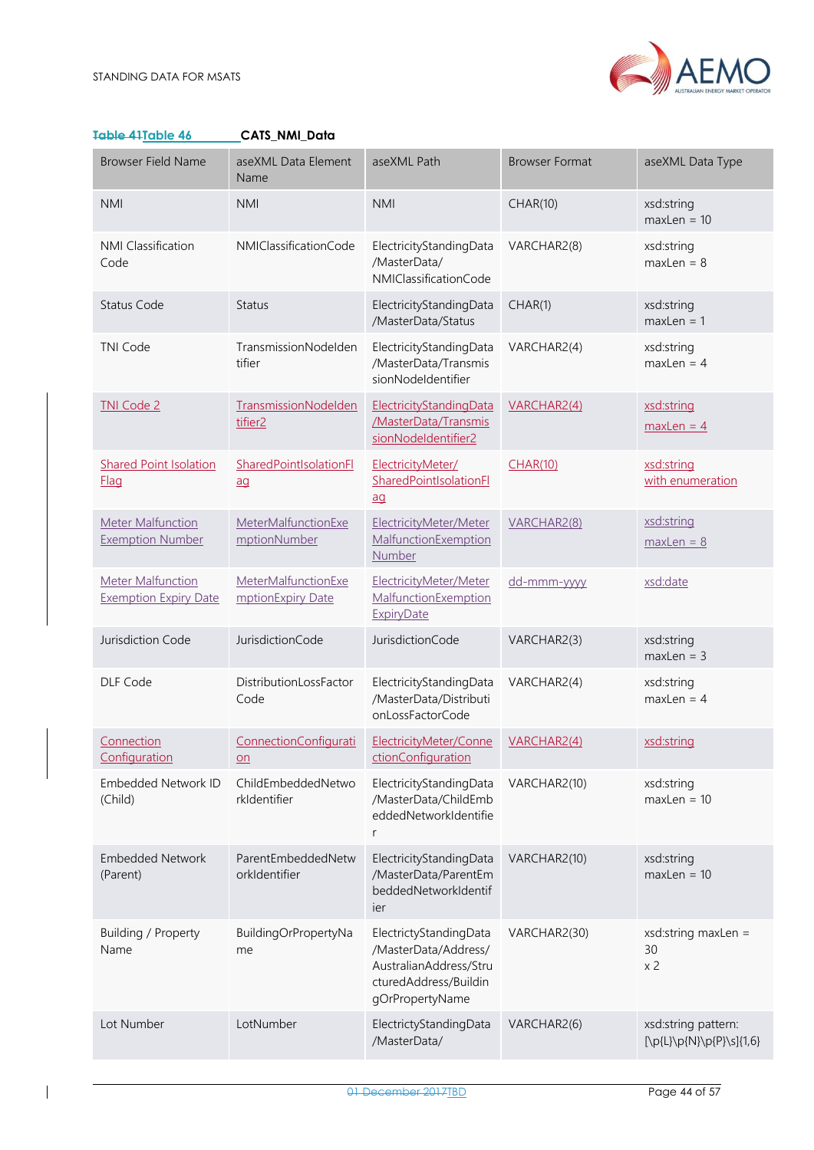

<span id="page-43-0"></span>

| Table 41Table 46                                         | CATS_NMI_Data                                    |                                                                                                                      |                       |                                                 |
|----------------------------------------------------------|--------------------------------------------------|----------------------------------------------------------------------------------------------------------------------|-----------------------|-------------------------------------------------|
| <b>Browser Field Name</b>                                | aseXML Data Element<br>Name                      | aseXML Path                                                                                                          | <b>Browser Format</b> | aseXML Data Type                                |
| <b>NMI</b>                                               | <b>NMI</b>                                       | <b>NMI</b>                                                                                                           | <b>CHAR(10)</b>       | xsd:string<br>$maxLen = 10$                     |
| <b>NMI Classification</b><br>Code                        | NMIClassificationCode                            | ElectricityStandingData<br>/MasterData/<br>NMIClassificationCode                                                     | VARCHAR2(8)           | xsd:string<br>$maxLen = 8$                      |
| <b>Status Code</b>                                       | <b>Status</b>                                    | ElectricityStandingData<br>/MasterData/Status                                                                        | CHAR(1)               | xsd:string<br>$maxLen = 1$                      |
| <b>TNI Code</b>                                          | TransmissionNodelden<br>tifier                   | ElectricityStandingData<br>/MasterData/Transmis<br>sionNodeldentifier                                                | VARCHAR2(4)           | xsd:string<br>$maxLen = 4$                      |
| <b>TNI Code 2</b>                                        | TransmissionNodelden<br>tifier <sub>2</sub>      | ElectricityStandingData<br>/MasterData/Transmis<br>sionNodeldentifier2                                               | VARCHAR2(4)           | xsd:string<br>$maxLen = 4$                      |
| <b>Shared Point Isolation</b><br><b>Flag</b>             | SharedPointIsolationFl<br>$\overline{a}a$        | ElectricityMeter/<br>SharedPointIsolationFl<br>$\overline{a}a$                                                       | CHAR(10)              | xsd:string<br>with enumeration                  |
| <b>Meter Malfunction</b><br><b>Exemption Number</b>      | MeterMalfunctionExe<br>mptionNumber              | ElectricityMeter/Meter<br>MalfunctionExemption<br><b>Number</b>                                                      | VARCHAR2(8)           | xsd:string<br>$maxLen = 8$                      |
| <b>Meter Malfunction</b><br><b>Exemption Expiry Date</b> | <b>MeterMalfunctionExe</b><br>mptionExpiry Date  | ElectricityMeter/Meter<br>MalfunctionExemption<br>ExpiryDate                                                         | dd-mmm-yyyy           | xsd:date                                        |
| Jurisdiction Code                                        | JurisdictionCode                                 | JurisdictionCode                                                                                                     | VARCHAR2(3)           | xsd:string<br>$maxLen = 3$                      |
| DLF Code                                                 | DistributionLossFactor<br>Code                   | ElectricityStandingData<br>/MasterData/Distributi<br>onLossFactorCode                                                | VARCHAR2(4)           | xsd:string<br>$maxLen = 4$                      |
| Connection<br>Configuration                              | ConnectionConfigurati<br>$\underline{\text{on}}$ | ElectricityMeter/Conne<br>ctionConfiguration                                                                         | VARCHAR2(4)           | xsd:string                                      |
| Embedded Network ID<br>(Child)                           | ChildEmbeddedNetwo<br>rkldentifier               | ElectricityStandingData<br>/MasterData/ChildEmb<br>eddedNetworkIdentifie<br>r                                        | VARCHAR2(10)          | xsd:string<br>$maxLen = 10$                     |
| <b>Embedded Network</b><br>(Parent)                      | ParentEmbeddedNetw<br>orkIdentifier              | ElectricityStandingData<br>/MasterData/ParentEm<br>beddedNetworkIdentif<br>ier                                       | VARCHAR2(10)          | xsd:string<br>$maxLen = 10$                     |
| Building / Property<br>Name                              | BuildingOrPropertyNa<br>me                       | ElectrictyStandingData<br>/MasterData/Address/<br>AustralianAddress/Stru<br>cturedAddress/Buildin<br>gOrPropertyName | VARCHAR2(30)          | xsd:string maxLen =<br>30<br>x <sub>2</sub>     |
| Lot Number                                               | LotNumber                                        | ElectrictyStandingData<br>/MasterData/                                                                               | VARCHAR2(6)           | xsd:string pattern:<br>[\p{L}\p{N}\p{P}\s]{1,6} |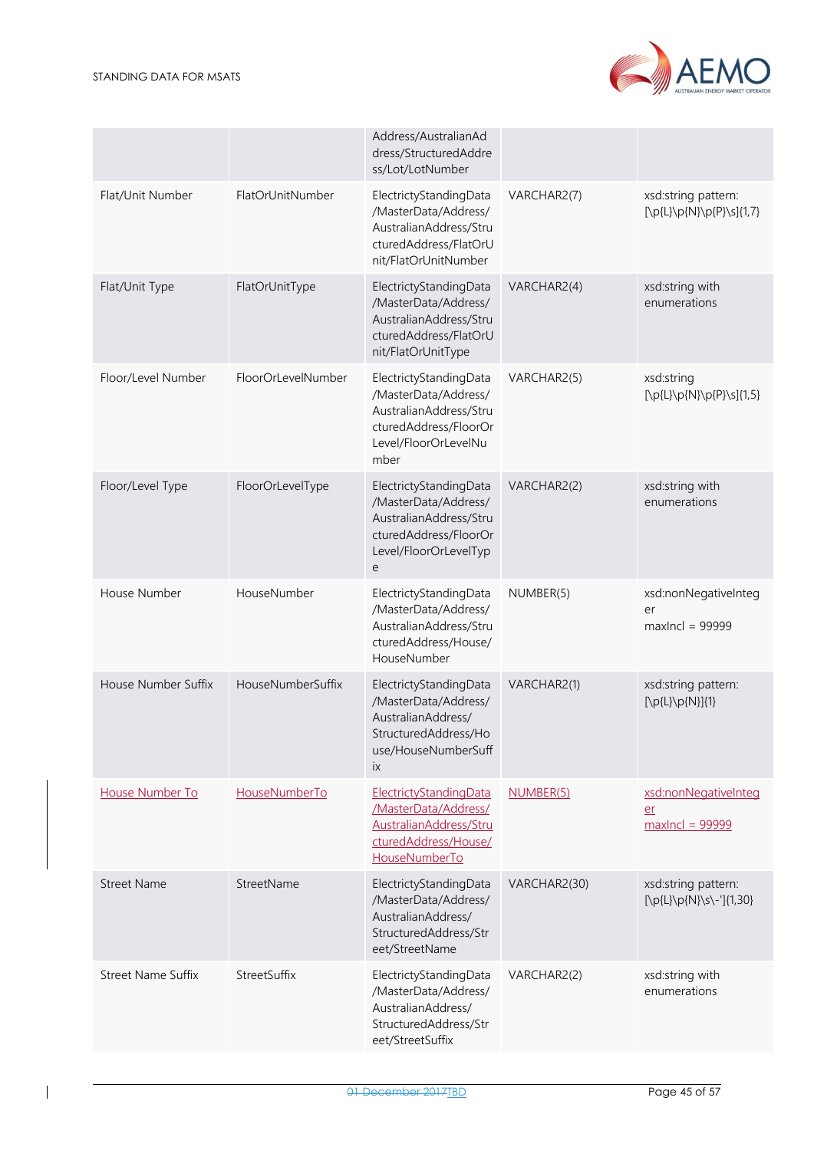

|                           |                    | Address/AustralianAd<br>dress/StructuredAddre<br>ss/Lot/LotNumber                                                                 |              |                                                                  |
|---------------------------|--------------------|-----------------------------------------------------------------------------------------------------------------------------------|--------------|------------------------------------------------------------------|
| Flat/Unit Number          | FlatOrUnitNumber   | ElectrictyStandingData<br>/MasterData/Address/<br>AustralianAddress/Stru<br>cturedAddress/FlatOrU<br>nit/FlatOrUnitNumber         | VARCHAR2(7)  | xsd:string pattern:<br>[\p{L}\p{N}\p{P}\s]{1,7}                  |
| Flat/Unit Type            | FlatOrUnitType     | ElectrictyStandingData<br>/MasterData/Address/<br>AustralianAddress/Stru<br>cturedAddress/FlatOrU<br>nit/FlatOrUnitType           | VARCHAR2(4)  | xsd:string with<br>enumerations                                  |
| Floor/Level Number        | FloorOrLevelNumber | ElectrictyStandingData<br>/MasterData/Address/<br>AustralianAddress/Stru<br>cturedAddress/FloorOr<br>Level/FloorOrLevelNu<br>mber | VARCHAR2(5)  | xsd:string<br>$[\pmb{\text{D}} \text{N} \text{P} \text{S}]{1,5}$ |
| Floor/Level Type          | FloorOrLevelType   | ElectrictyStandingData<br>/MasterData/Address/<br>AustralianAddress/Stru<br>cturedAddress/FloorOr<br>Level/FloorOrLevelTyp<br>e   | VARCHAR2(2)  | xsd:string with<br>enumerations                                  |
| House Number              | HouseNumber        | ElectrictyStandingData<br>/MasterData/Address/<br>AustralianAddress/Stru<br>cturedAddress/House/<br>HouseNumber                   | NUMBER(5)    | xsd:nonNegativeInteg<br>er<br>$maxIncl = 999999$                 |
| House Number Suffix       | HouseNumberSuffix  | ElectrictyStandingData<br>/MasterData/Address/<br>AustralianAddress/<br>StructuredAddress/Ho<br>use/HouseNumberSuff<br>ix         | VARCHAR2(1)  | xsd:string pattern:<br>$[\p{L}\p{D}\p{N}](1)$                    |
| House Number To           | HouseNumberTo      | ElectrictyStandingData<br>/MasterData/Address/<br>AustralianAddress/Stru<br>cturedAddress/House/<br>HouseNumberTo                 | NUMBER(5)    | xsd:nonNegativeInteg<br>er<br>$maxIncl = 99999$                  |
| <b>Street Name</b>        | StreetName         | ElectrictyStandingData<br>/MasterData/Address/<br>AustralianAddress/<br>StructuredAddress/Str<br>eet/StreetName                   | VARCHAR2(30) | xsd:string pattern:<br>$[\p{L}\p{N}\s-\']{1,30}$                 |
| <b>Street Name Suffix</b> | StreetSuffix       | ElectrictyStandingData<br>/MasterData/Address/<br>AustralianAddress/<br>StructuredAddress/Str<br>eet/StreetSuffix                 | VARCHAR2(2)  | xsd:string with<br>enumerations                                  |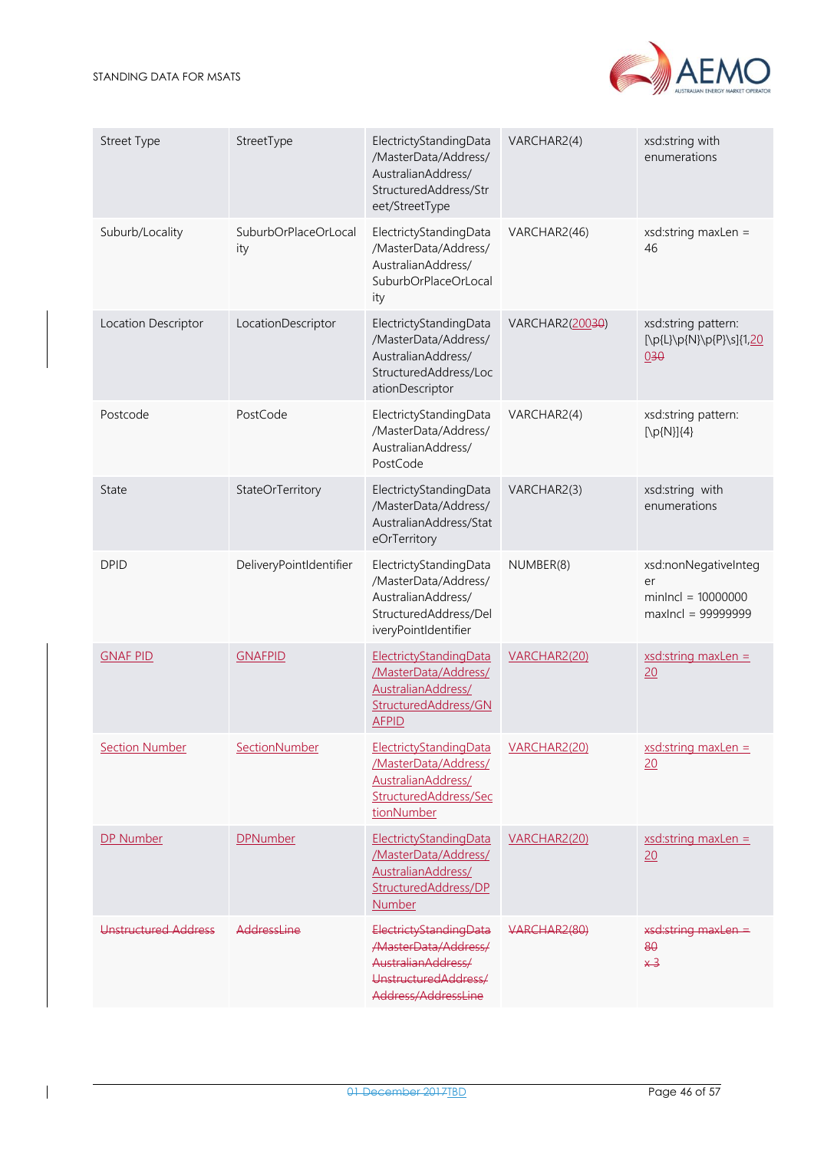

| <b>Street Type</b>          | StreetType                  | ElectrictyStandingData<br>/MasterData/Address/<br>AustralianAddress/<br>StructuredAddress/Str<br>eet/StreetType       | VARCHAR2(4)     | xsd:string with<br>enumerations                                          |
|-----------------------------|-----------------------------|-----------------------------------------------------------------------------------------------------------------------|-----------------|--------------------------------------------------------------------------|
| Suburb/Locality             | SuburbOrPlaceOrLocal<br>ity | ElectrictyStandingData<br>/MasterData/Address/<br>AustralianAddress/<br>SuburbOrPlaceOrLocal<br>ity                   | VARCHAR2(46)    | $xsd:string$ maxLen =<br>46                                              |
| Location Descriptor         | LocationDescriptor          | ElectrictyStandingData<br>/MasterData/Address/<br>AustralianAddress/<br>StructuredAddress/Loc<br>ationDescriptor      | VARCHAR2(20030) | xsd:string pattern:<br>[\p{L}\p{N}\p{P}\s]{1,20<br>030                   |
| Postcode                    | PostCode                    | ElectrictyStandingData<br>/MasterData/Address/<br>AustralianAddress/<br>PostCode                                      | VARCHAR2(4)     | xsd:string pattern:<br>$[\pmb{\mathcal{D}}(N)]\{4\}$                     |
| State                       | StateOrTerritory            | ElectrictyStandingData<br>/MasterData/Address/<br>AustralianAddress/Stat<br>eOrTerritory                              | VARCHAR2(3)     | xsd:string with<br>enumerations                                          |
| <b>DPID</b>                 | DeliveryPointIdentifier     | ElectrictyStandingData<br>/MasterData/Address/<br>AustralianAddress/<br>StructuredAddress/Del<br>iveryPointIdentifier | NUMBER(8)       | xsd:nonNegativeInteg<br>er<br>$minIncl = 10000000$<br>maxIncl = 99999999 |
| <b>GNAF PID</b>             | <b>GNAFPID</b>              | ElectrictyStandingData<br>/MasterData/Address/<br>AustralianAddress/<br>StructuredAddress/GN<br><b>AFPID</b>          | VARCHAR2(20)    | $xsd:string$ maxLen =<br>20                                              |
| <b>Section Number</b>       | SectionNumber               | ElectrictyStandingData<br>/MasterData/Address/<br>AustralianAddress/<br>StructuredAddress/Sec<br>tionNumber           | VARCHAR2(20)    | $xsd:string$ maxLen =<br>20                                              |
| DP Number                   | <b>DPNumber</b>             | ElectrictyStandingData<br>/MasterData/Address/<br>AustralianAddress/<br>StructuredAddress/DP<br>Number                | VARCHAR2(20)    | $xsd:string$ maxLen =<br>20                                              |
| <b>Unstructured Address</b> | AddressLine                 | ElectrictyStandingData<br>/MasterData/Address/<br>AustralianAddress/<br>UnstructuredAddress/<br>Address/AddressLine   | VARCHAR2(80)    | xsd:string maxLen =<br>80<br>$*3$                                        |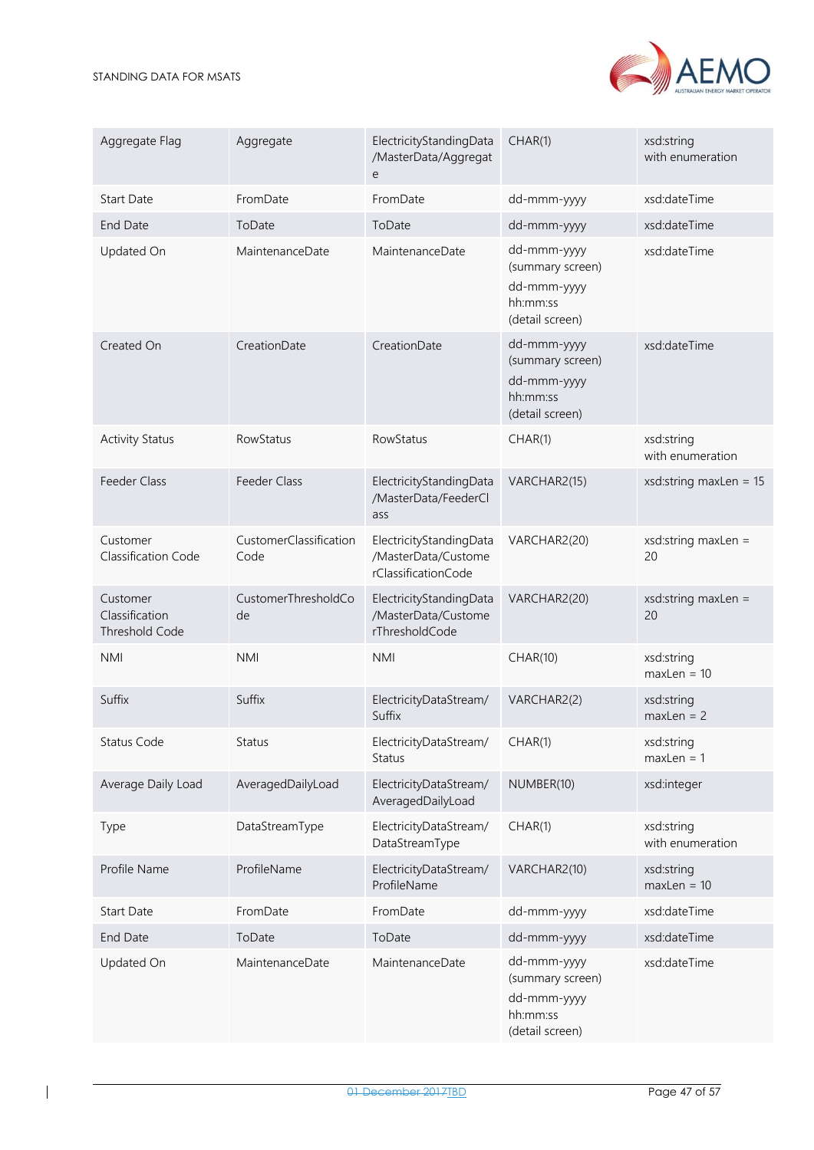

| Aggregate Flag                                      | Aggregate                      | ElectricityStandingData<br>/MasterData/Aggregat<br>е                  | CHAR(1)                                                                       | xsd:string<br>with enumeration |
|-----------------------------------------------------|--------------------------------|-----------------------------------------------------------------------|-------------------------------------------------------------------------------|--------------------------------|
| <b>Start Date</b>                                   | FromDate                       | FromDate                                                              | dd-mmm-yyyy                                                                   | xsd:dateTime                   |
| End Date                                            | ToDate                         | ToDate                                                                | dd-mmm-yyyy                                                                   | xsd:dateTime                   |
| Updated On                                          | MaintenanceDate                | MaintenanceDate                                                       | dd-mmm-yyyy<br>(summary screen)<br>dd-mmm-yyyy<br>hh:mm:ss<br>(detail screen) | xsd:dateTime                   |
| Created On                                          | CreationDate                   | CreationDate                                                          | dd-mmm-yyyy<br>(summary screen)<br>dd-mmm-yyyy<br>hh:mm:ss<br>(detail screen) | xsd:dateTime                   |
| <b>Activity Status</b>                              | RowStatus                      | RowStatus                                                             | CHAR(1)                                                                       | xsd:string<br>with enumeration |
| Feeder Class                                        | Feeder Class                   | ElectricityStandingData<br>/MasterData/FeederCl<br>ass                | VARCHAR2(15)                                                                  | xsd:string maxLen = $15$       |
| Customer<br>Classification Code                     | CustomerClassification<br>Code | ElectricityStandingData<br>/MasterData/Custome<br>rClassificationCode | VARCHAR2(20)                                                                  | xsd:string maxLen =<br>20      |
| Customer<br>Classification<br><b>Threshold Code</b> | CustomerThresholdCo<br>de      | ElectricityStandingData<br>/MasterData/Custome<br>rThresholdCode      | VARCHAR2(20)                                                                  | xsd:string maxLen =<br>20      |
| <b>NMI</b>                                          | <b>NMI</b>                     | <b>NMI</b>                                                            | CHAR(10)                                                                      | xsd:string<br>$maxLen = 10$    |
| Suffix                                              | Suffix                         | ElectricityDataStream/<br>Suffix                                      | VARCHAR2(2)                                                                   | xsd:string<br>$maxLen = 2$     |
| Status Code                                         | Status                         | ElectricityDataStream/<br>Status                                      | CHAR(1)                                                                       | xsd:string<br>$maxLen = 1$     |
| Average Daily Load                                  | AveragedDailyLoad              | ElectricityDataStream/<br>AveragedDailyLoad                           | NUMBER(10)                                                                    | xsd:integer                    |
| <b>Type</b>                                         | DataStreamType                 | ElectricityDataStream/<br>DataStreamType                              | CHAR(1)                                                                       | xsd:string<br>with enumeration |
| Profile Name                                        | ProfileName                    | ElectricityDataStream/<br>ProfileName                                 | VARCHAR2(10)                                                                  | xsd:string<br>$maxLen = 10$    |
| Start Date                                          | FromDate                       | FromDate                                                              | dd-mmm-yyyy                                                                   | xsd:dateTime                   |
| End Date                                            | ToDate                         | ToDate                                                                | dd-mmm-yyyy                                                                   | xsd:dateTime                   |
| Updated On                                          | MaintenanceDate                | MaintenanceDate                                                       | dd-mmm-yyyy<br>(summary screen)<br>dd-mmm-yyyy<br>hh:mm:ss<br>(detail screen) | xsd:dateTime                   |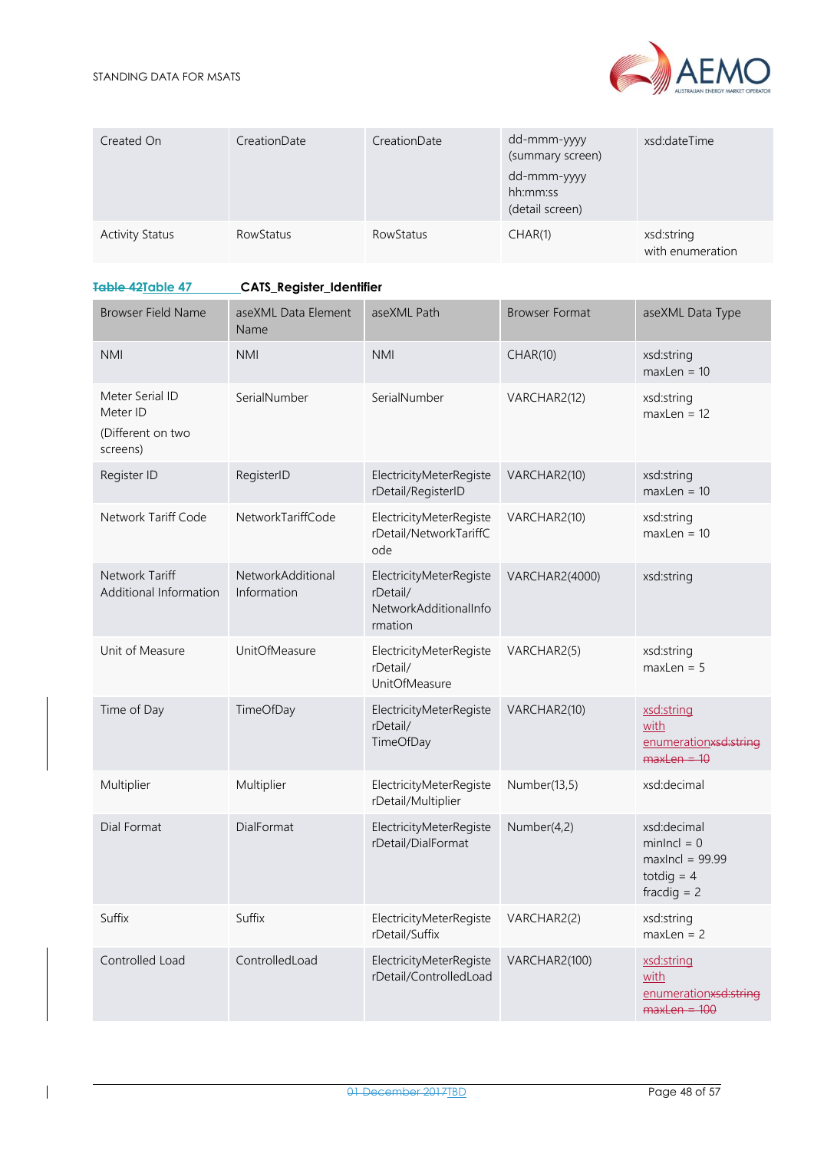

| Created On             | CreationDate | CreationDate     | dd-mmm-yyyy<br>(summary screen)<br>dd-mmm-yyyy<br>hh:mm:ss<br>(detail screen) | xsd:dateTime                   |
|------------------------|--------------|------------------|-------------------------------------------------------------------------------|--------------------------------|
| <b>Activity Status</b> | RowStatus    | <b>RowStatus</b> | CHAR(1)                                                                       | xsd:string<br>with enumeration |

# <span id="page-47-0"></span>**Table 42Table 47 CATS\_Register\_Identifier**

| <b>Browser Field Name</b>                                    | aseXML Data Element<br>Name      | aseXML Path                                                             | <b>Browser Format</b> | aseXML Data Type                                                                   |
|--------------------------------------------------------------|----------------------------------|-------------------------------------------------------------------------|-----------------------|------------------------------------------------------------------------------------|
| <b>NMI</b>                                                   | <b>NMI</b>                       | <b>NMI</b>                                                              | CHAR(10)              | xsd:string<br>$maxLen = 10$                                                        |
| Meter Serial ID<br>Meter ID<br>(Different on two<br>screens) | SerialNumber                     | SerialNumber                                                            | VARCHAR2(12)          | xsd:string<br>$maxLen = 12$                                                        |
| Register ID                                                  | RegisterID                       | ElectricityMeterRegiste<br>rDetail/RegisterID                           | VARCHAR2(10)          | xsd:string<br>$maxLen = 10$                                                        |
| Network Tariff Code                                          | NetworkTariffCode                | ElectricityMeterRegiste<br>rDetail/NetworkTariffC<br>ode                | VARCHAR2(10)          | xsd:string<br>$maxLen = 10$                                                        |
| Network Tariff<br>Additional Information                     | NetworkAdditional<br>Information | ElectricityMeterRegiste<br>rDetail/<br>NetworkAdditionalInfo<br>rmation | <b>VARCHAR2(4000)</b> | xsd:string                                                                         |
| Unit of Measure                                              | UnitOfMeasure                    | ElectricityMeterRegiste<br>rDetail/<br><b>UnitOfMeasure</b>             | VARCHAR2(5)           | xsd:string<br>$maxLen = 5$                                                         |
| Time of Day                                                  | TimeOfDay                        | ElectricityMeterRegiste<br>rDetail/<br>TimeOfDay                        | VARCHAR2(10)          | xsd:string<br>with<br>enumerationxsd:string<br>$maxLen = 10$                       |
| Multiplier                                                   | Multiplier                       | ElectricityMeterRegiste<br>rDetail/Multiplier                           | Number(13,5)          | xsd:decimal                                                                        |
| Dial Format                                                  | DialFormat                       | ElectricityMeterRegiste<br>rDetail/DialFormat                           | Number(4,2)           | xsd:decimal<br>$minIncl = 0$<br>$maxIncl = 99.99$<br>totdig $=$ 4<br>fracdig $= 2$ |
| Suffix                                                       | Suffix                           | ElectricityMeterRegiste<br>rDetail/Suffix                               | VARCHAR2(2)           | xsd:string<br>$maxLen = 2$                                                         |
| Controlled Load                                              | ControlledLoad                   | ElectricityMeterRegiste<br>rDetail/ControlledLoad                       | VARCHAR2(100)         | xsd:string<br>with<br>enumerationxsd:string<br>$maxLen = 100$                      |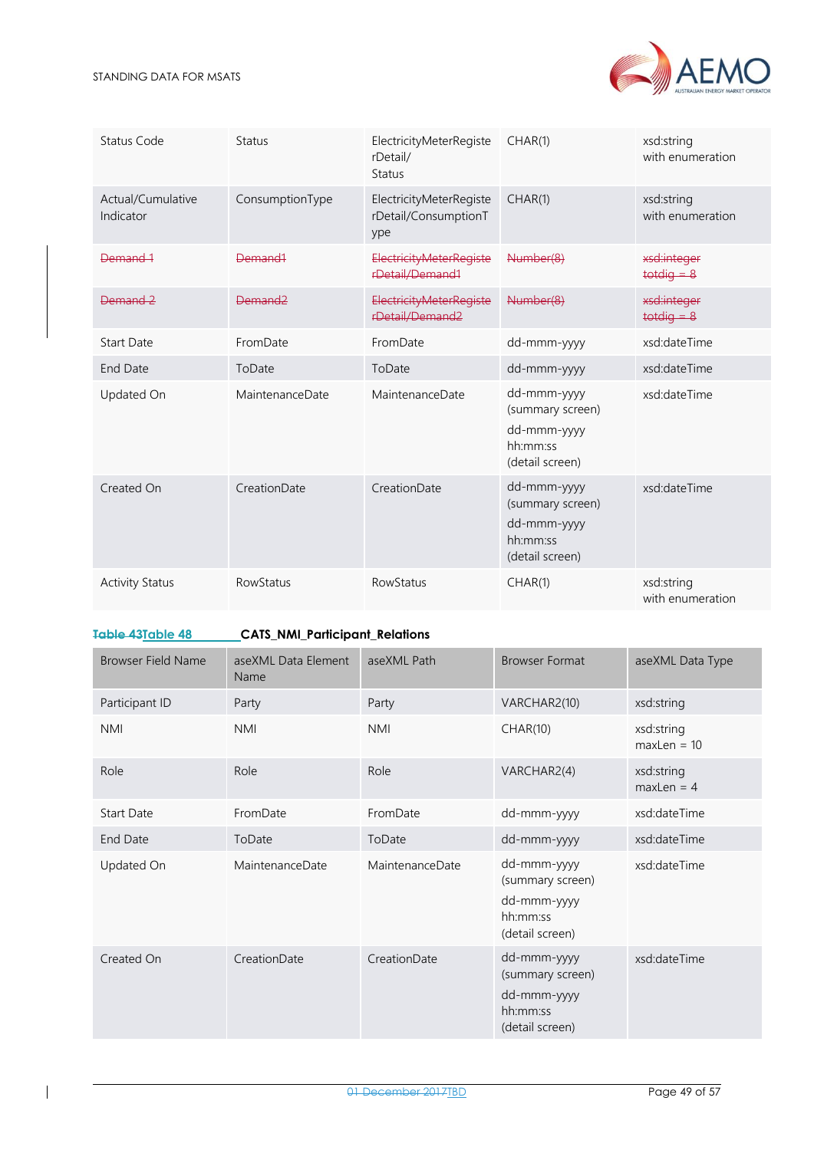

| Status Code                    | <b>Status</b>       | ElectricityMeterRegiste<br>rDetail/<br><b>Status</b>   | CHAR(1)                                                                       | xsd:string<br>with enumeration |
|--------------------------------|---------------------|--------------------------------------------------------|-------------------------------------------------------------------------------|--------------------------------|
| Actual/Cumulative<br>Indicator | ConsumptionType     | ElectricityMeterRegiste<br>rDetail/ConsumptionT<br>ype | CHAR(1)                                                                       | xsd:string<br>with enumeration |
| Demand 1                       | Demand <sub>1</sub> | <b>ElectricityMeterRegiste</b><br>rDetail/Demand1      | Number(8)                                                                     | xsd:integer<br>$t$ otdig $-8$  |
| Demand 2                       | Demand <sub>2</sub> | <b>ElectricityMeterRegiste</b><br>rDetail/Demand2      | Number(8)                                                                     | xsd:integer<br>$t$ otdig = $8$ |
| <b>Start Date</b>              | FromDate            | FromDate                                               | dd-mmm-yyyy                                                                   | xsd:dateTime                   |
| <b>End Date</b>                | ToDate              | ToDate                                                 | dd-mmm-yyyy                                                                   | xsd:dateTime                   |
| Updated On                     | MaintenanceDate     | MaintenanceDate                                        | dd-mmm-yyyy<br>(summary screen)<br>dd-mmm-yyyy<br>hh:mm:ss<br>(detail screen) | xsd:dateTime                   |
| Created On                     | CreationDate        | CreationDate                                           | dd-mmm-yyyy<br>(summary screen)<br>dd-mmm-yyyy<br>hh:mm:ss<br>(detail screen) | xsd:dateTime                   |
| <b>Activity Status</b>         | RowStatus           | <b>RowStatus</b>                                       | CHAR(1)                                                                       | xsd:string<br>with enumeration |

<span id="page-48-0"></span>**Table 43Table 48 CATS\_NMI\_Participant\_Relations**

| <b>Browser Field Name</b> | aseXML Data Element<br>Name | aseXML Path     | <b>Browser Format</b>                                                         | aseXML Data Type            |
|---------------------------|-----------------------------|-----------------|-------------------------------------------------------------------------------|-----------------------------|
| Participant ID            | Party                       | Party           | VARCHAR2(10)                                                                  | xsd:string                  |
| <b>NMI</b>                | <b>NMI</b>                  | <b>NMI</b>      | CHAR(10)                                                                      | xsd:string<br>$maxLen = 10$ |
| Role                      | Role                        | Role            | VARCHAR2(4)                                                                   | xsd:string<br>$maxLen = 4$  |
| <b>Start Date</b>         | FromDate                    | FromDate        | dd-mmm-yyyy                                                                   | xsd:dateTime                |
| End Date                  | ToDate                      | ToDate          | dd-mmm-yyyy                                                                   | xsd:dateTime                |
| Updated On                | MaintenanceDate             | MaintenanceDate | dd-mmm-yyyy<br>(summary screen)<br>dd-mmm-yyyy<br>hh:mm:ss<br>(detail screen) | xsd:dateTime                |
| Created On                | CreationDate                | CreationDate    | dd-mmm-yyyy<br>(summary screen)<br>dd-mmm-yyyy<br>hh:mm:ss<br>(detail screen) | xsd:dateTime                |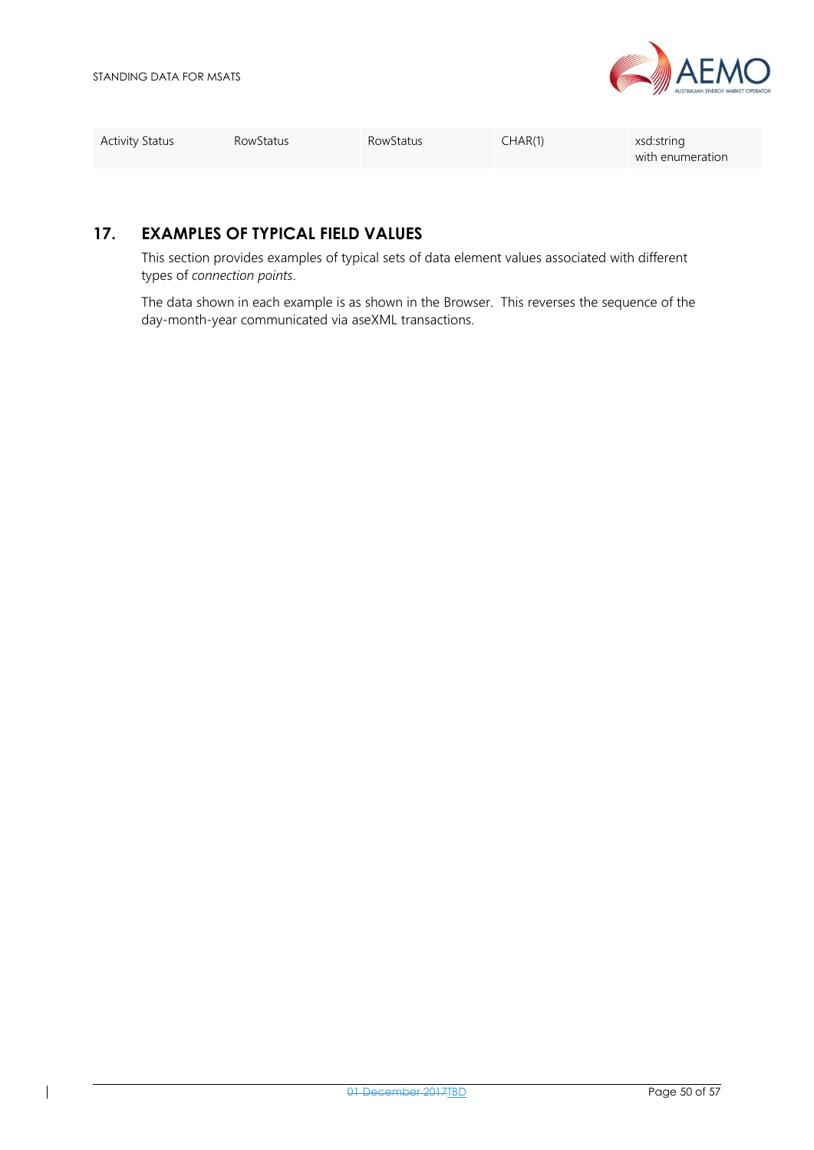

<span id="page-49-0"></span>

| <b>Activity Status</b> | RowStatus | <b>RowStatus</b> | CHAR(1) | xsd:string<br>with enumeration |
|------------------------|-----------|------------------|---------|--------------------------------|
|                        |           |                  |         |                                |

### **17. EXAMPLES OF TYPICAL FIELD VALUES**

This section provides examples of typical sets of data element values associated with different types of *connection points*.

The data shown in each example is as shown in the Browser. This reverses the sequence of the day-month-year communicated via aseXML transactions.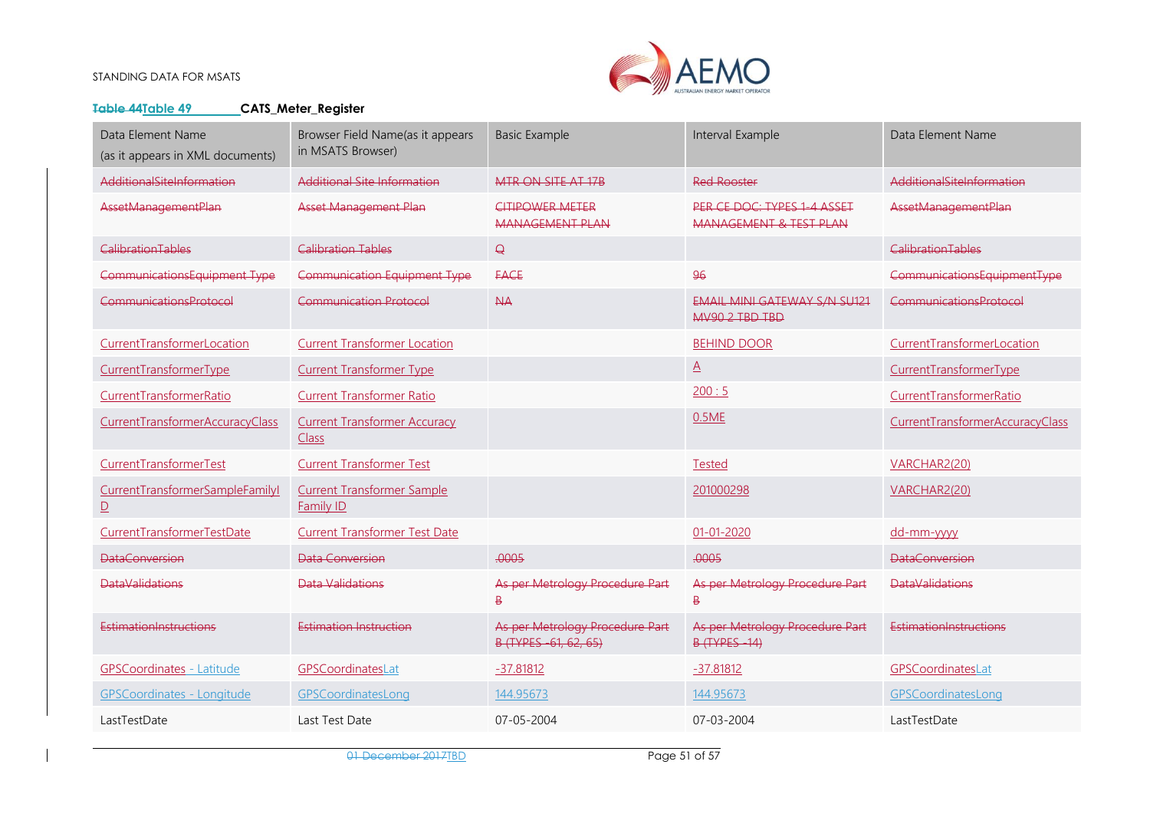

#### **Table 44Table 49 CATS\_Meter\_Register**

| Data Element Name<br>(as it appears in XML documents)      | Browser Field Name(as it appears<br>in MSATS Browser) | <b>Basic Example</b>                                     | Interval Example                                             | Data Element Name               |
|------------------------------------------------------------|-------------------------------------------------------|----------------------------------------------------------|--------------------------------------------------------------|---------------------------------|
| AdditionalSiteInformation                                  | Additional Site Information                           | MTR ON SITE AT 17B                                       | <b>Red Rooster</b>                                           | AdditionalSiteInformation       |
| AssetManagementPlan                                        | <b>Asset Management Plan</b>                          | <b>CITIPOWER METER</b><br>MANAGEMENT PLAN                | PER CE DOC: TYPES 1-4 ASSET<br>MANAGEMENT & TEST PLAN        | AssetManagementPlan             |
| <b>CalibrationTables</b>                                   | <b>Calibration Tables</b>                             | $\Theta$                                                 |                                                              | <b>CalibrationTables</b>        |
| CommunicationsEquipment Type                               | <b>Communication Equipment Type</b>                   | <b>FACE</b>                                              | 96                                                           | CommunicationsEquipmentType     |
| <b>CommunicationsProtocol</b>                              | <b>Communication Protocol</b>                         | AA                                                       | <b>EMAIL MINI GATEWAY S/N SU121</b><br><b>MV90 2 TBD TBD</b> | CommunicationsProtocol          |
| CurrentTransformerLocation                                 | <b>Current Transformer Location</b>                   |                                                          | <b>BEHIND DOOR</b>                                           | CurrentTransformerLocation      |
| CurrentTransformerType                                     | <b>Current Transformer Type</b>                       |                                                          | $\overline{A}$                                               | CurrentTransformerType          |
| CurrentTransformerRatio                                    | <b>Current Transformer Ratio</b>                      |                                                          | 200:5                                                        | CurrentTransformerRatio         |
| CurrentTransformerAccuracyClass                            | <b>Current Transformer Accuracy</b><br><b>Class</b>   |                                                          | 0.5ME                                                        | CurrentTransformerAccuracyClass |
| CurrentTransformerTest                                     | <b>Current Transformer Test</b>                       |                                                          | <b>Tested</b>                                                | VARCHAR2(20)                    |
| CurrentTransformerSampleFamilyI<br>$\overline{\mathsf{D}}$ | <b>Current Transformer Sample</b><br><b>Family ID</b> |                                                          | 201000298                                                    | VARCHAR2(20)                    |
| CurrentTransformerTestDate                                 | <b>Current Transformer Test Date</b>                  |                                                          | $01 - 01 - 2020$                                             | dd-mm-yyyy                      |
| <b>DataConversion</b>                                      | Data Conversion                                       | .0005                                                    | .0005                                                        | <b>DataConversion</b>           |
| <b>DataValidations</b>                                     | <b>Data Validations</b>                               | As per Metrology Procedure Part<br>$\overline{B}$        | As per Metrology Procedure Part<br>₿                         | <b>DataValidations</b>          |
| EstimationInstructions                                     | Estimation Instruction                                | As per Metrology Procedure Part<br>B (TYPES -61, 62, 65) | As per Metrology Procedure Part<br><b>B (TYPES-14)</b>       | EstimationInstructions          |
| <b>GPSCoordinates - Latitude</b>                           | GPSCoordinatesLat                                     | $-37.81812$                                              | $-37.81812$                                                  | GPSCoordinatesLat               |
| <b>GPSCoordinates - Longitude</b>                          | GPSCoordinatesLong                                    | 144.95673                                                | 144.95673                                                    | GPSCoordinatesLong              |
| LastTestDate                                               | Last Test Date                                        | $07 - 05 - 2004$                                         | 07-03-2004                                                   | LastTestDate                    |

01 December 2017 <u>IBD</u> Page 51 of 57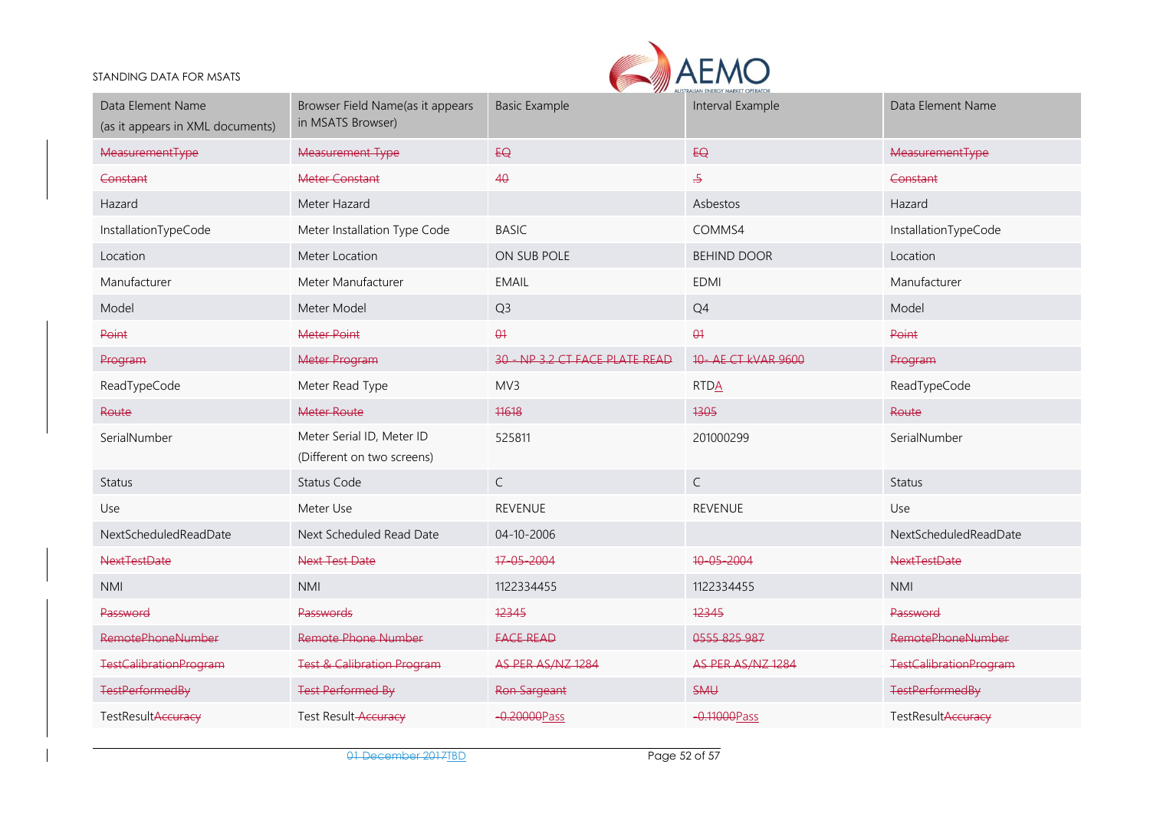

| Data Element Name<br>(as it appears in XML documents) | Browser Field Name(as it appears<br>in MSATS Browser)   | <b>Basic Example</b>          | <b>ALCO AUSIKALIAN ENEKGT MAKKEI OPERATU</b><br>Interval Example | Data Element Name             |
|-------------------------------------------------------|---------------------------------------------------------|-------------------------------|------------------------------------------------------------------|-------------------------------|
| <b>MeasurementType</b>                                | <b>Measurement Type</b>                                 | EQ                            | EQ                                                               | MeasurementType               |
| Constant                                              | <b>Meter Constant</b>                                   | 40                            | $\overline{.5}$                                                  | Constant                      |
| Hazard                                                | Meter Hazard                                            |                               | Asbestos                                                         | Hazard                        |
| InstallationTypeCode                                  | Meter Installation Type Code                            | <b>BASIC</b>                  | COMMS4                                                           | InstallationTypeCode          |
| Location                                              | Meter Location                                          | ON SUB POLE                   | <b>BEHIND DOOR</b>                                               | Location                      |
| Manufacturer                                          | Meter Manufacturer                                      | <b>EMAIL</b>                  | <b>EDMI</b>                                                      | Manufacturer                  |
| Model                                                 | Meter Model                                             | Q <sub>3</sub>                | Q4                                                               | Model                         |
| Point                                                 | <b>Meter Point</b>                                      | $\theta$                      | $\theta$                                                         | Point                         |
| Program                                               | Meter Program                                           | 30 - NP 32 CT FACE PLATE READ | 10 - AE CT kVAR 9600                                             | Program                       |
| ReadTypeCode                                          | Meter Read Type                                         | MV3                           | <b>RTDA</b>                                                      | ReadTypeCode                  |
| Route                                                 | Meter Route                                             | 11618                         | 1305                                                             | Route                         |
| SerialNumber                                          | Meter Serial ID, Meter ID<br>(Different on two screens) | 525811                        | 201000299                                                        | SerialNumber                  |
| <b>Status</b>                                         | <b>Status Code</b>                                      | $\mathsf{C}$                  | $\mathsf{C}$                                                     | <b>Status</b>                 |
| Use                                                   | Meter Use                                               | <b>REVENUE</b>                | <b>REVENUE</b>                                                   | Use                           |
| NextScheduledReadDate                                 | Next Scheduled Read Date                                | 04-10-2006                    |                                                                  | NextScheduledReadDate         |
| <b>NextTestDate</b>                                   | <b>Next Test Date</b>                                   | 17-05-2004                    | 10-05-2004                                                       | <b>NextTestDate</b>           |
| <b>NMI</b>                                            | <b>NMI</b>                                              | 1122334455                    | 1122334455                                                       | <b>NMI</b>                    |
| Password                                              | <b>Passwords</b>                                        | 12345                         | 12345                                                            | Password                      |
| <b>RemotePhoneNumber</b>                              | <b>Remote Phone Number</b>                              | <b>FACE READ</b>              | 0555 825 987                                                     | <b>RemotePhoneNumber</b>      |
| <b>TestCalibrationProgram</b>                         | <b>Test &amp; Calibration Program</b>                   | AS PER AS/NZ 1284             | AS PER AS/NZ 1284                                                | <b>TestCalibrationProgram</b> |
| <b>TestPerformedBy</b>                                | <b>Test Performed By</b>                                | Ron Sargeant                  | SMU                                                              | <b>TestPerformedBy</b>        |
| TestResultAccuracy                                    | Test Result-Accuracy                                    | -0.20000Pass                  | -0.11000 Pass                                                    | TestResultAccuracy            |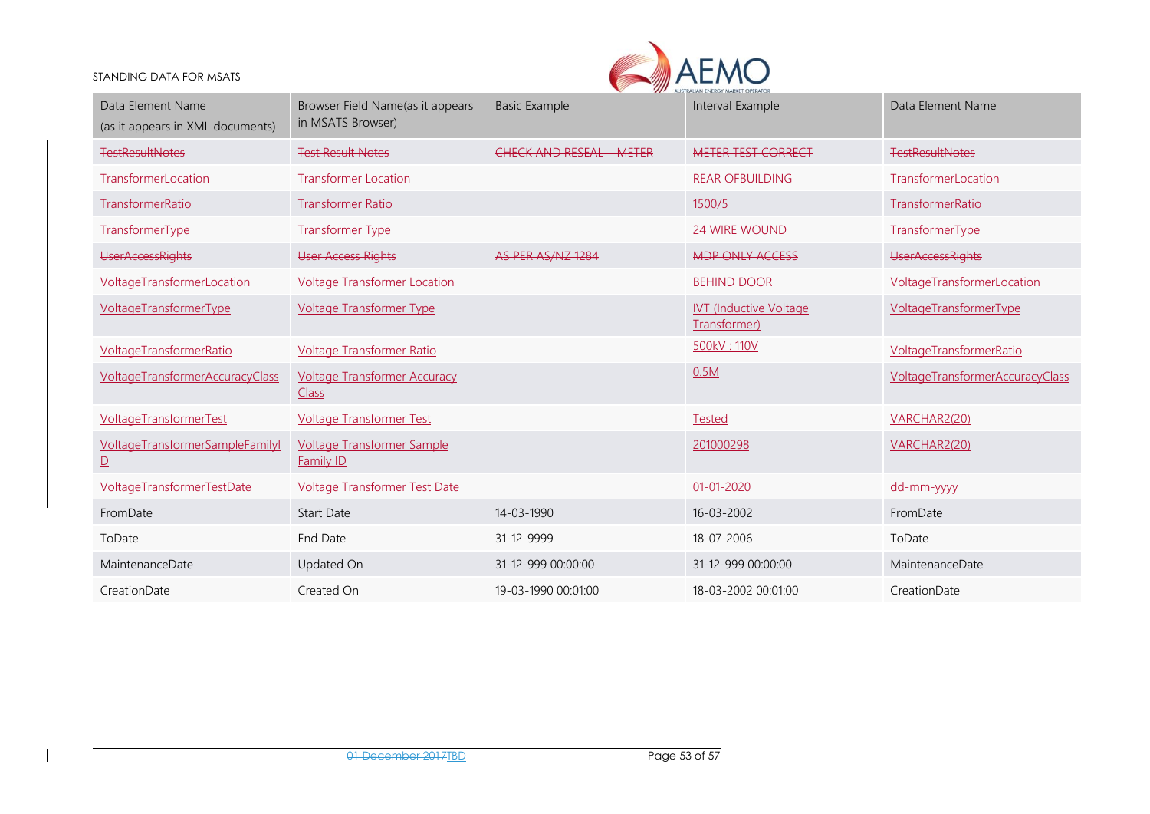

| Data Element Name<br>(as it appears in XML documents) | Browser Field Name(as it appears<br>in MSATS Browser) | <b>Basic Example</b>             | Interval Example                              | Data Element Name                      |
|-------------------------------------------------------|-------------------------------------------------------|----------------------------------|-----------------------------------------------|----------------------------------------|
| <b>TestResultNotes</b>                                | <b>Test Result Notes</b>                              | CHECK AND RESEAL<br><b>METER</b> | <b>METER TEST CORRECT</b>                     | <b>TestResultNotes</b>                 |
| <b>TransformerLocation</b>                            | <b>Transformer Location</b>                           |                                  | <b>REAR OFBUILDING</b>                        | <b>TransformerLocation</b>             |
| TransformerRatio                                      | <b>Transformer Ratio</b>                              |                                  | 1500/5                                        | TransformerRatio                       |
| <b>TransformerType</b>                                | <b>Transformer Type</b>                               |                                  | <b>24 WIRE WOUND</b>                          | <b>TransformerType</b>                 |
| <b>UserAccessRights</b>                               | <b>User Access Rights</b>                             | AS PER AS/NZ 1284                | MDP ONLY ACCESS                               | <b>UserAccessRights</b>                |
| VoltageTransformerLocation                            | <b>Voltage Transformer Location</b>                   |                                  | <b>BEHIND DOOR</b>                            | <b>VoltageTransformerLocation</b>      |
| VoltageTransformerType                                | <b>Voltage Transformer Type</b>                       |                                  | <b>IVT (Inductive Voltage</b><br>Transformer) | VoltageTransformerType                 |
| VoltageTransformerRatio                               | <b>Voltage Transformer Ratio</b>                      |                                  | 500kV: 110V                                   | VoltageTransformerRatio                |
| <b>VoltageTransformerAccuracyClass</b>                | <b>Voltage Transformer Accuracy</b><br>Class          |                                  | 0.5M                                          | <b>VoltageTransformerAccuracyClass</b> |
| VoltageTransformerTest                                | <b>Voltage Transformer Test</b>                       |                                  | <b>Tested</b>                                 | VARCHAR2(20)                           |
| VoltageTransformerSampleFamilyI<br>$\mathbf{D}$       | <b>Voltage Transformer Sample</b><br>Family ID        |                                  | 201000298                                     | VARCHAR2(20)                           |
| VoltageTransformerTestDate                            | <b>Voltage Transformer Test Date</b>                  |                                  | $01 - 01 - 2020$                              | dd-mm-yyyy                             |
| FromDate                                              | <b>Start Date</b>                                     | 14-03-1990                       | 16-03-2002                                    | FromDate                               |
| ToDate                                                | <b>End Date</b>                                       | 31-12-9999                       | 18-07-2006                                    | ToDate                                 |
| MaintenanceDate                                       | Updated On                                            | 31-12-999 00:00:00               | 31-12-999 00:00:00                            | MaintenanceDate                        |
| CreationDate                                          | Created On                                            | 19-03-1990 00:01:00              | 18-03-2002 00:01:00                           | CreationDate                           |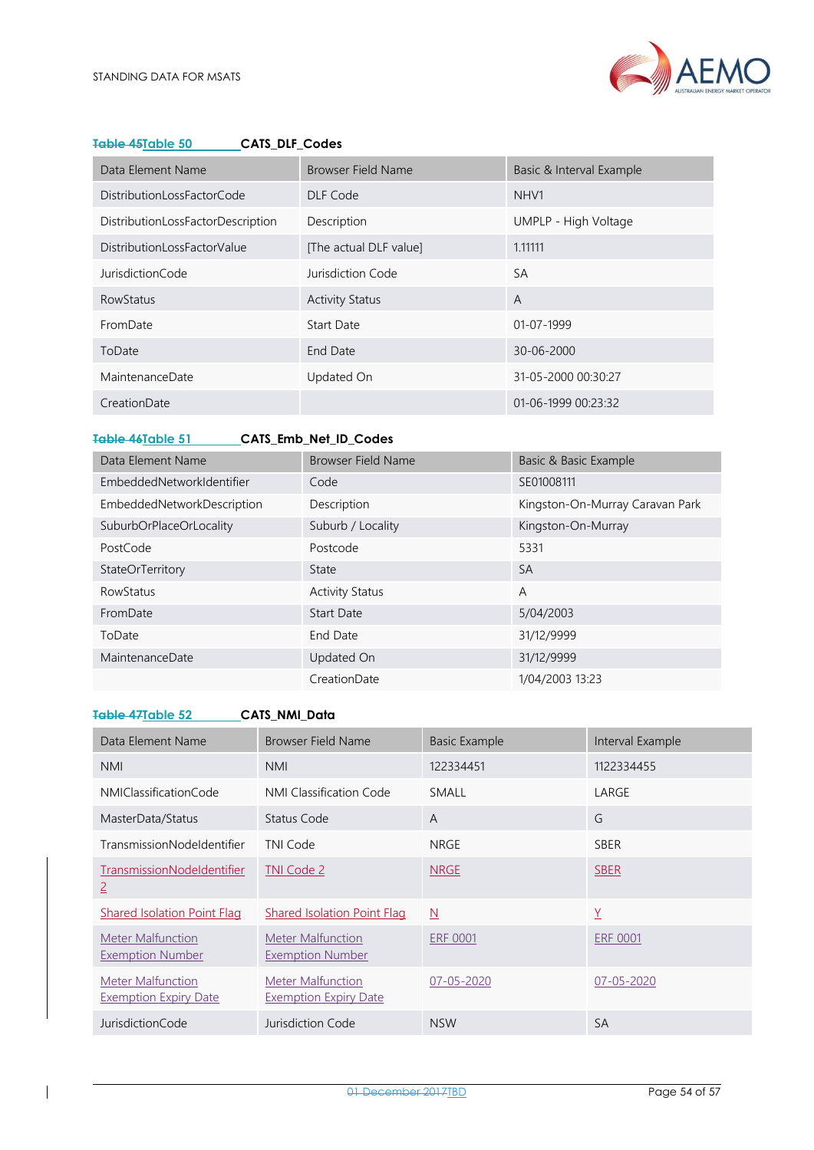

| Data Element Name                 | Browser Field Name     | Basic & Interval Example |
|-----------------------------------|------------------------|--------------------------|
| DistributionLossFactorCode        | DLF Code               | NHV1                     |
| DistributionLossFactorDescription | Description            | UMPLP - High Voltage     |
| DistributionLossFactorValue       | [The actual DLF value] | 1.11111                  |
| JurisdictionCode                  | Jurisdiction Code      | <b>SA</b>                |
| RowStatus                         | <b>Activity Status</b> | $\overline{A}$           |
| FromDate                          | Start Date             | $01 - 07 - 1999$         |
| ToDate                            | End Date               | 30-06-2000               |
| MaintenanceDate                   | Updated On             | 31-05-2000 00:30:27      |
| CreationDate                      |                        | 01-06-1999 00:23:32      |

#### <span id="page-53-0"></span>**Table 45Table 50 CATS\_DLF\_Codes**

<span id="page-53-1"></span>**Table 46Table 51 CATS\_Emb\_Net\_ID\_Codes**

| Data Element Name          | <b>Browser Field Name</b> | Basic & Basic Example           |
|----------------------------|---------------------------|---------------------------------|
| EmbeddedNetworkIdentifier  | Code                      | SE01008111                      |
| EmbeddedNetworkDescription | Description               | Kingston-On-Murray Caravan Park |
| SuburbOrPlaceOrLocality    | Suburb / Locality         | Kingston-On-Murray              |
| PostCode                   | Postcode                  | 5331                            |
| StateOrTerritory           | State                     | <b>SA</b>                       |
| <b>RowStatus</b>           | <b>Activity Status</b>    | A                               |
| FromDate                   | <b>Start Date</b>         | 5/04/2003                       |
| ToDate                     | End Date                  | 31/12/9999                      |
| MaintenanceDate            | Updated On                | 31/12/9999                      |
|                            | CreationDate              | 1/04/2003 13:23                 |

#### <span id="page-53-2"></span>**Table 47Table 52 CATS\_NMI\_Data** Data Element Name Browser Field Name Basic Example Interval Example NMI NMI 122334451 1122334455 NMIClassificationCode NMI Classification Code SMALL LARGE MasterData/Status Status Code A G TransmissionNodeIdentifier TNI Code NRGE NRGE SBER TransmissionNodeIdentifier 2 TNI Code 2 NRGE SBER Shared Isolation Point Flag Shared Isolation Point Flag N Y Y Meter Malfunction Exemption Number Meter Malfunction Exemption Number ERF 0001 ERF 0001 Meter Malfunction Exemption Expiry Date Meter Malfunction Exemption Expiry Date 07-05-2020 07-05-2020 **JurisdictionCode** Jurisdiction Code NSW SA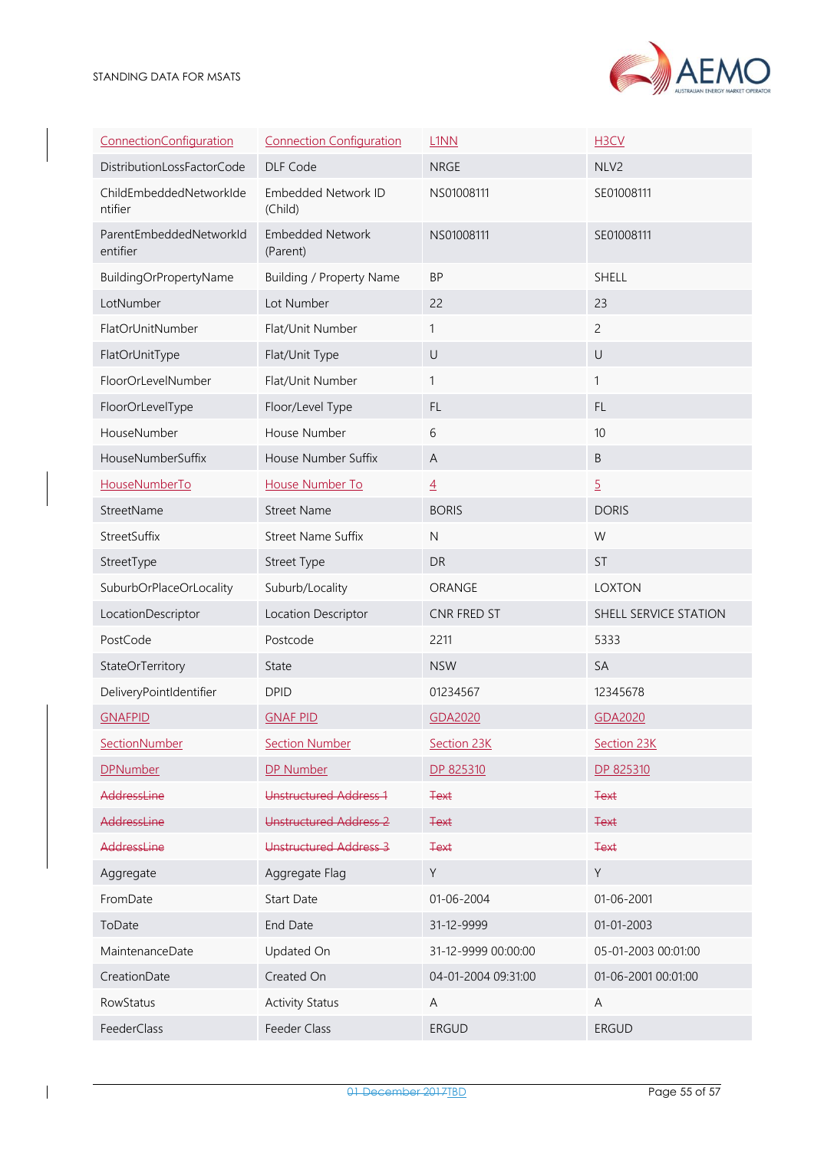

| ConnectionConfiguration             | <b>Connection Configuration</b>     | L <sub>1</sub> N <sub>N</sub> | H3CV                  |
|-------------------------------------|-------------------------------------|-------------------------------|-----------------------|
| DistributionLossFactorCode          | DLF Code                            | <b>NRGE</b>                   | NLV2                  |
| ChildEmbeddedNetworkIde<br>ntifier  | Embedded Network ID<br>(Child)      | NS01008111                    | SE01008111            |
| ParentEmbeddedNetworkId<br>entifier | <b>Embedded Network</b><br>(Parent) | NS01008111                    | SE01008111            |
| BuildingOrPropertyName              | <b>Building / Property Name</b>     | <b>BP</b>                     | <b>SHELL</b>          |
| LotNumber                           | Lot Number                          | 22                            | 23                    |
| FlatOrUnitNumber                    | Flat/Unit Number                    | $\mathbf{1}$                  | $\overline{c}$        |
| FlatOrUnitType                      | Flat/Unit Type                      | $\cup$                        | $\cup$                |
| FloorOrLevelNumber                  | Flat/Unit Number                    | 1                             | $\mathbf{1}$          |
| FloorOrLevelType                    | Floor/Level Type                    | FL.                           | FL.                   |
| HouseNumber                         | House Number                        | 6                             | 10                    |
| HouseNumberSuffix                   | House Number Suffix                 | A                             | $\sf B$               |
| HouseNumberTo                       | House Number To                     | $\overline{4}$                | $\overline{5}$        |
| StreetName                          | <b>Street Name</b>                  | <b>BORIS</b>                  | <b>DORIS</b>          |
| StreetSuffix                        | <b>Street Name Suffix</b>           | $\mathsf{N}$                  | W                     |
| StreetType                          | Street Type                         | <b>DR</b>                     | <b>ST</b>             |
| SuburbOrPlaceOrLocality             | Suburb/Locality                     | ORANGE                        | <b>LOXTON</b>         |
| LocationDescriptor                  | Location Descriptor                 | CNR FRED ST                   | SHELL SERVICE STATION |
| PostCode                            | Postcode                            | 2211                          | 5333                  |
| StateOrTerritory                    | State                               | <b>NSW</b>                    | SA                    |
| DeliveryPointIdentifier             | <b>DPID</b>                         | 01234567                      | 12345678              |
| <b>GNAFPID</b>                      | <b>GNAF PID</b>                     | GDA2020                       | GDA2020               |
| SectionNumber                       | <b>Section Number</b>               | Section 23K                   | Section 23K           |
| <b>DPNumber</b>                     | DP Number                           | DP 825310                     | DP 825310             |
| AddressLine                         | Unstructured Address 1              | <b>Text</b>                   | <b>Text</b>           |
| AddressLine                         | Unstructured Address 2              | <b>Text</b>                   | <b>Text</b>           |
| AddressLine                         | Unstructured Address 3              | <b>Text</b>                   | <b>Text</b>           |
| Aggregate                           | Aggregate Flag                      | Y                             | Y                     |
| FromDate                            | <b>Start Date</b>                   | 01-06-2004                    | 01-06-2001            |
| ToDate                              | End Date                            | 31-12-9999                    | 01-01-2003            |
| MaintenanceDate                     | Updated On                          | 31-12-9999 00:00:00           | 05-01-2003 00:01:00   |
| CreationDate                        | Created On                          | 04-01-2004 09:31:00           | 01-06-2001 00:01:00   |
| RowStatus                           | <b>Activity Status</b>              | A                             | Α                     |
| FeederClass                         | Feeder Class                        | <b>ERGUD</b>                  | <b>ERGUD</b>          |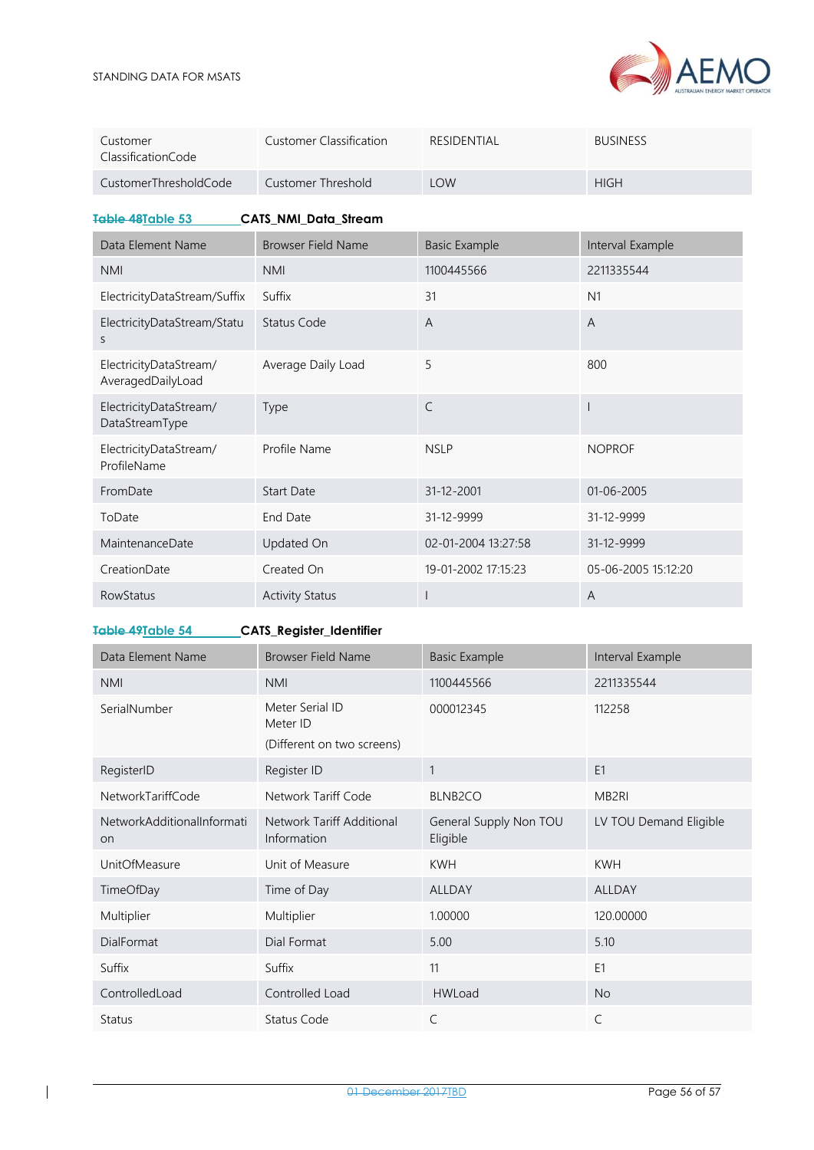

|                                |                                |             | $\sqrt{2}$<br>AUSTRALIAN ENERGY MARKET OPERA |
|--------------------------------|--------------------------------|-------------|----------------------------------------------|
| Customer<br>ClassificationCode | <b>Customer Classification</b> | RESIDENTIAL | <b>BUSINESS</b>                              |
| CustomerThresholdCode          | Customer Threshold             | LOW         | <b>HIGH</b>                                  |

<span id="page-55-0"></span>**Table 48Table 53 CATS\_NMI\_Data\_Stream**

| Data Element Name                           | <b>Browser Field Name</b> | <b>Basic Example</b> | Interval Example    |
|---------------------------------------------|---------------------------|----------------------|---------------------|
| <b>NMI</b>                                  | <b>NMI</b>                | 1100445566           | 2211335544          |
| ElectricityDataStream/Suffix                | Suffix                    | 31                   | N1                  |
| ElectricityDataStream/Statu<br>S            | Status Code               | A                    | $\overline{A}$      |
| ElectricityDataStream/<br>AveragedDailyLoad | Average Daily Load        | 5                    | 800                 |
| ElectricityDataStream/<br>DataStreamType    | Type                      | $\subset$            |                     |
| ElectricityDataStream/<br>ProfileName       | Profile Name              | <b>NSLP</b>          | <b>NOPROF</b>       |
| FromDate                                    | <b>Start Date</b>         | 31-12-2001           | 01-06-2005          |
| ToDate                                      | End Date                  | 31-12-9999           | 31-12-9999          |
| <b>MaintenanceDate</b>                      | Updated On                | 02-01-2004 13:27:58  | 31-12-9999          |
| CreationDate                                | Created On                | 19-01-2002 17:15:23  | 05-06-2005 15:12:20 |
| <b>RowStatus</b>                            | <b>Activity Status</b>    |                      | $\overline{A}$      |

<span id="page-55-1"></span>**Table 49Table 54 CATS\_Register\_Identifier**

| Data Element Name                       | <b>Browser Field Name</b>                                 | <b>Basic Example</b>               | Interval Example       |
|-----------------------------------------|-----------------------------------------------------------|------------------------------------|------------------------|
| <b>NMI</b>                              | <b>NMI</b>                                                | 1100445566                         | 2211335544             |
| SerialNumber                            | Meter Serial ID<br>Meter ID<br>(Different on two screens) | 000012345                          | 112258                 |
| RegisterID                              | Register ID                                               | 1                                  | E1                     |
| NetworkTariffCode                       | Network Tariff Code                                       | BLNB <sub>2</sub> CO               | MB <sub>2RI</sub>      |
| NetworkAdditionalInformati<br><b>on</b> | Network Tariff Additional<br>Information                  | General Supply Non TOU<br>Eligible | LV TOU Demand Eligible |
| <b>UnitOfMeasure</b>                    | Unit of Measure                                           | <b>KWH</b>                         | <b>KWH</b>             |
| TimeOfDay                               | Time of Day                                               | <b>ALLDAY</b>                      | <b>ALLDAY</b>          |
| Multiplier                              | Multiplier                                                | 1.00000                            | 120.00000              |
| <b>DialFormat</b>                       | Dial Format                                               | 5.00                               | 5.10                   |
| Suffix                                  | Suffix                                                    | 11                                 | E <sub>1</sub>         |
| ControlledLoad                          | Controlled Load                                           | <b>HWLoad</b>                      | <b>No</b>              |
| Status                                  | <b>Status Code</b>                                        | C                                  | C                      |